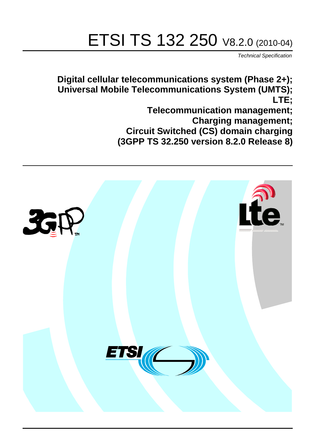# ETSI TS 132 250 V8.2.0 (2010-04)

*Technical Specification*

**Digital cellular telecommunications system (Phase 2+); Universal Mobile Telecommunications System (UMTS); LTE;**

> **Telecommunication management; Charging management; Circuit Switched (CS) domain charging (3GPP TS 32.250 version 8.2.0 Release 8)**

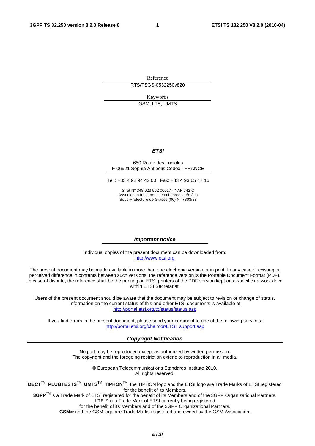Reference RTS/TSGS-0532250v820

> Keywords GSM, LTE, UMTS

## *ETSI*

#### 650 Route des Lucioles F-06921 Sophia Antipolis Cedex - FRANCE

Tel.: +33 4 92 94 42 00 Fax: +33 4 93 65 47 16

Siret N° 348 623 562 00017 - NAF 742 C Association à but non lucratif enregistrée à la Sous-Préfecture de Grasse (06) N° 7803/88

#### *Important notice*

Individual copies of the present document can be downloaded from: [http://www.etsi.org](http://www.etsi.org/)

The present document may be made available in more than one electronic version or in print. In any case of existing or perceived difference in contents between such versions, the reference version is the Portable Document Format (PDF). In case of dispute, the reference shall be the printing on ETSI printers of the PDF version kept on a specific network drive within ETSI Secretariat.

Users of the present document should be aware that the document may be subject to revision or change of status. Information on the current status of this and other ETSI documents is available at <http://portal.etsi.org/tb/status/status.asp>

If you find errors in the present document, please send your comment to one of the following services: [http://portal.etsi.org/chaircor/ETSI\\_support.asp](http://portal.etsi.org/chaircor/ETSI_support.asp)

#### *Copyright Notification*

No part may be reproduced except as authorized by written permission. The copyright and the foregoing restriction extend to reproduction in all media.

> © European Telecommunications Standards Institute 2010. All rights reserved.

**DECT**TM, **PLUGTESTS**TM, **UMTS**TM, **TIPHON**TM, the TIPHON logo and the ETSI logo are Trade Marks of ETSI registered for the benefit of its Members.

**3GPP**TM is a Trade Mark of ETSI registered for the benefit of its Members and of the 3GPP Organizational Partners. **LTE**™ is a Trade Mark of ETSI currently being registered

for the benefit of its Members and of the 3GPP Organizational Partners.

**GSM**® and the GSM logo are Trade Marks registered and owned by the GSM Association.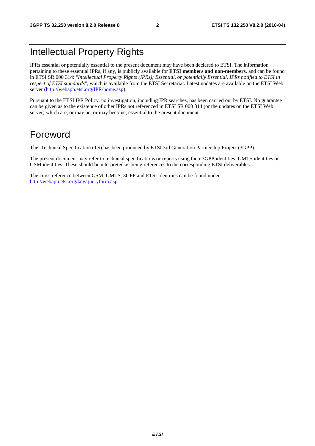### Intellectual Property Rights

IPRs essential or potentially essential to the present document may have been declared to ETSI. The information pertaining to these essential IPRs, if any, is publicly available for **ETSI members and non-members**, and can be found in ETSI SR 000 314: *"Intellectual Property Rights (IPRs); Essential, or potentially Essential, IPRs notified to ETSI in respect of ETSI standards"*, which is available from the ETSI Secretariat. Latest updates are available on the ETSI Web server [\(http://webapp.etsi.org/IPR/home.asp](http://webapp.etsi.org/IPR/home.asp)).

Pursuant to the ETSI IPR Policy, no investigation, including IPR searches, has been carried out by ETSI. No guarantee can be given as to the existence of other IPRs not referenced in ETSI SR 000 314 (or the updates on the ETSI Web server) which are, or may be, or may become, essential to the present document.

### Foreword

This Technical Specification (TS) has been produced by ETSI 3rd Generation Partnership Project (3GPP).

The present document may refer to technical specifications or reports using their 3GPP identities, UMTS identities or GSM identities. These should be interpreted as being references to the corresponding ETSI deliverables.

The cross reference between GSM, UMTS, 3GPP and ETSI identities can be found under <http://webapp.etsi.org/key/queryform.asp>.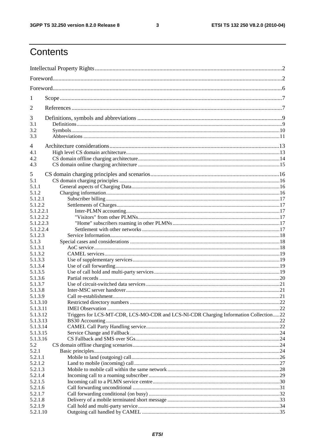$\mathbf{3}$ 

### Contents

| 1                      |                                                                                      |  |
|------------------------|--------------------------------------------------------------------------------------|--|
| 2                      |                                                                                      |  |
| 3                      |                                                                                      |  |
| 3.1                    |                                                                                      |  |
| 3.2<br>3.3             |                                                                                      |  |
|                        |                                                                                      |  |
| 4<br>4.1               |                                                                                      |  |
| 4.2                    |                                                                                      |  |
| 4.3                    |                                                                                      |  |
|                        |                                                                                      |  |
| 5                      |                                                                                      |  |
| 5.1                    |                                                                                      |  |
| 5.1.1                  |                                                                                      |  |
| 5.1.2                  |                                                                                      |  |
| 5.1.2.1                |                                                                                      |  |
| 5.1.2.2                |                                                                                      |  |
| 5.1.2.2.1<br>5.1.2.2.2 |                                                                                      |  |
| 5.1.2.2.3              |                                                                                      |  |
| 5.1.2.2.4              |                                                                                      |  |
| 5.1.2.3                |                                                                                      |  |
| 5.1.3                  |                                                                                      |  |
| 5.1.3.1                |                                                                                      |  |
| 5.1.3.2                |                                                                                      |  |
| 5.1.3.3                |                                                                                      |  |
| 5.1.3.4                |                                                                                      |  |
| 5.1.3.5                |                                                                                      |  |
| 5.1.3.6                |                                                                                      |  |
| 5.1.3.7                |                                                                                      |  |
| 5.1.3.8                |                                                                                      |  |
| 5.1.3.9                |                                                                                      |  |
| 5.1.3.10               |                                                                                      |  |
| 5.1.3.11               |                                                                                      |  |
| 5.1.3.12               | Triggers for LCS-MT-CDR, LCS-MO-CDR and LCS-NI-CDR Charging Information Collection22 |  |
| 5.1.3.13<br>5.1.3.14   |                                                                                      |  |
| 5.1.3.15               |                                                                                      |  |
| 5.1.3.16               |                                                                                      |  |
| 5.2                    |                                                                                      |  |
| 5.2.1                  |                                                                                      |  |
| 5.2.1.1                |                                                                                      |  |
| 5.2.1.2                |                                                                                      |  |
| 5.2.1.3                |                                                                                      |  |
| 5.2.1.4                |                                                                                      |  |
| 5.2.1.5                |                                                                                      |  |
| 5.2.1.6                |                                                                                      |  |
| 5.2.1.7                |                                                                                      |  |
| 5.2.1.8                |                                                                                      |  |
| 5.2.1.9                |                                                                                      |  |
| 5.2.1.10               |                                                                                      |  |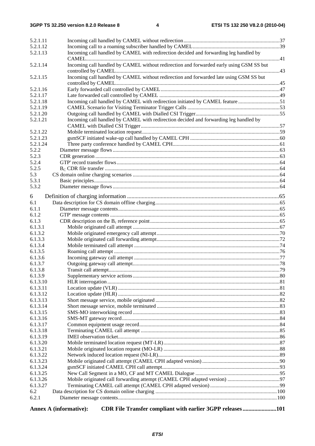| 5.2.1.11             |                                                                                         |  |
|----------------------|-----------------------------------------------------------------------------------------|--|
| 5.2.1.12             |                                                                                         |  |
| 5.2.1.13             | Incoming call handled by CAMEL with redirection decided and forwarding leg handled by   |  |
| 5.2.1.14             | Incoming call handled by CAMEL without redirection and forwarded early using GSM SS but |  |
| 5.2.1.15             | Incoming call handled by CAMEL without redirection and forwarded late using GSM SS but  |  |
| 5.2.1.16             |                                                                                         |  |
| 5.2.1.17             |                                                                                         |  |
| 5.2.1.18             | Incoming call handled by CAMEL with redirection initiated by CAMEL feature51            |  |
| 5.2.1.19             |                                                                                         |  |
| 5.2.1.20             |                                                                                         |  |
| 5.2.1.21             | Incoming call handled by CAMEL with redirection decided and forwarding leg handled by   |  |
|                      |                                                                                         |  |
| 5.2.1.22             |                                                                                         |  |
| 5.2.1.23             |                                                                                         |  |
| 5.2.1.24             |                                                                                         |  |
| 5.2.2                |                                                                                         |  |
| 5.2.3                |                                                                                         |  |
| 5.2.4                |                                                                                         |  |
| 5.2.5                |                                                                                         |  |
| 5.3                  |                                                                                         |  |
| 5.3.1                |                                                                                         |  |
| 5.3.2                |                                                                                         |  |
| 6                    |                                                                                         |  |
| 6.1                  |                                                                                         |  |
| 6.1.1                |                                                                                         |  |
| 6.1.2                |                                                                                         |  |
| 6.1.3                |                                                                                         |  |
| 6.1.3.1              |                                                                                         |  |
| 6.1.3.2              |                                                                                         |  |
| 6.1.3.3              |                                                                                         |  |
| 6.1.3.4              |                                                                                         |  |
| 6.1.3.5              |                                                                                         |  |
| 6.1.3.6              |                                                                                         |  |
| 6.1.3.7              |                                                                                         |  |
| 6.1.3.8              |                                                                                         |  |
| 6.1.3.9              |                                                                                         |  |
| 6.1.3.10             |                                                                                         |  |
| 6.1.3.11             |                                                                                         |  |
| 6.1.3.12             |                                                                                         |  |
| 6.1.3.13             |                                                                                         |  |
| 6.1.3.14<br>6.1.3.15 |                                                                                         |  |
| 6.1.3.16             |                                                                                         |  |
| 6.1.3.17             |                                                                                         |  |
| 6.1.3.18             |                                                                                         |  |
| 6.1.3.19             |                                                                                         |  |
| 6.1.3.20             |                                                                                         |  |
| 6.1.3.21             |                                                                                         |  |
| 6.1.3.22             |                                                                                         |  |
| 6.1.3.23             |                                                                                         |  |
| 6.1.3.24             |                                                                                         |  |
| 6.1.3.25             |                                                                                         |  |
| 6.1.3.26             |                                                                                         |  |
| 6.1.3.27             |                                                                                         |  |
| 6.2                  |                                                                                         |  |
| 6.2.1                |                                                                                         |  |
|                      | CDR File Transfer compliant with earlier 3GPP releases101<br>Annex A (informative):     |  |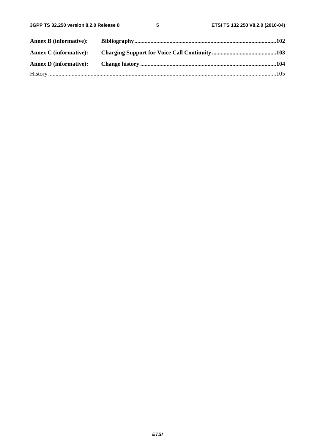| <b>Annex B</b> (informative): |  |
|-------------------------------|--|
|                               |  |
|                               |  |
|                               |  |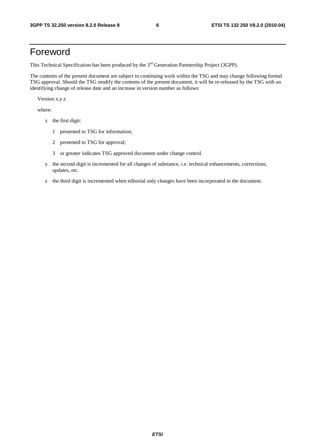### Foreword

This Technical Specification has been produced by the 3<sup>rd</sup> Generation Partnership Project (3GPP).

The contents of the present document are subject to continuing work within the TSG and may change following formal TSG approval. Should the TSG modify the contents of the present document, it will be re-released by the TSG with an identifying change of release date and an increase in version number as follows:

Version x.y.z

where:

- x the first digit:
	- 1 presented to TSG for information;
	- 2 presented to TSG for approval;
	- 3 or greater indicates TSG approved document under change control.
- y the second digit is incremented for all changes of substance, i.e. technical enhancements, corrections, updates, etc.
- z the third digit is incremented when editorial only changes have been incorporated in the document.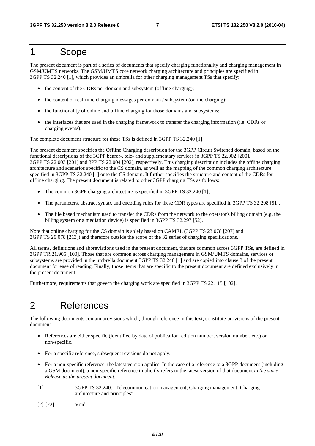### 1 Scope

The present document is part of a series of documents that specify charging functionality and charging management in GSM/UMTS networks. The GSM/UMTS core network charging architecture and principles are specified in 3GPP TS 32.240 [1], which provides an umbrella for other charging management TSs that specify:

- the content of the CDRs per domain and subsystem (offline charging);
- the content of real-time charging messages per domain / subsystem (online charging);
- the functionality of online and offline charging for those domains and subsystems;
- the interfaces that are used in the charging framework to transfer the charging information (i.e. CDRs or charging events).

The complete document structure for these TSs is defined in 3GPP TS 32.240 [1].

The present document specifies the Offline Charging description for the 3GPP Circuit Switched domain, based on the functional descriptions of the 3GPP bearer-, tele- and supplementary services in 3GPP TS 22.002 [200], 3GPP TS 22.003 [201] and 3PP TS 22.004 [202], respectively. This charging description includes the offline charging architecture and scenarios specific to the CS domain, as well as the mapping of the common charging architecture specified in 3GPP TS 32.240 [1] onto the CS domain. It further specifies the structure and content of the CDRs for offline charging. The present document is related to other 3GPP charging TSs as follows:

- The common 3GPP charging architecture is specified in 3GPP TS 32.240 [1];
- The parameters, abstract syntax and encoding rules for these CDR types are specified in 3GPP TS 32.298 [51].
- The file based mechanism used to transfer the CDRs from the network to the operator's billing domain (e.g. the billing system or a mediation device) is specified in 3GPP TS 32.297 [52].

Note that online charging for the CS domain is solely based on CAMEL (3GPP TS 23.078 [207] and 3GPP TS 29.078 [213]) and therefore outside the scope of the 32 series of charging specifications.

All terms, definitions and abbreviations used in the present document, that are common across 3GPP TSs, are defined in 3GPP TR 21.905 [100]. Those that are common across charging management in GSM/UMTS domains, services or subsystems are provided in the umbrella document 3GPP TS 32.240 [1] and are copied into clause 3 of the present document for ease of reading. Finally, those items that are specific to the present document are defined exclusively in the present document.

Furthermore, requirements that govern the charging work are specified in 3GPP TS 22.115 [102].

### 2 References

The following documents contain provisions which, through reference in this text, constitute provisions of the present document.

- References are either specific (identified by date of publication, edition number, version number, etc.) or non-specific.
- For a specific reference, subsequent revisions do not apply.
- For a non-specific reference, the latest version applies. In the case of a reference to a 3GPP document (including a GSM document), a non-specific reference implicitly refers to the latest version of that document *in the same Release as the present document*.
- [1] 3GPP TS 32.240: "Telecommunication management; Charging management; Charging architecture and principles".
- [2]-[22] Void.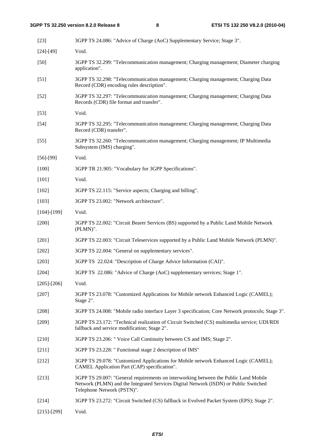| $[23]$            | 3GPP TS 24.086: "Advice of Charge (AoC) Supplementary Service; Stage 3".                                                                                                                                   |
|-------------------|------------------------------------------------------------------------------------------------------------------------------------------------------------------------------------------------------------|
| $[24] - [49]$     | Void.                                                                                                                                                                                                      |
| $[50]$            | 3GPP TS 32.299: "Telecommunication management; Charging management; Diameter charging<br>application".                                                                                                     |
| $[51]$            | 3GPP TS 32.298: "Telecommunication management; Charging management; Charging Data<br>Record (CDR) encoding rules description".                                                                             |
| $[52]$            | 3GPP TS 32.297: "Telecommunication management; Charging management; Charging Data<br>Records (CDR) file format and transfer".                                                                              |
| $[53]$            | Void.                                                                                                                                                                                                      |
| $[54]$            | 3GPP TS 32.295: "Telecommunication management; Charging management; Charging Data<br>Record (CDR) transfer".                                                                                               |
| $[55]$            | 3GPP TS 32.260: "Telecommunication management; Charging management; IP Multimedia<br>Subsystem (IMS) charging".                                                                                            |
| $[56]-[99]$       | Void.                                                                                                                                                                                                      |
| $[100]$           | 3GPP TR 21.905: "Vocabulary for 3GPP Specifications".                                                                                                                                                      |
| $[101]$           | Void.                                                                                                                                                                                                      |
| $[102]$           | 3GPP TS 22.115: "Service aspects; Charging and billing".                                                                                                                                                   |
| [103]             | 3GPP TS 23.002: "Network architecture".                                                                                                                                                                    |
| $[104]$ - $[199]$ | Void.                                                                                                                                                                                                      |
| $[200]$           | 3GPP TS 22.002: "Circuit Bearer Services (BS) supported by a Public Land Mobile Network<br>(PLMN)".                                                                                                        |
| $[201]$           | 3GPP TS 22.003: "Circuit Teleservices supported by a Public Land Mobile Network (PLMN)".                                                                                                                   |
| [202]             | 3GPP TS 22.004: "General on supplementary services".                                                                                                                                                       |
| $[203]$           | 3GPP TS 22.024: "Description of Charge Advice Information (CAI)".                                                                                                                                          |
| [204]             | 3GPP TS 22.086: "Advice of Charge (AoC) supplementary services; Stage 1".                                                                                                                                  |
| $[205]$ - $[206]$ | Void.                                                                                                                                                                                                      |
| $[207]$           | 3GPP TS 23.078: "Customized Applications for Mobile network Enhanced Logic (CAMEL);<br>Stage 2".                                                                                                           |
| $[208]$           | 3GPP TS 24.008: "Mobile radio interface Layer 3 specification; Core Network protocols; Stage 3".                                                                                                           |
| $[209]$           | 3GPP TS 23.172: "Technical realization of Circuit Switched (CS) multimedia service; UDI/RDI<br>fallback and service modification; Stage 2".                                                                |
| $[210]$           | 3GPP TS 23.206: " Voice Call Continuity between CS and IMS; Stage 2".                                                                                                                                      |
| $[211]$           | 3GPP TS 23.228: " Functional stage 2 description of IMS"                                                                                                                                                   |
| $[212]$           | 3GPP TS 29.078: "Customized Applications for Mobile network Enhanced Logic (CAMEL);<br>CAMEL Application Part (CAP) specification".                                                                        |
| $[213]$           | 3GPP TS 29.007: "General requirements on interworking between the Public Land Mobile<br>Network (PLMN) and the Integrated Services Digital Network (ISDN) or Public Switched<br>Telephone Network (PSTN)". |
| $[214]$           | 3GPP TS 23.272: "Circuit Switched (CS) fallback in Evolved Packet System (EPS); Stage 2".                                                                                                                  |
|                   |                                                                                                                                                                                                            |

[215]-[299] Void.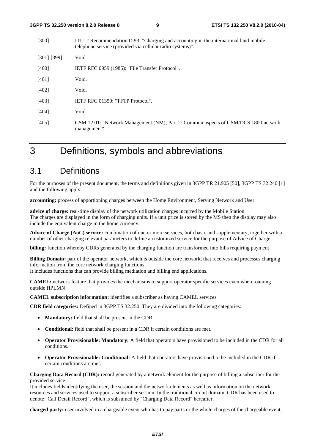| [300]             | ITU-T Recommendation D.93: "Charging and accounting in the international land mobile<br>telephone service (provided via cellular radio systems)". |
|-------------------|---------------------------------------------------------------------------------------------------------------------------------------------------|
| $[301]$ - $[399]$ | Void.                                                                                                                                             |
| [400]             | IETF RFC 0959 (1985): "File Transfer Protocol".                                                                                                   |
| [401]             | Void.                                                                                                                                             |
| [402]             | Void.                                                                                                                                             |
| [403]             | <b>IETF RFC 01350: "TFTP Protocol".</b>                                                                                                           |
| [404]             | Void.                                                                                                                                             |
| [405]             | GSM 12.01: "Network Management (NM); Part 2: Common aspects of GSM/DCS 1800 network<br>management".                                               |

### 3 Definitions, symbols and abbreviations

### 3.1 Definitions

For the purposes of the present document, the terms and definitions given in 3GPP TR 21.905 [50], 3GPP TS 32.240 [1] and the following apply:

**accounting:** process of apportioning charges between the Home Environment, Serving Network and User

**advice of charge:** real-time display of the network utilization charges incurred by the Mobile Station The charges are displayed in the form of charging units. If a unit price is stored by the MS then the display may also include the equivalent charge in the home currency.

**Advice of Charge (AoC) service:** combination of one or more services, both basic and supplementary, together with a number of other charging relevant parameters to define a customized service for the purpose of Advice of Charge

**billing:** function whereby CDRs generated by the charging function are transformed into bills requiring payment

**Billing Domain:** part of the operator network, which is outside the core network, that receives and processes charging information from the core network charging functions

It includes functions that can provide billing mediation and billing end applications.

**CAMEL:** network feature that provides the mechanisms to support operator specific services even when roaming outside HPLMN

**CAMEL subscription information:** identifies a subscriber as having CAMEL services

**CDR field categories:** Defined in 3GPP TS 32.250. They are divided into the following categories:

- **Mandatory:** field that shall be present in the CDR.
- **Conditional:** field that shall be present in a CDR if certain conditions are met.
- **Operator Provisionable: Mandatory:** A field that operators have provisioned to be included in the CDR for all conditions.
- **Operator Provisionable: Conditional:** A field that operators have provisioned to be included in the CDR if certain conditions are met.

**Charging Data Record (CDR):** record generated by a network element for the purpose of billing a subscriber for the provided service

It includes fields identifying the user, the session and the network elements as well as information on the network resources and services used to support a subscriber session. In the traditional circuit domain, CDR has been used to denote "Call Detail Record", which is subsumed by "Charging Data Record" hereafter.

**charged party:** user involved in a chargeable event who has to pay parts or the whole charges of the chargeable event,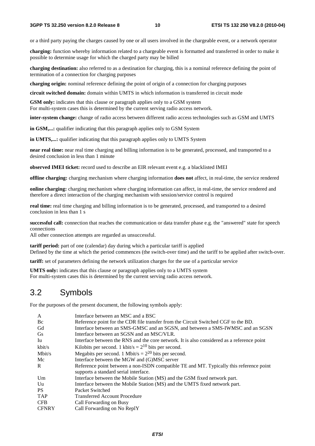or a third party paying the charges caused by one or all users involved in the chargeable event, or a network operator

**charging:** function whereby information related to a chargeable event is formatted and transferred in order to make it possible to determine usage for which the charged party may be billed

**charging destination:** also referred to as a destination for charging, this is a nominal reference defining the point of termination of a connection for charging purposes

**charging origin:** nominal reference defining the point of origin of a connection for charging purposes

**circuit switched domain:** domain within UMTS in which information is transferred in circuit mode

**GSM only:** indicates that this clause or paragraph applies only to a GSM system For multi-system cases this is determined by the current serving radio access network.

**inter-system change:** change of radio access between different radio access technologies such as GSM and UMTS

**in GSM,...:** qualifier indicating that this paragraph applies only to GSM System

**in UMTS,...:** qualifier indicating that this paragraph applies only to UMTS System

**near real time:** near real time charging and billing information is to be generated, processed, and transported to a desired conclusion in less than 1 minute

**observed IMEI ticket:** record used to describe an EIR relevant event e.g. a blacklisted IMEI

**offline charging:** charging mechanism where charging information **does not** affect, in real-time, the service rendered

**online charging:** charging mechanism where charging information can affect, in real-time, the service rendered and therefore a direct interaction of the charging mechanism with session/service control is required

**real time:** real time charging and billing information is to be generated, processed, and transported to a desired conclusion in less than 1 s

**successful call:** connection that reaches the communication or data transfer phase e.g. the "answered" state for speech connections

All other connection attempts are regarded as unsuccessful.

**tariff period:** part of one (calendar) day during which a particular tariff is applied Defined by the time at which the period commences (the switch-over time) and the tariff to be applied after switch-over.

**tariff:** set of parameters defining the network utilization charges for the use of a particular service

**UMTS only:** indicates that this clause or paragraph applies only to a UMTS system For multi-system cases this is determined by the current serving radio access network.

### 3.2 Symbols

For the purposes of the present document, the following symbols apply:

| A              | Interface between an MSC and a BSC                                                         |
|----------------|--------------------------------------------------------------------------------------------|
| Bc             | Reference point for the CDR file transfer from the Circuit Switched CGF to the BD.         |
| Gd             | Interface between an SMS-GMSC and an SGSN, and between a SMS-IWMSC and an SGSN             |
| <b>Gs</b>      | Interface between an SGSN and an MSC/VLR.                                                  |
| Iu             | Interface between the RNS and the core network. It is also considered as a reference point |
| kbit/s         | Kilobits per second. 1 kbit/s = $2^{10}$ bits per second.                                  |
| Mbit/s         | Megabits per second. 1 Mbit/s = $2^{20}$ bits per second.                                  |
| Mc             | Interface between the MGW and (G)MSC server                                                |
| $\mathbf{R}$   | Reference point between a non-ISDN compatible TE and MT. Typically this reference point    |
|                | supports a standard serial interface.                                                      |
| Um             | Interface between the Mobile Station (MS) and the GSM fixed network part.                  |
| U <sub>u</sub> | Interface between the Mobile Station (MS) and the UMTS fixed network part.                 |
| <b>PS</b>      | Packet Switched                                                                            |
| <b>TAP</b>     | <b>Transferred Account Procedure</b>                                                       |
| <b>CFB</b>     | Call Forwarding on Busy                                                                    |
| <b>CFNRY</b>   | Call Forwarding on No ReplY                                                                |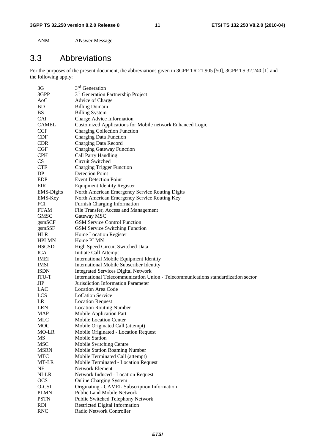ANM ANswer Message

### 3.3 Abbreviations

For the purposes of the present document, the abbreviations given in 3GPP TR 21.905 [50], 3GPP TS 32.240 [1] and the following apply:

| 3G                   | 3 <sup>rd</sup> Generation                                                        |
|----------------------|-----------------------------------------------------------------------------------|
| 3GPP                 | 3 <sup>rd</sup> Generation Partnership Project                                    |
| A <sub>0</sub> C     | Advice of Charge                                                                  |
| BD                   | <b>Billing Domain</b>                                                             |
| <b>BS</b>            | <b>Billing System</b>                                                             |
| <b>CAI</b>           | Charge Advice Information                                                         |
| <b>CAMEL</b>         | Customized Applications for Mobile network Enhanced Logic                         |
| <b>CCF</b>           | <b>Charging Collection Function</b>                                               |
| <b>CDF</b>           | <b>Charging Data Function</b>                                                     |
| <b>CDR</b>           | Charging Data Record                                                              |
| CGF                  | <b>Charging Gateway Function</b>                                                  |
| <b>CPH</b>           | Call Party Handling                                                               |
| <b>CS</b>            | Circuit Switched                                                                  |
| <b>CTF</b>           | <b>Charging Trigger Function</b>                                                  |
| DP                   | <b>Detection Point</b>                                                            |
| EDP                  | <b>Event Detection Point</b>                                                      |
| <b>EIR</b>           | <b>Equipment Identity Register</b>                                                |
| <b>EMS-Digits</b>    | North American Emergency Service Routing Digits                                   |
| EMS-Key              | North American Emergency Service Routing Key                                      |
| <b>FCI</b>           | Furnish Charging Information                                                      |
| <b>FTAM</b>          | File Transfer, Access and Management                                              |
| <b>GMSC</b>          | Gateway MSC                                                                       |
|                      | <b>GSM Service Control Function</b>                                               |
| gsmSCF               |                                                                                   |
| gsmSSF<br><b>HLR</b> | <b>GSM Service Switching Function</b>                                             |
|                      | Home Location Register                                                            |
| <b>HPLMN</b>         | Home PLMN                                                                         |
| <b>HSCSD</b>         | High Speed Circuit Switched Data                                                  |
| <b>ICA</b>           | Initiate Call Attempt                                                             |
| IMEI                 | International Mobile Equipment Identity                                           |
| <b>IMSI</b>          | International Mobile Subscriber Identity                                          |
| <b>ISDN</b>          | <b>Integrated Services Digital Network</b>                                        |
| ITU-T                | International Telecommunication Union - Telecommunications standardization sector |
| JIP                  | Jurisdiction Information Parameter                                                |
| LAC                  | <b>Location Area Code</b>                                                         |
| <b>LCS</b>           | <b>LoCation Service</b>                                                           |
| LR                   | <b>Location Request</b>                                                           |
| <b>LRN</b>           | <b>Location Routing Number</b>                                                    |
| <b>MAP</b>           | Mobile Application Part                                                           |
| <b>MLC</b>           | <b>Mobile Location Center</b>                                                     |
| <b>MOC</b>           | Mobile Originated Call (attempt)                                                  |
| MO-LR                | Mobile Originated - Location Request                                              |
| MS                   | <b>Mobile Station</b>                                                             |
| <b>MSC</b>           | Mobile Switching Centre                                                           |
| <b>MSRN</b>          | <b>Mobile Station Roaming Number</b>                                              |
| <b>MTC</b>           | Mobile Terminated Call (attempt)                                                  |
| MT-LR                | Mobile Terminated - Location Request                                              |
| NE                   | Network Element                                                                   |
| NI-LR                | Network Induced - Location Request                                                |
| <b>OCS</b>           | <b>Online Charging System</b>                                                     |
| O-CSI                | Originating - CAMEL Subscription Information                                      |
| <b>PLMN</b>          | <b>Public Land Mobile Network</b>                                                 |
| <b>PSTN</b>          | Public Switched Telephony Network                                                 |
| <b>RDI</b>           | <b>Restricted Digital Information</b>                                             |
| <b>RNC</b>           | Radio Network Controller                                                          |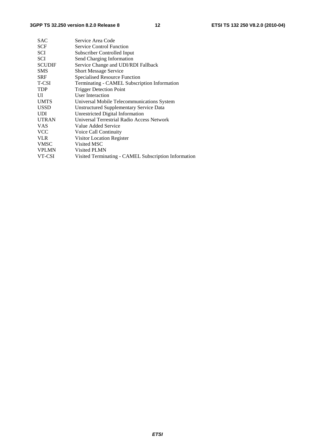| <b>SAC</b>    | Service Area Code                                    |  |
|---------------|------------------------------------------------------|--|
| <b>SCF</b>    | <b>Service Control Function</b>                      |  |
| SCI           | Subscriber Controlled Input                          |  |
| <b>SCI</b>    | Send Charging Information                            |  |
| <b>SCUDIF</b> | Service Change and UDI/RDI Fallback                  |  |
| <b>SMS</b>    | <b>Short Message Service</b>                         |  |
| <b>SRF</b>    | <b>Specialised Resource Function</b>                 |  |
| T-CSI         | Terminating - CAMEL Subscription Information         |  |
| <b>TDP</b>    | <b>Trigger Detection Point</b>                       |  |
| UI            | User Interaction                                     |  |
| <b>UMTS</b>   | Universal Mobile Telecommunications System           |  |
| <b>USSD</b>   | Unstructured Supplementary Service Data              |  |
| <b>UDI</b>    | Unrestricted Digital Information                     |  |
| <b>UTRAN</b>  | Universal Terrestrial Radio Access Network           |  |
| <b>VAS</b>    | Value Added Service                                  |  |
| <b>VCC</b>    | Voice Call Continuity                                |  |
| <b>VLR</b>    | Visitor Location Register                            |  |
| <b>VMSC</b>   | Visited MSC                                          |  |
| <b>VPLMN</b>  | Visited PLMN                                         |  |
| VT-CSI        | Visited Terminating - CAMEL Subscription Information |  |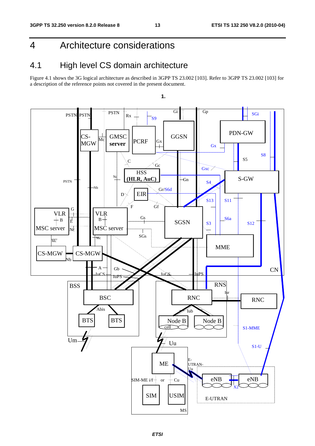### 4 Architecture considerations

### 4.1 High level CS domain architecture

Figure 4.1 shows the 3G logical architecture as described in 3GPP TS 23.002 [103]. Refer to 3GPP TS 23.002 [103] for a description of the reference points not covered in the present document.

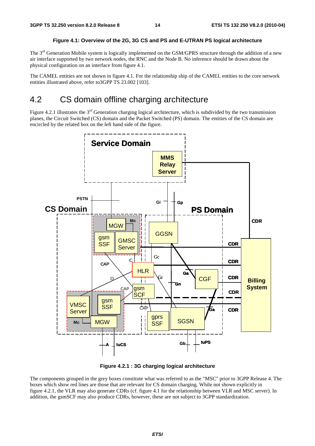#### **Figure 4.1: Overview of the 2G, 3G CS and PS and E-UTRAN PS logical architecture**

The 3<sup>rd</sup> Generation Mobile system is logically implemented on the GSM/GPRS structure through the addition of a new air interface supported by two network nodes, the RNC and the Node B. No inference should be drawn about the physical configuration on an interface from figure 4.1.

The CAMEL entities are not shown in figure 4.1. For the relationship ship of the CAMEL entities to the core network entities illustrated above, refer to 3GPP TS 23,002 [103].

### 4.2 CS domain offline charging architecture

Figure 4.2.1 illustrates the  $3<sup>rd</sup>$  Generation charging logical architecture, which is subdivided by the two transmission planes, the Circuit Switched (CS) domain and the Packet Switched (PS) domain. The entities of the CS domain are encircled by the related box on the left hand side of the figure.



**Figure 4.2.1 : 3G charging logical architecture** 

The components grouped in the grey boxes constitute what was referred to as the "MSC" prior to 3GPP Release 4. The boxes which show red lines are those that are relevant for CS domain charging. While not shown explicitly in figure 4.2.1, the VLR may also generate CDRs (cf. figure 4.1 for the relationship between VLR and MSC server). In addition, the gsmSCF may also produce CDRs, however, these are not subject to 3GPP standardization.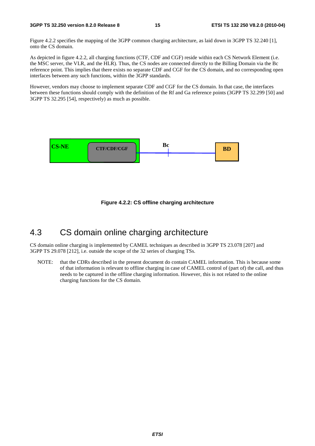Figure 4.2.2 specifies the mapping of the 3GPP common charging architecture, as laid down in 3GPP TS 32.240 [1], onto the CS domain.

As depicted in figure 4.2.2, all charging functions (CTF, CDF and CGF) reside within each CS Network Element (i.e. the MSC server, the VLR, and the HLR). Thus, the CS nodes are connected directly to the Billing Domain via the Bc reference point. This implies that there exists no separate CDF and CGF for the CS domain, and no corresponding open interfaces between any such functions, within the 3GPP standards.

However, vendors may choose to implement separate CDF and CGF for the CS domain. In that case, the interfaces between these functions should comply with the definition of the Rf and Ga reference points (3GPP TS 32.299 [50] and 3GPP TS 32.295 [54], respectively) as much as possible.





### 4.3 CS domain online charging architecture

CS domain online charging is implemented by CAMEL techniques as described in 3GPP TS 23.078 [207] and 3GPP TS 29.078 [212], i.e. outside the scope of the 32 series of charging TSs.

NOTE: that the CDRs described in the present document do contain CAMEL information. This is because some of that information is relevant to offline charging in case of CAMEL control of (part of) the call, and thus needs to be captured in the offline charging information. However, this is not related to the online charging functions for the CS domain.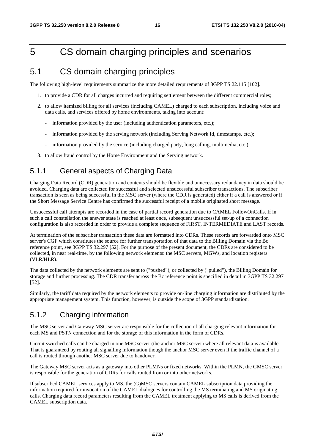### 5 CS domain charging principles and scenarios

### 5.1 CS domain charging principles

The following high-level requirements summarize the more detailed requirements of 3GPP TS 22.115 [102].

- 1. to provide a CDR for all charges incurred and requiring settlement between the different commercial roles;
- 2. to allow itemized billing for all services (including CAMEL) charged to each subscription, including voice and data calls, and services offered by home environments, taking into account:
	- information provided by the user (including authentication parameters, etc.);
	- information provided by the serving network (including Serving Network Id, timestamps, etc.);
	- information provided by the service (including charged party, long calling, multimedia, etc.).
- 3. to allow fraud control by the Home Environment and the Serving network.

### 5.1.1 General aspects of Charging Data

Charging Data Record (CDR) generation and contents should be flexible and unnecessary redundancy in data should be avoided. Charging data are collected for successful and selected unsuccessful subscriber transactions. The subscriber transaction is seen as being successful in the MSC server (where the CDR is generated) either if a call is answered or if the Short Message Service Centre has confirmed the successful receipt of a mobile originated short message.

Unsuccessful call attempts are recorded in the case of partial record generation due to CAMEL FollowOnCalls. If in such a call constellation the answer state is reached at least once, subsequent unsuccessful set-up of a connection configuration is also recorded in order to provide a complete sequence of FIRST, INTERMEDIATE and LAST records.

At termination of the subscriber transaction these data are formatted into CDRs. These records are forwarded onto MSC server's CGF which constitutes the source for further transportation of that data to the Billing Domain via the Bc reference point, see 3GPP TS 32.297 [52]. For the purpose of the present document, the CDRs are considered to be collected, in near real-time, by the following network elements: the MSC servers, MGWs, and location registers (VLR/HLR).

The data collected by the network elements are sent to ("pushed"), or collected by ("pulled"), the Billing Domain for storage and further processing. The CDR transfer across the Bc reference point is specified in detail in 3GPP TS 32.297 [52].

Similarly, the tariff data required by the network elements to provide on-line charging information are distributed by the appropriate management system. This function, however, is outside the scope of 3GPP standardization.

#### 5.1.2 Charging information

The MSC server and Gateway MSC server are responsible for the collection of all charging relevant information for each MS and PSTN connection and for the storage of this information in the form of CDRs.

Circuit switched calls can be charged in one MSC server (the anchor MSC server) where all relevant data is available. That is guaranteed by routing all signalling information though the anchor MSC server even if the traffic channel of a call is routed through another MSC server due to handover.

The Gateway MSC server acts as a gateway into other PLMNs or fixed networks. Within the PLMN, the GMSC server is responsible for the generation of CDRs for calls routed from or into other networks.

If subscribed CAMEL services apply to MS, the (G)MSC servers contain CAMEL subscription data providing the information required for invocation of the CAMEL dialogues for controlling the MS terminating and MS originating calls. Charging data record parameters resulting from the CAMEL treatment applying to MS calls is derived from the CAMEL subscription data.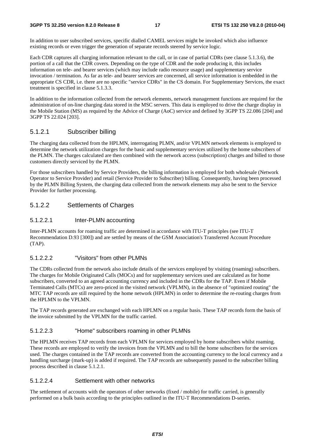In addition to user subscribed services, specific dialled CAMEL services might be invoked which also influence existing records or even trigger the generation of separate records steered by service logic.

Each CDR captures all charging information relevant to the call, or in case of partial CDRs (see clause 5.1.3.6), the portion of a call that the CDR covers. Depending on the type of CDR and the node producing it, this includes information on tele- and bearer services (which may include radio resource usage) and supplementary service invocation / termination. As far as tele- and bearer services are concerned, all service information is embedded in the appropriate CS CDR, i.e. there are no specific "service CDRs" in the CS domain. For Supplementary Services, the exact treatment is specified in clause 5.1.3.3.

In addition to the information collected from the network elements, network management functions are required for the administration of on-line charging data stored in the MSC servers. This data is employed to drive the charge display in the Mobile Station (MS) as required by the Advice of Charge (AoC) service and defined by 3GPP TS 22.086 [204] and 3GPP TS 22.024 [203].

#### 5.1.2.1 Subscriber billing

The charging data collected from the HPLMN, interrogating PLMN, and/or VPLMN network elements is employed to determine the network utilization charges for the basic and supplementary services utilized by the home subscribers of the PLMN. The charges calculated are then combined with the network access (subscription) charges and billed to those customers directly serviced by the PLMN.

For those subscribers handled by Service Providers, the billing information is employed for both wholesale (Network Operator to Service Provider) and retail (Service Provider to Subscriber) billing. Consequently, having been processed by the PLMN Billing System, the charging data collected from the network elements may also be sent to the Service Provider for further processing.

#### 5.1.2.2 Settlements of Charges

#### 5.1.2.2.1 Inter-PLMN accounting

Inter-PLMN accounts for roaming traffic are determined in accordance with ITU-T principles (see ITU-T Recommendation D.93 [300]) and are settled by means of the GSM Association's Transferred Account Procedure (TAP).

#### 5.1.2.2.2 "Visitors" from other PLMNs

The CDRs collected from the network also include details of the services employed by visiting (roaming) subscribers. The charges for Mobile Originated Calls (MOCs) and for supplementary services used are calculated as for home subscribers, converted to an agreed accounting currency and included in the CDRs for the TAP. Even if Mobile Terminated Calls (MTCs) are zero-priced in the visited network (VPLMN), in the absence of "optimized routing" the MTC TAP records are still required by the home network (HPLMN) in order to determine the re-routing charges from the HPLMN to the VPLMN.

The TAP records generated are exchanged with each HPLMN on a regular basis. These TAP records form the basis of the invoice submitted by the VPLMN for the traffic carried.

#### 5.1.2.2.3 "Home" subscribers roaming in other PLMNs

The HPLMN receives TAP records from each VPLMN for services employed by home subscribers whilst roaming. These records are employed to verify the invoices from the VPLMN and to bill the home subscribers for the services used. The charges contained in the TAP records are converted from the accounting currency to the local currency and a handling surcharge (mark-up) is added if required. The TAP records are subsequently passed to the subscriber billing process described in clause 5.1.2.1.

#### 5.1.2.2.4 Settlement with other networks

The settlement of accounts with the operators of other networks (fixed / mobile) for traffic carried, is generally performed on a bulk basis according to the principles outlined in the ITU-T Recommendations D-series.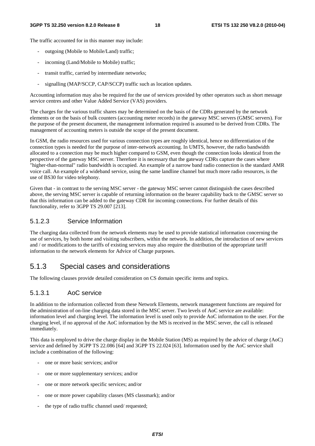The traffic accounted for in this manner may include:

- outgoing (Mobile to Mobile/Land) traffic;
- incoming (Land/Mobile to Mobile) traffic;
- transit traffic, carried by intermediate networks;
- signalling (MAP/SCCP, CAP/SCCP) traffic such as location updates.

Accounting information may also be required for the use of services provided by other operators such as short message service centres and other Value Added Service (VAS) providers.

The charges for the various traffic shares may be determined on the basis of the CDRs generated by the network elements or on the basis of bulk counters (accounting meter records) in the gateway MSC servers (GMSC servers). For the purpose of the present document, the management information required is assumed to be derived from CDRs. The management of accounting meters is outside the scope of the present document.

In GSM, the radio resources used for various connection types are roughly identical, hence no differentiation of the connection types is needed for the purpose of inter-network accounting. In UMTS, however, the radio bandwidth allocated to a connection may be much higher compared to GSM, even though the connection looks identical from the perspective of the gateway MSC server. Therefore it is necessary that the gateway CDRs capture the cases where "higher-than-normal" radio bandwidth is occupied. An example of a narrow band radio connection is the standard AMR voice call. An example of a wideband service, using the same landline channel but much more radio resources, is the use of BS30 for video telephony.

Given that - in contrast to the serving MSC server - the gateway MSC server cannot distinguish the cases described above, the serving MSC server is capable of returning information on the bearer capability back to the GMSC server so that this information can be added to the gateway CDR for incoming connections. For further details of this functionality, refer to 3GPP TS 29.007 [213].

#### 5.1.2.3 Service Information

The charging data collected from the network elements may be used to provide statistical information concerning the use of services, by both home and visiting subscribers, within the network. In addition, the introduction of new services and / or modifications to the tariffs of existing services may also require the distribution of the appropriate tariff information to the network elements for Advice of Charge purposes.

#### 5.1.3 Special cases and considerations

The following clauses provide detailed consideration on CS domain specific items and topics.

#### 5.1.3.1 AoC service

In addition to the information collected from these Network Elements, network management functions are required for the administration of on-line charging data stored in the MSC server. Two levels of AoC service are available: information level and charging level. The information level is used only to provide AoC information to the user. For the charging level, if no approval of the AoC information by the MS is received in the MSC server, the call is released immediately.

This data is employed to drive the charge display in the Mobile Station (MS) as required by the advice of charge (AoC) service and defined by 3GPP TS 22.086 [64] and 3GPP TS 22.024 [63]. Information used by the AoC service shall include a combination of the following:

- one or more basic services; and/or
- one or more supplementary services; and/or
- one or more network specific services; and/or
- one or more power capability classes (MS classmark); and/or
- the type of radio traffic channel used/ requested;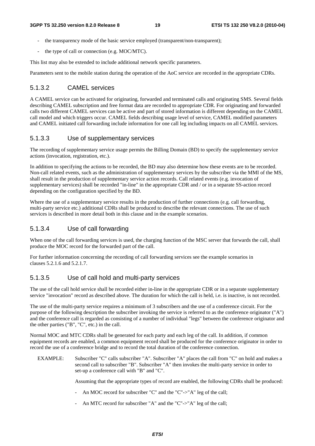- the transparency mode of the basic service employed (transparent/non-transparent);
- the type of call or connection (e.g. MOC/MTC).

This list may also be extended to include additional network specific parameters.

Parameters sent to the mobile station during the operation of the AoC service are recorded in the appropriate CDRs.

#### 5.1.3.2 CAMEL services

A CAMEL service can be activated for originating, forwarded and terminated calls and originating SMS. Several fields describing CAMEL subscription and free format data are recorded to appropriate CDR. For originating and forwarded calls two different CAMEL services can be active and part of stored information is different depending on the CAMEL call model and which triggers occur. CAMEL fields describing usage level of service, CAMEL modified parameters and CAMEL initiated call forwarding include information for one call leg including impacts on all CAMEL services.

#### 5.1.3.3 Use of supplementary services

The recording of supplementary service usage permits the Billing Domain (BD) to specify the supplementary service actions (invocation, registration, etc.).

In addition to specifying the actions to be recorded, the BD may also determine how these events are to be recorded. Non-call related events, such as the administration of supplementary services by the subscriber via the MMI of the MS, shall result in the production of supplementary service action records. Call related events (e.g. invocation of supplementary services) shall be recorded "in-line" in the appropriate CDR and / or in a separate SS-action record depending on the configuration specified by the BD.

Where the use of a supplementary service results in the production of further connections (e.g. call forwarding, multi-party service etc.) additional CDRs shall be produced to describe the relevant connections. The use of such services is described in more detail both in this clause and in the example scenarios.

#### 5.1.3.4 Use of call forwarding

When one of the call forwarding services is used, the charging function of the MSC server that forwards the call, shall produce the MOC record for the forwarded part of the call.

For further information concerning the recording of call forwarding services see the example scenarios in clauses 5.2.1.6 and 5.2.1.7.

#### 5.1.3.5 Use of call hold and multi-party services

The use of the call hold service shall be recorded either in-line in the appropriate CDR or in a separate supplementary service "invocation" record as described above. The duration for which the call is held, i.e. is inactive, is not recorded.

The use of the multi-party service requires a minimum of 3 subscribers and the use of a conference circuit. For the purpose of the following description the subscriber invoking the service is referred to as the conference originator ("A") and the conference call is regarded as consisting of a number of individual "legs" between the conference originator and the other parties ("B", "C", etc.) in the call.

Normal MOC and MTC CDRs shall be generated for each party and each leg of the call. In addition, if common equipment records are enabled, a common equipment record shall be produced for the conference originator in order to record the use of a conference bridge and to record the total duration of the conference connection.

EXAMPLE: Subscriber "C" calls subscriber "A". Subscriber "A" places the call from "C" on hold and makes a second call to subscriber "B". Subscriber "A" then invokes the multi-party service in order to set-up a conference call with "B" and "C".

Assuming that the appropriate types of record are enabled, the following CDRs shall be produced:

- An MOC record for subscriber "C" and the "C"->"A" leg of the call;
- An MTC record for subscriber "A" and the "C"->"A" leg of the call;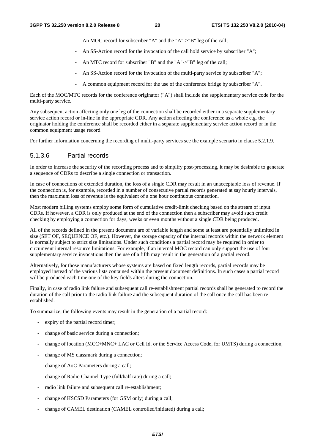- An MOC record for subscriber "A" and the "A"->"B" leg of the call:
- An SS-Action record for the invocation of the call hold service by subscriber "A";
- An MTC record for subscriber "B" and the "A"->"B" leg of the call;
- An SS-Action record for the invocation of the multi-party service by subscriber "A";
- A common equipment record for the use of the conference bridge by subscriber "A".

Each of the MOC/MTC records for the conference originator ("A") shall include the supplementary service code for the multi-party service.

Any subsequent action affecting only one leg of the connection shall be recorded either in a separate supplementary service action record or in-line in the appropriate CDR. Any action affecting the conference as a whole e.g. the originator holding the conference shall be recorded either in a separate supplementary service action record or in the common equipment usage record.

For further information concerning the recording of multi-party services see the example scenario in clause 5.2.1.9.

#### 5.1.3.6 Partial records

In order to increase the security of the recording process and to simplify post-processing, it may be desirable to generate a sequence of CDRs to describe a single connection or transaction.

In case of connections of extended duration, the loss of a single CDR may result in an unacceptable loss of revenue. If the connection is, for example, recorded in a number of consecutive partial records generated at say hourly intervals, then the maximum loss of revenue is the equivalent of a one hour continuous connection.

Most modern billing systems employ some form of cumulative credit-limit checking based on the stream of input CDRs. If however, a CDR is only produced at the end of the connection then a subscriber may avoid such credit checking by employing a connection for days, weeks or even months without a single CDR being produced.

All of the records defined in the present document are of variable length and some at least are potentially unlimited in size (SET OF, SEQUENCE OF, etc.). However, the storage capacity of the internal records within the network element is normally subject to strict size limitations. Under such conditions a partial record may be required in order to circumvent internal resource limitations. For example, if an internal MOC record can only support the use of four supplementary service invocations then the use of a fifth may result in the generation of a partial record.

Alternatively, for those manufacturers whose systems are based on fixed length records, partial records may be employed instead of the various lists contained within the present document definitions. In such cases a partial record will be produced each time one of the key fields alters during the connection.

Finally, in case of radio link failure and subsequent call re-establishment partial records shall be generated to record the duration of the call prior to the radio link failure and the subsequent duration of the call once the call has been reestablished.

To summarize, the following events may result in the generation of a partial record:

- expiry of the partial record timer;
- change of basic service during a connection;
- change of location (MCC+MNC+ LAC or Cell Id. or the Service Access Code, for UMTS) during a connection;
- change of MS classmark during a connection;
- change of AoC Parameters during a call;
- change of Radio Channel Type (full/half rate) during a call;
- radio link failure and subsequent call re-establishment;
- change of HSCSD Parameters (for GSM only) during a call;
- change of CAMEL destination (CAMEL controlled/initiated) during a call;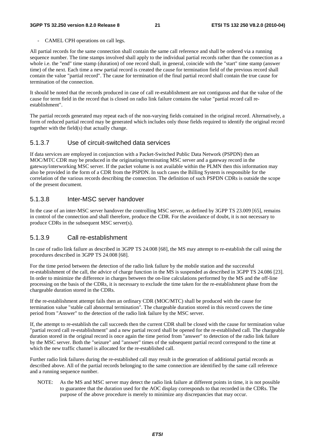CAMEL CPH operations on call legs.

All partial records for the same connection shall contain the same call reference and shall be ordered via a running sequence number. The time stamps involved shall apply to the individual partial records rather than the connection as a whole i.e. the "end" time stamp (duration) of one record shall, in general, coincide with the "start" time stamp (answer time) of the next. Each time a new partial record is created the cause for termination field of the previous record shall contain the value "partial record". The cause for termination of the final partial record shall contain the true cause for termination of the connection.

It should be noted that the records produced in case of call re-establishment are not contiguous and that the value of the cause for term field in the record that is closed on radio link failure contains the value "partial record call reestablishment".

The partial records generated may repeat each of the non-varying fields contained in the original record. Alternatively, a form of reduced partial record may be generated which includes only those fields required to identify the original record together with the field(s) that actually change.

#### 5.1.3.7 Use of circuit-switched data services

If data services are employed in conjunction with a Packet-Switched Public Data Network (PSPDN) then an MOC/MTC CDR may be produced in the originating/terminating MSC server and a gateway record in the gateway/interworking MSC server. If the packet volume is not available within the PLMN then this information may also be provided in the form of a CDR from the PSPDN. In such cases the Billing System is responsible for the correlation of the various records describing the connection. The definition of such PSPDN CDRs is outside the scope of the present document.

#### 5.1.3.8 Inter-MSC server handover

In the case of an inter-MSC server handover the controlling MSC server, as defined by 3GPP TS 23.009 [65], remains in control of the connection and shall therefore, produce the CDR. For the avoidance of doubt, it is not necessary to produce CDRs in the subsequent MSC server(s).

#### 5.1.3.9 Call re-establishment

In case of radio link failure as described in 3GPP TS 24.008 [68], the MS may attempt to re-establish the call using the procedures described in 3GPP TS 24.008 [68].

For the time period between the detection of the radio link failure by the mobile station and the successful re-establishment of the call, the advice of charge function in the MS is suspended as described in 3GPP TS 24.086 [23]. In order to minimize the difference in charges between the on-line calculations performed by the MS and the off-line processing on the basis of the CDRs, it is necessary to exclude the time taken for the re-establishment phase from the chargeable duration stored in the CDRs.

If the re-establishment attempt fails then an ordinary CDR (MOC/MTC) shall be produced with the cause for termination value "stable call abnormal termination". The chargeable duration stored in this record covers the time period from "Answer" to the detection of the radio link failure by the MSC server.

If, the attempt to re-establish the call succeeds then the current CDR shall be closed with the cause for termination value "partial record call re-establishment" and a new partial record shall be opened for the re-established call. The chargeable duration stored in the original record is once again the time period from "answer" to detection of the radio link failure by the MSC server. Both the "seizure" and "answer" times of the subsequent partial record correspond to the time at which the new traffic channel is allocated for the re-established call.

Further radio link failures during the re-established call may result in the generation of additional partial records as described above. All of the partial records belonging to the same connection are identified by the same call reference and a running sequence number.

NOTE: As the MS and MSC server may detect the radio link failure at different points in time, it is not possible to guarantee that the duration used for the AOC display corresponds to that recorded in the CDRs. The purpose of the above procedure is merely to minimize any discrepancies that may occur.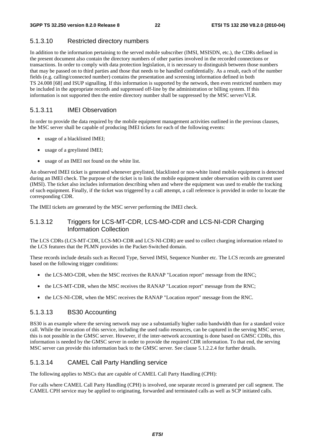#### 5.1.3.10 Restricted directory numbers

In addition to the information pertaining to the served mobile subscriber (IMSI, MSISDN, etc.), the CDRs defined in the present document also contain the directory numbers of other parties involved in the recorded connections or transactions. In order to comply with data protection legislation, it is necessary to distinguish between those numbers that may be passed on to third parties and those that needs to be handled confidentially. As a result, each of the number fields (e.g. calling/connected number) contains the presentation and screening information defined in both TS 24.008 [68] and ISUP signalling. If this information is supported by the network, then even restricted numbers may be included in the appropriate records and suppressed off-line by the administration or billing system. If this information is not supported then the entire directory number shall be suppressed by the MSC server/VLR.

#### 5.1.3.11 IMEI Observation

In order to provide the data required by the mobile equipment management activities outlined in the previous clauses, the MSC server shall be capable of producing IMEI tickets for each of the following events:

- usage of a blacklisted IMEI;
- usage of a greylisted IMEI;
- usage of an IMEI not found on the white list.

An observed IMEI ticket is generated whenever greylisted, blacklisted or non-white listed mobile equipment is detected during an IMEI check. The purpose of the ticket is to link the mobile equipment under observation with its current user (IMSI). The ticket also includes information describing when and where the equipment was used to enable the tracking of such equipment. Finally, if the ticket was triggered by a call attempt, a call reference is provided in order to locate the corresponding CDR.

The IMEI tickets are generated by the MSC server performing the IMEI check.

#### 5.1.3.12 Triggers for LCS-MT-CDR, LCS-MO-CDR and LCS-NI-CDR Charging Information Collection

The LCS CDRs (LCS-MT-CDR, LCS-MO-CDR and LCS-NI-CDR) are used to collect charging information related to the LCS features that the PLMN provides in the Packet-Switched domain.

These records include details such as Record Type, Served IMSI, Sequence Number etc. The LCS records are generated based on the following trigger conditions:

- the LCS-MO-CDR, when the MSC receives the RANAP "Location report" message from the RNC;
- the LCS-MT-CDR, when the MSC receives the RANAP "Location report" message from the RNC;
- the LCS-NI-CDR, when the MSC receives the RANAP "Location report" message from the RNC.

#### 5.1.3.13 BS30 Accounting

BS30 is an example where the serving network may use a substantially higher radio bandwidth than for a standard voice call. While the invocation of this service, including the used radio resources, can be captured in the serving MSC server, this is not possible in the GMSC server. However, if the inter-network accounting is done based on GMSC CDRs, this information is needed by the GMSC server in order to provide the required CDR information. To that end, the serving MSC server can provide this information back to the GMSC server. See clause 5.1.2.2.4 for further details.

#### 5.1.3.14 CAMEL Call Party Handling service

The following applies to MSCs that are capable of CAMEL Call Party Handling (CPH):

For calls where CAMEL Call Party Handling (CPH) is involved, one separate record is generated per call segment. The CAMEL CPH service may be applied to originating, forwarded and terminated calls as well as SCP initiated calls.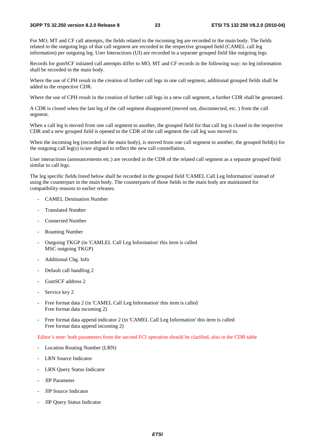For MO, MT and CF call attempts, the fields related to the incoming leg are recorded in the main body. The fields related to the outgoing legs of that call segment are recorded in the respective grouped field (CAMEL call leg information) per outgoing leg. User Interactions (UI) are recorded in a separate grouped field like outgoing legs.

Records for gsmSCF initiated call attempts differ to MO, MT and CF records in the following way: no leg information shall be recorded in the main body.

Where the use of CPH result in the creation of further call legs in one call segment, additional grouped fields shall be added to the respective CDR.

Where the use of CPH result in the creation of further call legs in a new call segment, a further CDR shall be generated.

A CDR is closed when the last leg of the call segment disappeared (moved out, disconnected, etc. ) from the call segment.

When a call leg is moved from one call segment to another, the grouped field for that call leg is closed in the respective CDR and a new grouped field is opened in the CDR of the call segment the call leg was moved to.

When the incoming leg (recorded in the main body), is moved from one call segment to another, the grouped field(s) for the outgoing call leg(s) is/are aligned to reflect the new call constellation.

User interactions (announcements etc.) are recorded in the CDR of the related call segment as a separate grouped field similar to call legs.

The leg specific fields listed below shall be recorded in the grouped field 'CAMEL Call Leg Information' instead of using the counterpart in the main body. The counterparts of those fields in the main body are maintained for compatibility reasons to earlier releases.

- CAMEL Destination Number
- Translated Number
- Connected Number
- Roaming Number
- Outgoing TKGP (in 'CAMLEL Call Leg Information' this item is called MSC outgoing TKGP)
- Additional Chg. Info
- Default call handling 2
- GsmSCF address 2
- Service key 2
- Free format data 2 (in 'CAMEL Call Leg Information' this item is called Free format data incoming 2)
- Free format data append indicator 2 (in 'CAMEL Call Leg Information' this item is called Free format data append incoming 2)

Editor's note: both parameters from the second FCI operation should be clarified, also in the CDR table

- Location Routing Number (LRN)
- LRN Source Indicator
- LRN Query Status Indicator
- JIP Parameter
- JIP Source Indicator
- JIP Query Status Indicator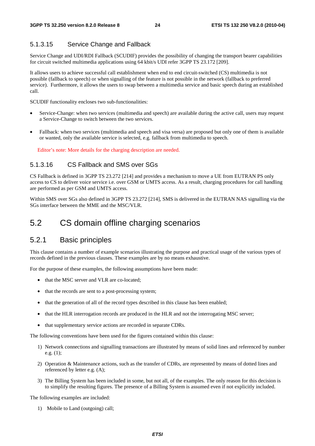#### 5.1.3.15 Service Change and Fallback

Service Change and UDI/RDI Fallback (SCUDIF) provides the possibility of changing the transport bearer capabilities for circuit switched multimedia applications using 64 kbit/s UDI refer 3GPP TS 23.172 [209].

It allows users to achieve successful call establishment when end to end circuit-switched (CS) multimedia is not possible (fallback to speech) or when signalling of the feature is not possible in the network (fallback to preferred service). Furthermore, it allows the users to swap between a multimedia service and basic speech during an established call.

SCUDIF functionality encloses two sub-functionalities:

- Service-Change: when two services (multimedia and speech) are available during the active call, users may request a Service-Change to switch between the two services.
- Fallback: when two services (multimedia and speech and visa versa) are proposed but only one of them is available or wanted, only the available service is selected, e.g. fallback from multimedia to speech.

Editor's note: More details for the charging description are needed.

#### 5.1.3.16 CS Fallback and SMS over SGs

CS Fallback is defined in 3GPP TS 23.272 [214] and provides a mechanism to move a UE from EUTRAN PS only access to CS to deliver voice service i.e. over GSM or UMTS access. As a result, charging procedures for call handling are performed as per GSM and UMTS access.

Within SMS over SGs also defined in 3GPP TS 23.272 [214], SMS is delivered in the EUTRAN NAS signalling via the SGs interface between the MME and the MSC/VLR.

### 5.2 CS domain offline charging scenarios

#### 5.2.1 Basic principles

This clause contains a number of example scenarios illustrating the purpose and practical usage of the various types of records defined in the previous clauses. These examples are by no means exhaustive.

For the purpose of these examples, the following assumptions have been made:

- that the MSC server and VLR are co-located;
- that the records are sent to a post-processing system;
- that the generation of all of the record types described in this clause has been enabled;
- that the HLR interrogation records are produced in the HLR and not the interrogating MSC server;
- that supplementary service actions are recorded in separate CDRs.

The following conventions have been used for the figures contained within this clause:

- 1) Network connections and signalling transactions are illustrated by means of solid lines and referenced by number e.g. (1);
- 2) Operation & Maintenance actions, such as the transfer of CDRs, are represented by means of dotted lines and referenced by letter e.g. (A);
- 3) The Billing System has been included in some, but not all, of the examples. The only reason for this decision is to simplify the resulting figures. The presence of a Billing System is assumed even if not explicitly included.

The following examples are included:

1) Mobile to Land (outgoing) call;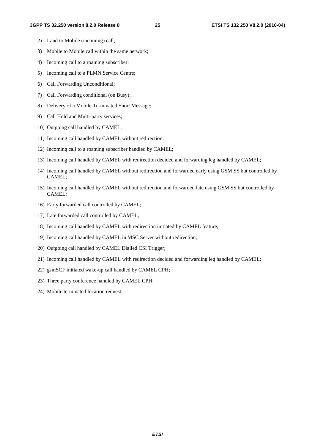- 2) Land to Mobile (incoming) call;
- 3) Mobile to Mobile call within the same network;
- 4) Incoming call to a roaming subscriber;
- 5) Incoming call to a PLMN Service Centre;
- 6) Call Forwarding Unconditional;
- 7) Call Forwarding conditional (on Busy);
- 8) Delivery of a Mobile Terminated Short Message;
- 9) Call Hold and Multi-party services;
- 10) Outgoing call handled by CAMEL;
- 11) Incoming call handled by CAMEL without redirection;
- 12) Incoming call to a roaming subscriber handled by CAMEL;
- 13) Incoming call handled by CAMEL with redirection decided and forwarding leg handled by CAMEL;
- 14) Incoming call handled by CAMEL without redirection and forwarded early using GSM SS but controlled by CAMEL;
- 15) Incoming call handled by CAMEL without redirection and forwarded late using GSM SS but controlled by CAMEL;
- 16) Early forwarded call controlled by CAMEL;
- 17) Late forwarded call controlled by CAMEL;
- 18) Incoming call handled by CAMEL with redirection initiated by CAMEL feature;
- 19) Incoming call handled by CAMEL in MSC Server without redirection;
- 20) Outgoing call handled by CAMEL Dialled CSI Trigger;
- 21) Incoming call handled by CAMEL with redirection decided and forwarding leg handled by CAMEL;
- 22) gsmSCF initiated wake-up call handled by CAMEL CPH;
- 23) Three party conference handled by CAMEL CPH;
- 24) Mobile terminated location request.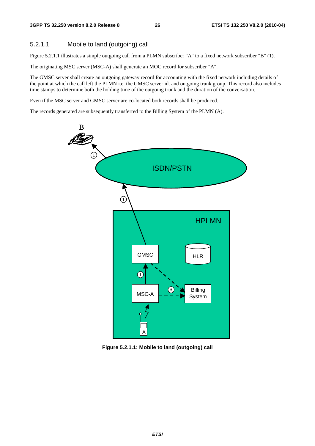#### 5.2.1.1 Mobile to land (outgoing) call

Figure 5.2.1.1 illustrates a simple outgoing call from a PLMN subscriber "A" to a fixed network subscriber "B" (1).

The originating MSC server (MSC-A) shall generate an MOC record for subscriber "A".

The GMSC server shall create an outgoing gateway record for accounting with the fixed network including details of the point at which the call left the PLMN i.e. the GMSC server id. and outgoing trunk group. This record also includes time stamps to determine both the holding time of the outgoing trunk and the duration of the conversation.

Even if the MSC server and GMSC server are co-located both records shall be produced.

The records generated are subsequently transferred to the Billing System of the PLMN (A).



**Figure 5.2.1.1: Mobile to land (outgoing) call**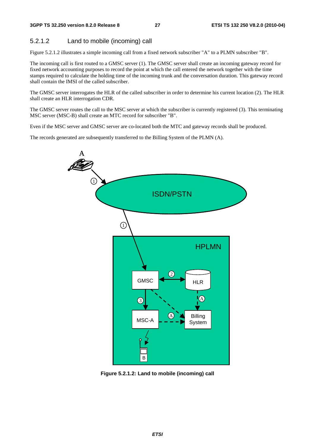#### 5.2.1.2 Land to mobile (incoming) call

Figure 5.2.1.2 illustrates a simple incoming call from a fixed network subscriber "A" to a PLMN subscriber "B".

The incoming call is first routed to a GMSC server (1). The GMSC server shall create an incoming gateway record for fixed network accounting purposes to record the point at which the call entered the network together with the time stamps required to calculate the holding time of the incoming trunk and the conversation duration. This gateway record shall contain the IMSI of the called subscriber.

The GMSC server interrogates the HLR of the called subscriber in order to determine his current location (2). The HLR shall create an HLR interrogation CDR.

The GMSC server routes the call to the MSC server at which the subscriber is currently registered (3). This terminating MSC server (MSC-B) shall create an MTC record for subscriber "B".

Even if the MSC server and GMSC server are co-located both the MTC and gateway records shall be produced.

The records generated are subsequently transferred to the Billing System of the PLMN (A).



**Figure 5.2.1.2: Land to mobile (incoming) call**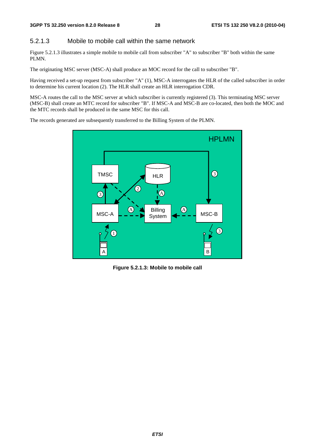#### 5.2.1.3 Mobile to mobile call within the same network

Figure 5.2.1.3 illustrates a simple mobile to mobile call from subscriber "A" to subscriber "B" both within the same PLMN.

The originating MSC server (MSC-A) shall produce an MOC record for the call to subscriber "B".

Having received a set-up request from subscriber "A" (1), MSC-A interrogates the HLR of the called subscriber in order to determine his current location (2). The HLR shall create an HLR interrogation CDR.

MSC-A routes the call to the MSC server at which subscriber is currently registered (3). This terminating MSC server (MSC-B) shall create an MTC record for subscriber "B". If MSC-A and MSC-B are co-located, then both the MOC and the MTC records shall be produced in the same MSC for this call.

The records generated are subsequently transferred to the Billing System of the PLMN.



**Figure 5.2.1.3: Mobile to mobile call**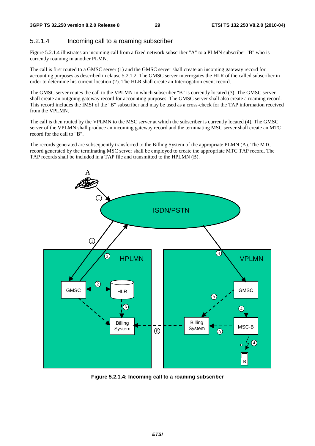#### 5.2.1.4 Incoming call to a roaming subscriber

Figure 5.2.1.4 illustrates an incoming call from a fixed network subscriber "A" to a PLMN subscriber "B" who is currently roaming in another PLMN.

The call is first routed to a GMSC server (1) and the GMSC server shall create an incoming gateway record for accounting purposes as described in clause 5.2.1.2. The GMSC server interrogates the HLR of the called subscriber in order to determine his current location (2). The HLR shall create an Interrogation event record.

The GMSC server routes the call to the VPLMN in which subscriber "B" is currently located (3). The GMSC server shall create an outgoing gateway record for accounting purposes. The GMSC server shall also create a roaming record. This record includes the IMSI of the "B" subscriber and may be used as a cross-check for the TAP information received from the VPLMN.

The call is then routed by the VPLMN to the MSC server at which the subscriber is currently located (4). The GMSC server of the VPLMN shall produce an incoming gateway record and the terminating MSC server shall create an MTC record for the call to "B".

The records generated are subsequently transferred to the Billing System of the appropriate PLMN (A). The MTC record generated by the terminating MSC server shall be employed to create the appropriate MTC TAP record. The TAP records shall be included in a TAP file and transmitted to the HPLMN (B).



**Figure 5.2.1.4: Incoming call to a roaming subscriber**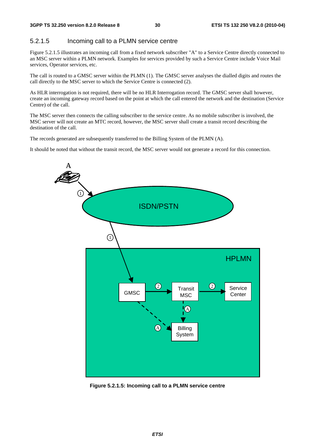#### 5.2.1.5 Incoming call to a PLMN service centre

Figure 5.2.1.5 illustrates an incoming call from a fixed network subscriber "A" to a Service Centre directly connected to an MSC server within a PLMN network. Examples for services provided by such a Service Centre include Voice Mail services, Operator services, etc.

The call is routed to a GMSC server within the PLMN (1). The GMSC server analyses the dialled digits and routes the call directly to the MSC server to which the Service Centre is connected (2).

As HLR interrogation is not required, there will be no HLR Interrogation record. The GMSC server shall however, create an incoming gateway record based on the point at which the call entered the network and the destination (Service Centre) of the call.

The MSC server then connects the calling subscriber to the service centre. As no mobile subscriber is involved, the MSC server will not create an MTC record, however, the MSC server shall create a transit record describing the destination of the call.

The records generated are subsequently transferred to the Billing System of the PLMN (A).

It should be noted that without the transit record, the MSC server would not generate a record for this connection.



**Figure 5.2.1.5: Incoming call to a PLMN service centre**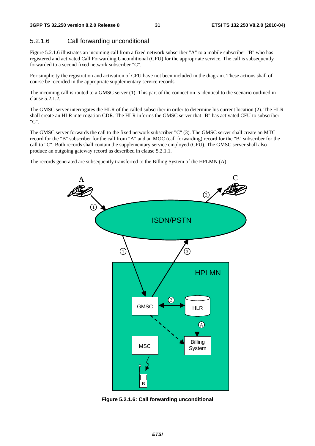#### 5.2.1.6 Call forwarding unconditional

Figure 5.2.1.6 illustrates an incoming call from a fixed network subscriber "A" to a mobile subscriber "B" who has registered and activated Call Forwarding Unconditional (CFU) for the appropriate service. The call is subsequently forwarded to a second fixed network subscriber "C".

For simplicity the registration and activation of CFU have not been included in the diagram. These actions shall of course be recorded in the appropriate supplementary service records.

The incoming call is routed to a GMSC server (1). This part of the connection is identical to the scenario outlined in clause 5.2.1.2.

The GMSC server interrogates the HLR of the called subscriber in order to determine his current location (2). The HLR shall create an HLR interrogation CDR. The HLR informs the GMSC server that "B" has activated CFU to subscriber "C".

The GMSC server forwards the call to the fixed network subscriber "C" (3). The GMSC server shall create an MTC record for the "B" subscriber for the call from "A" and an MOC (call forwarding) record for the "B" subscriber for the call to "C". Both records shall contain the supplementary service employed (CFU). The GMSC server shall also produce an outgoing gateway record as described in clause 5.2.1.1.

The records generated are subsequently transferred to the Billing System of the HPLMN (A).



**Figure 5.2.1.6: Call forwarding unconditional**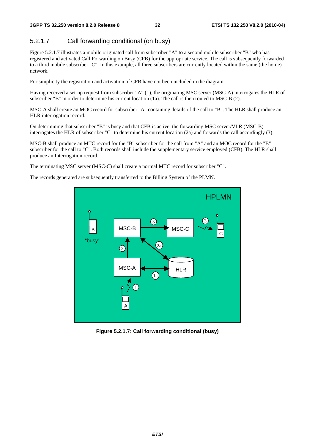#### 5.2.1.7 Call forwarding conditional (on busy)

Figure 5.2.1.7 illustrates a mobile originated call from subscriber "A" to a second mobile subscriber "B" who has registered and activated Call Forwarding on Busy (CFB) for the appropriate service. The call is subsequently forwarded to a third mobile subscriber "C". In this example, all three subscribers are currently located within the same (the home) network.

For simplicity the registration and activation of CFB have not been included in the diagram.

Having received a set-up request from subscriber "A" (1), the originating MSC server (MSC-A) interrogates the HLR of subscriber "B" in order to determine his current location (1a). The call is then routed to MSC-B (2).

MSC-A shall create an MOC record for subscriber "A" containing details of the call to "B". The HLR shall produce an HLR interrogation record.

On determining that subscriber "B" is busy and that CFB is active, the forwarding MSC server/VLR (MSC-B) interrogates the HLR of subscriber "C" to determine his current location (2a) and forwards the call accordingly (3).

MSC-B shall produce an MTC record for the "B" subscriber for the call from "A" and an MOC record for the "B" subscriber for the call to "C". Both records shall include the supplementary service employed (CFB). The HLR shall produce an Interrogation record.

The terminating MSC server (MSC-C) shall create a normal MTC record for subscriber "C".

The records generated are subsequently transferred to the Billing System of the PLMN.



**Figure 5.2.1.7: Call forwarding conditional (busy)**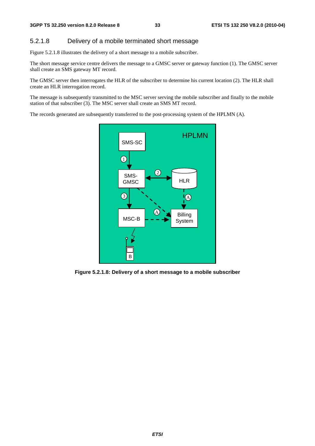#### 5.2.1.8 Delivery of a mobile terminated short message

Figure 5.2.1.8 illustrates the delivery of a short message to a mobile subscriber.

The short message service centre delivers the message to a GMSC server or gateway function (1). The GMSC server shall create an SMS gateway MT record.

The GMSC server then interrogates the HLR of the subscriber to determine his current location (2). The HLR shall create an HLR interrogation record.

The message is subsequently transmitted to the MSC server serving the mobile subscriber and finally to the mobile station of that subscriber (3). The MSC server shall create an SMS MT record.

The records generated are subsequently transferred to the post-processing system of the HPLMN (A).



**Figure 5.2.1.8: Delivery of a short message to a mobile subscriber**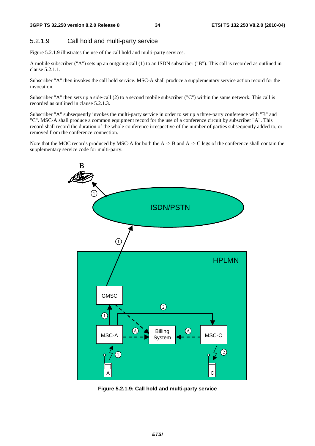#### 5.2.1.9 Call hold and multi-party service

Figure 5.2.1.9 illustrates the use of the call hold and multi-party services.

A mobile subscriber ("A") sets up an outgoing call (1) to an ISDN subscriber ("B"). This call is recorded as outlined in clause 5.2.1.1.

Subscriber "A" then invokes the call hold service. MSC-A shall produce a supplementary service action record for the invocation.

Subscriber "A" then sets up a side-call (2) to a second mobile subscriber ("C") within the same network. This call is recorded as outlined in clause 5.2.1.3.

Subscriber "A" subsequently invokes the multi-party service in order to set up a three-party conference with "B" and "C". MSC-A shall produce a common equipment record for the use of a conference circuit by subscriber "A". This record shall record the duration of the whole conference irrespective of the number of parties subsequently added to, or removed from the conference connection.

Note that the MOC records produced by MSC-A for both the A  $\rightarrow$  B and A  $\rightarrow$  C legs of the conference shall contain the supplementary service code for multi-party.



**Figure 5.2.1.9: Call hold and multi-party service**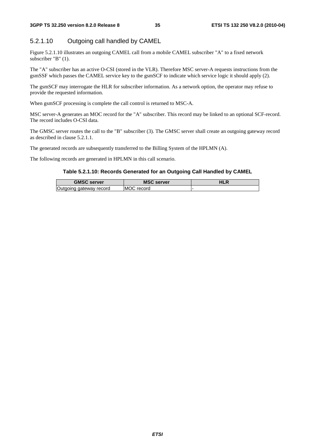### 5.2.1.10 Outgoing call handled by CAMEL

Figure 5.2.1.10 illustrates an outgoing CAMEL call from a mobile CAMEL subscriber "A" to a fixed network subscriber "B" (1).

The "A" subscriber has an active O-CSI (stored in the VLR). Therefore MSC server-A requests instructions from the gsmSSF which passes the CAMEL service key to the gsmSCF to indicate which service logic it should apply (2).

The gsmSCF may interrogate the HLR for subscriber information. As a network option, the operator may refuse to provide the requested information.

When gsmSCF processing is complete the call control is returned to MSC-A.

MSC server-A generates an MOC record for the "A" subscriber. This record may be linked to an optional SCF-record. The record includes O-CSI data.

The GMSC server routes the call to the "B" subscriber (3). The GMSC server shall create an outgoing gateway record as described in clause 5.2.1.1.

The generated records are subsequently transferred to the Billing System of the HPLMN (A).

The following records are generated in HPLMN in this call scenario.

#### **Table 5.2.1.10: Records Generated for an Outgoing Call Handled by CAMEL**

| <b>GMSC server</b>  | <b>MSC server</b>    | ח∟ו |
|---------------------|----------------------|-----|
| aateway record<br>и | <b>MOC</b><br>record |     |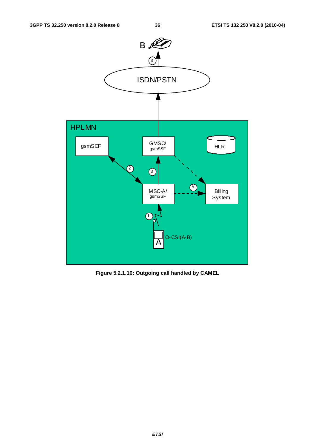

**Figure 5.2.1.10: Outgoing call handled by CAMEL**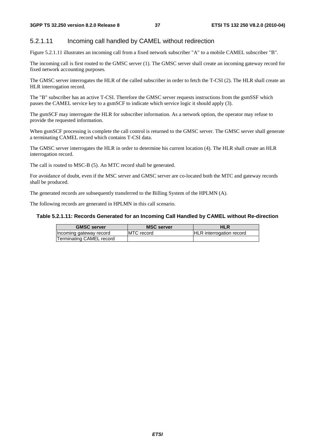#### 5.2.1.11 Incoming call handled by CAMEL without redirection

Figure 5.2.1.11 illustrates an incoming call from a fixed network subscriber "A" to a mobile CAMEL subscriber "B".

The incoming call is first routed to the GMSC server (1). The GMSC server shall create an incoming gateway record for fixed network accounting purposes.

The GMSC server interrogates the HLR of the called subscriber in order to fetch the T-CSI (2). The HLR shall create an HLR interrogation record.

The "B" subscriber has an active T-CSI. Therefore the GMSC server requests instructions from the gsmSSF which passes the CAMEL service key to a gsmSCF to indicate which service logic it should apply (3).

The gsmSCF may interrogate the HLR for subscriber information. As a network option, the operator may refuse to provide the requested information.

When gsmSCF processing is complete the call control is returned to the GMSC server. The GMSC server shall generate a terminating CAMEL record which contains T-CSI data.

The GMSC server interrogates the HLR in order to determine his current location (4). The HLR shall create an HLR interrogation record.

The call is routed to MSC-B (5). An MTC record shall be generated.

For avoidance of doubt, even if the MSC server and GMSC server are co-located both the MTC and gateway records shall be produced.

The generated records are subsequently transferred to the Billing System of the HPLMN (A).

The following records are generated in HPLMN in this call scenario.

#### **Table 5.2.1.11: Records Generated for an Incoming Call Handled by CAMEL without Re-direction**

| <b>GMSC server</b>       | <b>MSC server</b>  | HLR                             |
|--------------------------|--------------------|---------------------------------|
| Incoming gateway record  | <b>IMTC</b> record | <b>HLR</b> interrogation record |
| Terminating CAMEL record |                    |                                 |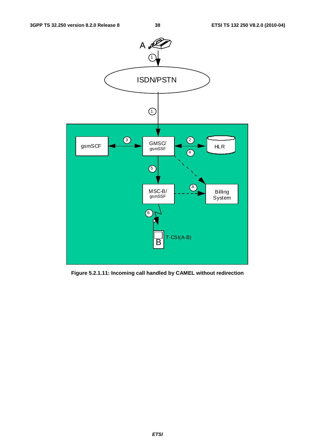

**Figure 5.2.1.11: Incoming call handled by CAMEL without redirection**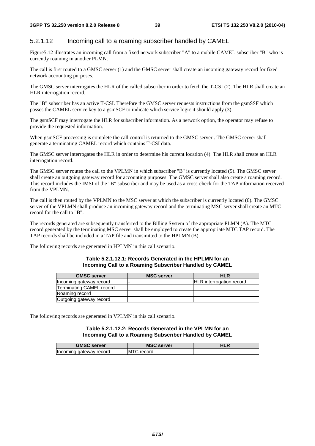### 5.2.1.12 Incoming call to a roaming subscriber handled by CAMEL

Figure5.12 illustrates an incoming call from a fixed network subscriber "A" to a mobile CAMEL subscriber "B" who is currently roaming in another PLMN.

The call is first routed to a GMSC server (1) and the GMSC server shall create an incoming gateway record for fixed network accounting purposes.

The GMSC server interrogates the HLR of the called subscriber in order to fetch the T-CSI (2). The HLR shall create an HLR interrogation record.

The "B" subscriber has an active T-CSI. Therefore the GMSC server requests instructions from the gsmSSF which passes the CAMEL service key to a gsmSCF to indicate which service logic it should apply (3).

The gsmSCF may interrogate the HLR for subscriber information. As a network option, the operator may refuse to provide the requested information.

When gsmSCF processing is complete the call control is returned to the GMSC server . The GMSC server shall generate a terminating CAMEL record which contains T-CSI data.

The GMSC server interrogates the HLR in order to determine his current location (4). The HLR shall create an HLR interrogation record.

The GMSC server routes the call to the VPLMN in which subscriber "B" is currently located (5). The GMSC server shall create an outgoing gateway record for accounting purposes. The GMSC server shall also create a roaming record. This record includes the IMSI of the "B" subscriber and may be used as a cross-check for the TAP information received from the VPLMN.

The call is then routed by the VPLMN to the MSC server at which the subscriber is currently located (6). The GMSC server of the VPLMN shall produce an incoming gateway record and the terminating MSC server shall create an MTC record for the call to "B".

The records generated are subsequently transferred to the Billing System of the appropriate PLMN (A). The MTC record generated by the terminating MSC server shall be employed to create the appropriate MTC TAP record. The TAP records shall be included in a TAP file and transmitted to the HPLMN (B).

The following records are generated in HPLMN in this call scenario.

#### **Table 5.2.1.12.1: Records Generated in the HPLMN for an Incoming Call to a Roaming Subscriber Handled by CAMEL**

| <b>GMSC server</b>       | <b>MSC server</b> | <b>HLR</b>                      |
|--------------------------|-------------------|---------------------------------|
| Incoming gateway record  |                   | <b>HLR</b> interrogation record |
| Terminating CAMEL record |                   |                                 |
| Roaming record           |                   |                                 |
| Outgoing gateway record  |                   |                                 |

The following records are generated in VPLMN in this call scenario.

#### **Table 5.2.1.12.2: Records Generated in the VPLMN for an Incoming Call to a Roaming Subscriber Handled by CAMEL**

| <b>GMSC server</b>      | <b>MSC server</b> | 1LR |
|-------------------------|-------------------|-----|
| Incoming gateway record | -IM i<br>record   |     |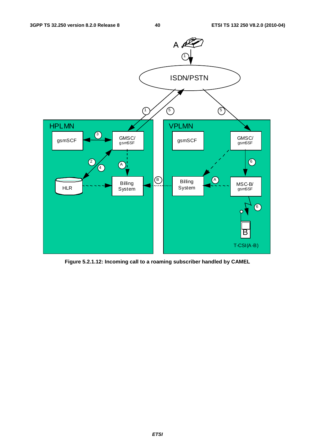

**Figure 5.2.1.12: Incoming call to a roaming subscriber handled by CAMEL**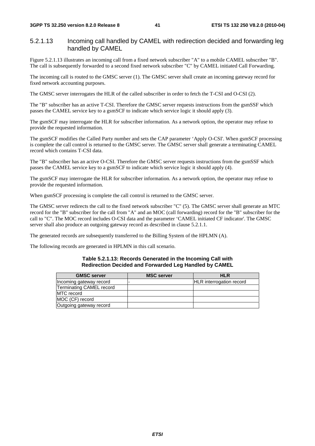#### 5.2.1.13 Incoming call handled by CAMEL with redirection decided and forwarding leg handled by CAMEL

Figure 5.2.1.13 illustrates an incoming call from a fixed network subscriber "A" to a mobile CAMEL subscriber "B". The call is subsequently forwarded to a second fixed network subscriber "C" by CAMEL initiated Call Forwarding.

The incoming call is routed to the GMSC server (1). The GMSC server shall create an incoming gateway record for fixed network accounting purposes.

The GMSC server interrogates the HLR of the called subscriber in order to fetch the T-CSI and O-CSI (2).

The "B" subscriber has an active T-CSI. Therefore the GMSC server requests instructions from the gsmSSF which passes the CAMEL service key to a gsmSCF to indicate which service logic it should apply (3).

The gsmSCF may interrogate the HLR for subscriber information. As a network option, the operator may refuse to provide the requested information.

The gsmSCF modifies the Called Party number and sets the CAP parameter 'Apply O-CSI'. When gsmSCF processing is complete the call control is returned to the GMSC server. The GMSC server shall generate a terminating CAMEL record which contains T-CSI data.

The "B" subscriber has an active O-CSI. Therefore the GMSC server requests instructions from the gsmSSF which passes the CAMEL service key to a gsmSCF to indicate which service logic it should apply (4).

The gsmSCF may interrogate the HLR for subscriber information. As a network option, the operator may refuse to provide the requested information.

When gsmSCF processing is complete the call control is returned to the GMSC server.

The GMSC server redirects the call to the fixed network subscriber "C" (5). The GMSC server shall generate an MTC record for the "B" subscriber for the call from "A" and an MOC (call forwarding) record for the "B" subscriber for the call to "C". The MOC record includes O-CSI data and the parameter 'CAMEL initiated CF indicator'. The GMSC server shall also produce an outgoing gateway record as described in clause 5.2.1.1.

The generated records are subsequently transferred to the Billing System of the HPLMN (A).

The following records are generated in HPLMN in this call scenario.

#### **Table 5.2.1.13: Records Generated in the Incoming Call with Redirection Decided and Forwarded Leg Handled by CAMEL**

| <b>GMSC</b> server       | <b>MSC server</b> | <b>HLR</b>                      |
|--------------------------|-------------------|---------------------------------|
| Incoming gateway record  |                   | <b>HLR</b> interrogation record |
| Terminating CAMEL record |                   |                                 |
| <b>IMTC</b> record       |                   |                                 |
| MOC (CF) record          |                   |                                 |
| Outgoing gateway record  |                   |                                 |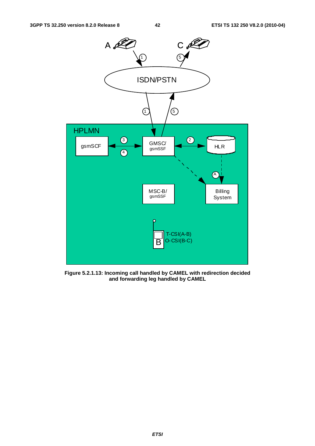

**Figure 5.2.1.13: Incoming call handled by CAMEL with redirection decided and forwarding leg handled by CAMEL**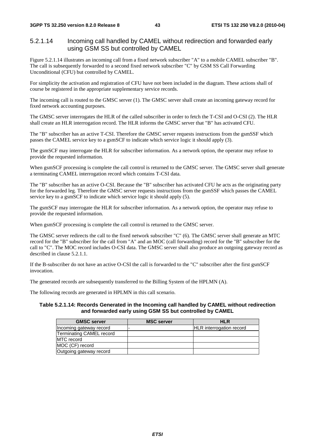#### 5.2.1.14 Incoming call handled by CAMEL without redirection and forwarded early using GSM SS but controlled by CAMEL

Figure 5.2.1.14 illustrates an incoming call from a fixed network subscriber "A" to a mobile CAMEL subscriber "B". The call is subsequently forwarded to a second fixed network subscriber "C" by GSM SS Call Forwarding Unconditional (CFU) but controlled by CAMEL.

For simplicity the activation and registration of CFU have not been included in the diagram. These actions shall of course be registered in the appropriate supplementary service records.

The incoming call is routed to the GMSC server (1). The GMSC server shall create an incoming gateway record for fixed network accounting purposes.

The GMSC server interrogates the HLR of the called subscriber in order to fetch the T-CSI and O-CSI (2). The HLR shall create an HLR interrogation record. The HLR informs the GMSC server that "B" has activated CFU.

The "B" subscriber has an active T-CSI. Therefore the GMSC server requests instructions from the gsmSSF which passes the CAMEL service key to a gsmSCF to indicate which service logic it should apply (3).

The gsmSCF may interrogate the HLR for subscriber information. As a network option, the operator may refuse to provide the requested information.

When gsmSCF processing is complete the call control is returned to the GMSC server. The GMSC server shall generate a terminating CAMEL interrogation record which contains T-CSI data.

The "B" subscriber has an active O-CSI. Because the "B" subscriber has activated CFU he acts as the originating party for the forwarded leg. Therefore the GMSC server requests instructions from the gsmSSF which passes the CAMEL service key to a gsmSCF to indicate which service logic it should apply (5).

The gsmSCF may interrogate the HLR for subscriber information. As a network option, the operator may refuse to provide the requested information.

When gsmSCF processing is complete the call control is returned to the GMSC server.

The GMSC server redirects the call to the fixed network subscriber "C" (6). The GMSC server shall generate an MTC record for the "B" subscriber for the call from "A" and an MOC (call forwarding) record for the "B" subscriber for the call to "C". The MOC record includes O-CSI data. The GMSC server shall also produce an outgoing gateway record as described in clause 5.2.1.1.

If the B-subscriber do not have an active O-CSI the call is forwarded to the "C" subscriber after the first gsmSCF invocation.

The generated records are subsequently transferred to the Billing System of the HPLMN (A).

The following records are generated in HPLMN in this call scenario.

#### **Table 5.2.1.14: Records Generated in the Incoming call handled by CAMEL without redirection and forwarded early using GSM SS but controlled by CAMEL**

| <b>GMSC server</b>              | <b>MSC server</b> | <b>HLR</b>                      |
|---------------------------------|-------------------|---------------------------------|
| Incoming gateway record         |                   | <b>HLR</b> interrogation record |
| <b>Terminating CAMEL record</b> |                   |                                 |
| <b>IMTC</b> record              |                   |                                 |
| MOC (CF) record                 |                   |                                 |
| Outgoing gateway record         |                   |                                 |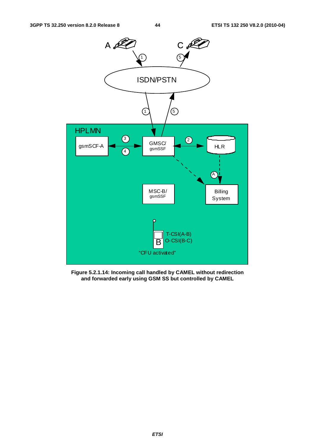

**Figure 5.2.1.14: Incoming call handled by CAMEL without redirection and forwarded early using GSM SS but controlled by CAMEL**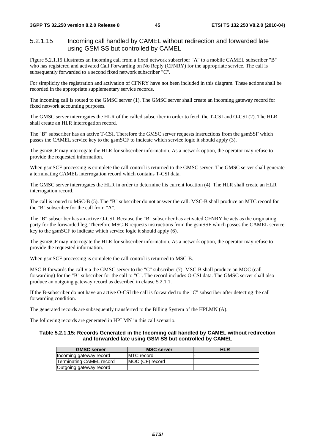#### 5.2.1.15 Incoming call handled by CAMEL without redirection and forwarded late using GSM SS but controlled by CAMEL

Figure 5.2.1.15 illustrates an incoming call from a fixed network subscriber "A" to a mobile CAMEL subscriber "B" who has registered and activated Call Forwarding on No Reply (CFNRY) for the appropriate service. The call is subsequently forwarded to a second fixed network subscriber "C".

For simplicity the registration and activation of CFNRY have not been included in this diagram. These actions shall be recorded in the appropriate supplementary service records.

The incoming call is routed to the GMSC server (1). The GMSC server shall create an incoming gateway record for fixed network accounting purposes.

The GMSC server interrogates the HLR of the called subscriber in order to fetch the T-CSI and O-CSI (2). The HLR shall create an HLR interrogation record.

The "B" subscriber has an active T-CSI. Therefore the GMSC server requests instructions from the gsmSSF which passes the CAMEL service key to the gsmSCF to indicate which service logic it should apply (3).

The gsmSCF may interrogate the HLR for subscriber information. As a network option, the operator may refuse to provide the requested information.

When gsmSCF processing is complete the call control is returned to the GMSC server. The GMSC server shall generate a terminating CAMEL interrogation record which contains T-CSI data.

The GMSC server interrogates the HLR in order to determine his current location (4). The HLR shall create an HLR interrogation record.

The call is routed to MSC-B (5). The "B" subscriber do not answer the call. MSC-B shall produce an MTC record for the "B" subscriber for the call from "A".

The "B" subscriber has an active O-CSI. Because the "B" subscriber has activated CFNRY he acts as the originating party for the forwarded leg. Therefore MSC-B requests instructions from the gsmSSF which passes the CAMEL service key to the gsmSCF to indicate which service logic it should apply (6).

The gsmSCF may interrogate the HLR for subscriber information. As a network option, the operator may refuse to provide the requested information.

When gsmSCF processing is complete the call control is returned to MSC-B.

MSC-B forwards the call via the GMSC server to the "C" subscriber (7). MSC-B shall produce an MOC (call forwarding) for the "B" subscriber for the call to "C". The record includes O-CSI data. The GMSC server shall also produce an outgoing gateway record as described in clause 5.2.1.1.

If the B-subscriber do not have an active O-CSI the call is forwarded to the "C" subscriber after detecting the call forwarding condition.

The generated records are subsequently transferred to the Billing System of the HPLMN (A).

The following records are generated in HPLMN in this call scenario.

#### **Table 5.2.1.15: Records Generated in the Incoming call handled by CAMEL without redirection and forwarded late using GSM SS but controlled by CAMEL**

| <b>GMSC server</b>       | <b>MSC server</b>  | <b>HLR</b> |
|--------------------------|--------------------|------------|
| Incoming gateway record  | <b>IMTC</b> record |            |
| Terminating CAMEL record | MOC (CF) record    |            |
| Outgoing gateway record  |                    |            |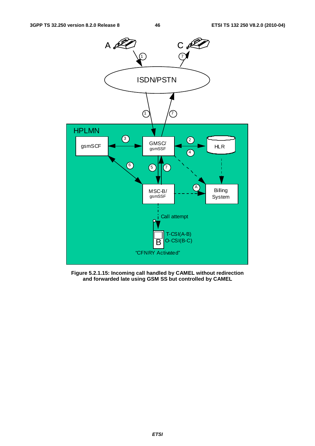

**Figure 5.2.1.15: Incoming call handled by CAMEL without redirection and forwarded late using GSM SS but controlled by CAMEL**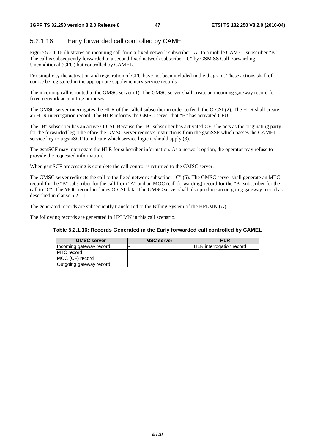## 5.2.1.16 Early forwarded call controlled by CAMEL

Figure 5.2.1.16 illustrates an incoming call from a fixed network subscriber "A" to a mobile CAMEL subscriber "B". The call is subsequently forwarded to a second fixed network subscriber "C" by GSM SS Call Forwarding Unconditional (CFU) but controlled by CAMEL.

For simplicity the activation and registration of CFU have not been included in the diagram. These actions shall of course be registered in the appropriate supplementary service records.

The incoming call is routed to the GMSC server (1). The GMSC server shall create an incoming gateway record for fixed network accounting purposes.

The GMSC server interrogates the HLR of the called subscriber in order to fetch the O-CSI (2). The HLR shall create an HLR interrogation record. The HLR informs the GMSC server that "B" has activated CFU.

The "B" subscriber has an active O-CSI. Because the "B" subscriber has activated CFU he acts as the originating party for the forwarded leg. Therefore the GMSC server requests instructions from the gsmSSF which passes the CAMEL service key to a gsmSCF to indicate which service logic it should apply (3).

The gsmSCF may interrogate the HLR for subscriber information. As a network option, the operator may refuse to provide the requested information.

When gsmSCF processing is complete the call control is returned to the GMSC server.

The GMSC server redirects the call to the fixed network subscriber "C" (5). The GMSC server shall generate an MTC record for the "B" subscriber for the call from "A" and an MOC (call forwarding) record for the "B" subscriber for the call to "C". The MOC record includes O-CSI data. The GMSC server shall also produce an outgoing gateway record as described in clause 5.2.1.1.

The generated records are subsequently transferred to the Billing System of the HPLMN (A).

The following records are generated in HPLMN in this call scenario.

| Table 5.2.1.16: Records Generated in the Early forwarded call controlled by CAMEL |  |  |
|-----------------------------------------------------------------------------------|--|--|
|-----------------------------------------------------------------------------------|--|--|

| <b>GMSC server</b>      | <b>MSC server</b> | <b>HLR</b>                      |
|-------------------------|-------------------|---------------------------------|
| Incoming gateway record |                   | <b>HLR</b> interrogation record |
| <b>MTC</b> record       |                   |                                 |
| MOC (CF) record         |                   |                                 |
| Outgoing gateway record |                   |                                 |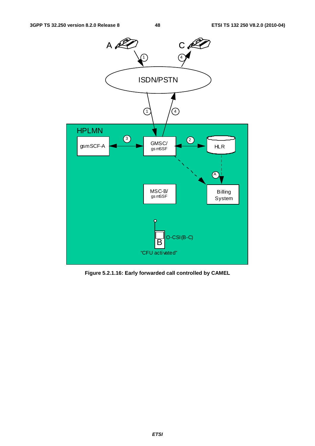

**Figure 5.2.1.16: Early forwarded call controlled by CAMEL**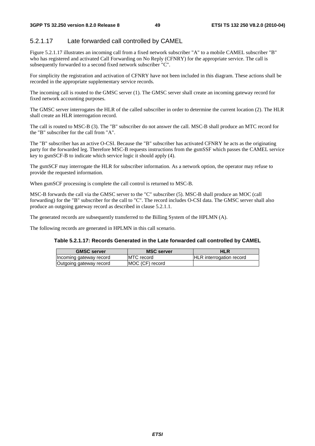# 5.2.1.17 Late forwarded call controlled by CAMEL

Figure 5.2.1.17 illustrates an incoming call from a fixed network subscriber "A" to a mobile CAMEL subscriber "B" who has registered and activated Call Forwarding on No Reply (CFNRY) for the appropriate service. The call is subsequently forwarded to a second fixed network subscriber "C".

For simplicity the registration and activation of CFNRY have not been included in this diagram. These actions shall be recorded in the appropriate supplementary service records.

The incoming call is routed to the GMSC server (1). The GMSC server shall create an incoming gateway record for fixed network accounting purposes.

The GMSC server interrogates the HLR of the called subscriber in order to determine the current location (2). The HLR shall create an HLR interrogation record.

The call is routed to MSC-B (3). The "B" subscriber do not answer the call. MSC-B shall produce an MTC record for the "B" subscriber for the call from "A".

The "B" subscriber has an active O-CSI. Because the "B" subscriber has activated CFNRY he acts as the originating party for the forwarded leg. Therefore MSC-B requests instructions from the gsmSSF which passes the CAMEL service key to gsmSCF-B to indicate which service logic it should apply (4).

The gsmSCF may interrogate the HLR for subscriber information. As a network option, the operator may refuse to provide the requested information.

When gsmSCF processing is complete the call control is returned to MSC-B.

MSC-B forwards the call via the GMSC server to the "C" subscriber (5). MSC-B shall produce an MOC (call forwarding) for the "B" subscriber for the call to "C". The record includes O-CSI data. The GMSC server shall also produce an outgoing gateway record as described in clause 5.2.1.1.

The generated records are subsequently transferred to the Billing System of the HPLMN (A).

The following records are generated in HPLMN in this call scenario.

#### **Table 5.2.1.17: Records Generated in the Late forwarded call controlled by CAMEL**

| <b>GMSC server</b>      | <b>MSC server</b>  | HLR                             |
|-------------------------|--------------------|---------------------------------|
| Incoming gateway record | <b>IMTC</b> record | <b>HLR</b> interrogation record |
| Outgoing gateway record | MOC (CF) record    |                                 |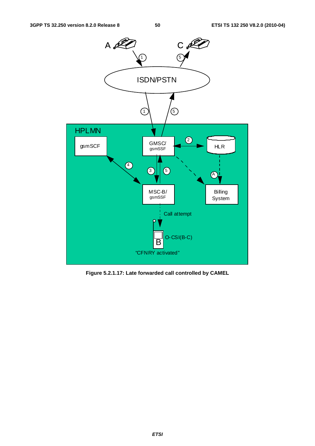

**Figure 5.2.1.17: Late forwarded call controlled by CAMEL**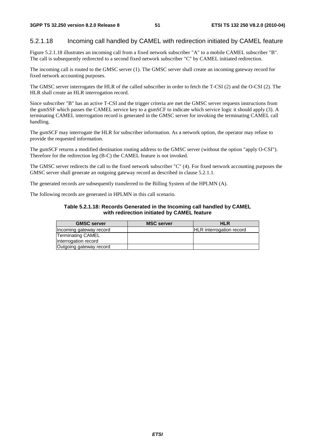### 5.2.1.18 Incoming call handled by CAMEL with redirection initiated by CAMEL feature

Figure 5.2.1.18 illustrates an incoming call from a fixed network subscriber "A" to a mobile CAMEL subscriber "B". The call is subsequently redirected to a second fixed network subscriber "C" by CAMEL initiated redirection.

The incoming call is routed to the GMSC server (1). The GMSC server shall create an incoming gateway record for fixed network accounting purposes.

The GMSC server interrogates the HLR of the called subscriber in order to fetch the T-CSI (2) and the O-CSI (2). The HLR shall create an HLR interrogation record.

Since subscriber "B" has an active T-CSI and the trigger criteria are met the GMSC server requests instructions from the gsmSSF which passes the CAMEL service key to a gsmSCF to indicate which service logic it should apply (3). A terminating CAMEL interrogation record is generated in the GMSC server for invoking the terminating CAMEL call handling.

The gsmSCF may interrogate the HLR for subscriber information. As a network option, the operator may refuse to provide the requested information.

The gsmSCF returns a modified destination routing address to the GMSC server (without the option "apply O-CSI"). Therefore for the redirection leg (B-C) the CAMEL feature is not invoked.

The GMSC server redirects the call to the fixed network subscriber "C" (4). For fixed network accounting purposes the GMSC server shall generate an outgoing gateway record as described in clause 5.2.1.1.

The generated records are subsequently transferred to the Billing System of the HPLMN (A).

The following records are generated in HPLMN in this call scenario.

#### **Table 5.2.1.18: Records Generated in the Incoming call handled by CAMEL with redirection initiated by CAMEL feature**

| <b>GMSC server</b>      | <b>MSC server</b> | <b>HLR</b>                      |
|-------------------------|-------------------|---------------------------------|
| Incoming gateway record |                   | <b>HLR</b> interrogation record |
| Terminating CAMEL       |                   |                                 |
| interrogation record    |                   |                                 |
| Outgoing gateway record |                   |                                 |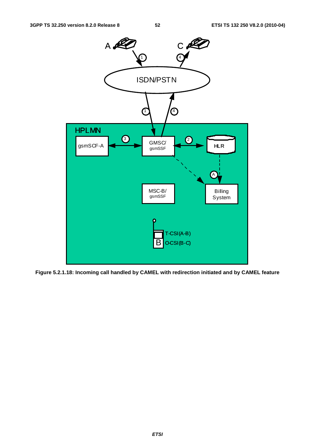

**Figure 5.2.1.18: Incoming call handled by CAMEL with redirection initiated and by CAMEL feature**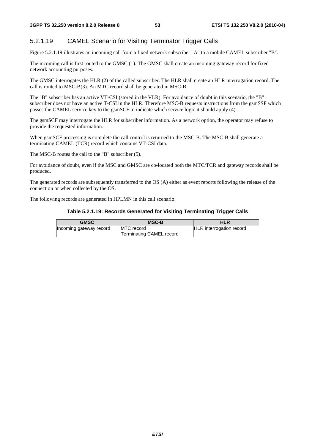## 5.2.1.19 CAMEL Scenario for Visiting Terminator Trigger Calls

Figure 5.2.1.19 illustrates an incoming call from a fixed network subscriber "A" to a mobile CAMEL subscriber "B".

The incoming call is first routed to the GMSC (1). The GMSC shall create an incoming gateway record for fixed network accounting purposes.

The GMSC interrogates the HLR (2) of the called subscriber. The HLR shall create an HLR interrogation record. The call is routed to MSC-B(3). An MTC record shall be generated in MSC-B.

The "B" subscriber has an active VT-CSI (stored in the VLR). For avoidance of doubt in this scenario, the "B" subscriber does not have an active T-CSI in the HLR. Therefore MSC-B requests instructions from the gsmSSF which passes the CAMEL service key to the gsmSCF to indicate which service logic it should apply (4).

The gsmSCF may interrogate the HLR for subscriber information. As a network option, the operator may refuse to provide the requested information.

When gsmSCF processing is complete the call control is returned to the MSC-B. The MSC-B shall generate a terminating CAMEL (TCR) record which contains VT-CSI data.

The MSC-B routes the call to the "B" subscriber (5).

For avoidance of doubt, even if the MSC and GMSC are co-located both the MTC/TCR and gateway records shall be produced.

The generated records are subsequently transferred to the OS (A) either as event reports following the release of the connection or when collected by the OS.

The following records are generated in HPLMN in this call scenario.

#### **Table 5.2.1.19: Records Generated for Visiting Terminating Trigger Calls**

| <b>GMSC</b>             | <b>MSC-B</b>             | <b>HLR</b>                      |
|-------------------------|--------------------------|---------------------------------|
| Incoming gateway record | <b>IMTC</b> record       | <b>HLR</b> interrogation record |
|                         | Terminating CAMEL record |                                 |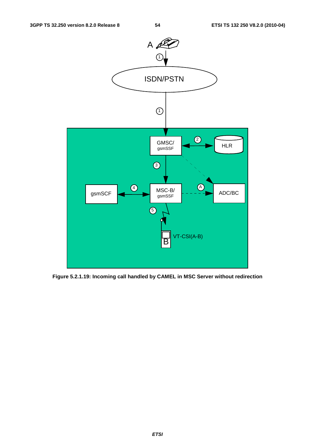

**Figure 5.2.1.19: Incoming call handled by CAMEL in MSC Server without redirection**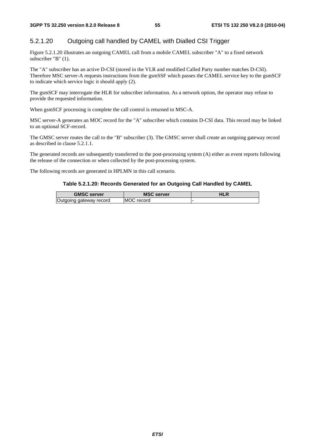## 5.2.1.20 Outgoing call handled by CAMEL with Dialled CSI Trigger

Figure 5.2.1.20 illustrates an outgoing CAMEL call from a mobile CAMEL subscriber "A" to a fixed network subscriber "B" (1).

The "A" subscriber has an active D-CSI (stored in the VLR and modified Called Party number matches D-CSI). Therefore MSC server-A requests instructions from the gsmSSF which passes the CAMEL service key to the gsmSCF to indicate which service logic it should apply (2).

The gsmSCF may interrogate the HLR for subscriber information. As a network option, the operator may refuse to provide the requested information.

When gsmSCF processing is complete the call control is returned to MSC-A.

MSC server-A generates an MOC record for the "A" subscriber which contains D-CSI data. This record may be linked to an optional SCF-record.

The GMSC server routes the call to the "B" subscriber (3). The GMSC server shall create an outgoing gateway record as described in clause 5.2.1.1.

The generated records are subsequently transferred to the post-processing system (A) either as event reports following the release of the connection or when collected by the post-processing system.

The following records are generated in HPLMN in this call scenario.

#### **Table 5.2.1.20: Records Generated for an Outgoing Call Handled by CAMEL**

| <b>GMSC server</b>      | <b>MSC server</b> | <b>HLR</b> |
|-------------------------|-------------------|------------|
| Outgoing gateway record | MOC record        |            |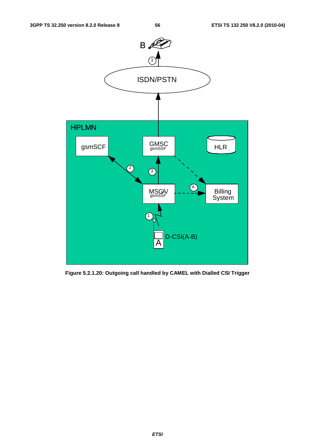

**Figure 5.2.1.20: Outgoing call handled by CAMEL with Dialled CSI Trigger**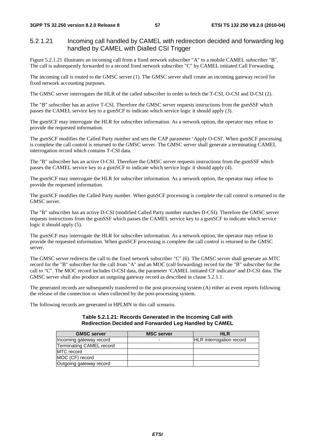## 5.2.1.21 Incoming call handled by CAMEL with redirection decided and forwarding leg handled by CAMEL with Dialled CSI Trigger

Figure 5.2.1.21 illustrates an incoming call from a fixed network subscriber "A" to a mobile CAMEL subscriber "B". The call is subsequently forwarded to a second fixed network subscriber "C" by CAMEL initiated Call Forwarding.

The incoming call is routed to the GMSC server (1). The GMSC server shall create an incoming gateway record for fixed network accounting purposes.

The GMSC server interrogates the HLR of the called subscriber in order to fetch the T-CSI, O-CSI and D-CSI (2).

The "B" subscriber has an active T-CSI. Therefore the GMSC server requests instructions from the gsmSSF which passes the CAMEL service key to a gsmSCF to indicate which service logic it should apply (3).

The gsmSCF may interrogate the HLR for subscriber information. As a network option, the operator may refuse to provide the requested information.

The gsmSCF modifies the Called Party number and sets the CAP parameter 'Apply O-CSI'. When gsmSCF processing is complete the call control is returned to the GMSC server. The GMSC server shall generate a terminating CAMEL interrogation record which contains T-CSI data.

The "B" subscriber has an active O-CSI. Therefore the GMSC server requests instructions from the gsmSSF which passes the CAMEL service key to a gsmSCF to indicate which service logic it should apply (4).

The gsmSCF may interrogate the HLR for subscriber information. As a network option, the operator may refuse to provide the requested information.

The gsmSCF modifies the Called Party number. When gsmSCF processing is complete the call control is returned to the GMSC server.

The "B" subscriber has an active D-CSI (modified Called Party number matches D-CSI). Therefore the GMSC server requests instructions from the gsmSSF which passes the CAMEL service key to a gsmSCF to indicate which service logic it should apply (5).

The gsmSCF may interrogate the HLR for subscriber information. As a network option, the operator may refuse to provide the requested information. When gsmSCF processing is complete the call control is returned to the GMSC server.

The GMSC server redirects the call to the fixed network subscriber "C" (6). The GMSC server shall generate an MTC record for the "B" subscriber for the call from "A" and an MOC (call forwarding) record for the "B" subscriber for the call to "C". The MOC record includes O-CSI data, the parameter 'CAMEL initiated CF indicator' and D-CSI data. The GMSC server shall also produce an outgoing gateway record as described in clause 5.2.1.1.

The generated records are subsequently transferred to the post-processing system (A) either as event reports following the release of the connection or when collected by the post-processing system.

The following records are generated in HPLMN in this call scenario.

#### **Table 5.2.1.21: Records Generated in the Incoming Call with Redirection Decided and Forwarded Leg Handled by CAMEL**

| <b>GMSC server</b>       | <b>MSC server</b> | <b>HLR</b>               |
|--------------------------|-------------------|--------------------------|
| Incoming gateway record  |                   | HLR interrogation record |
| Terminating CAMEL record |                   |                          |
| <b>IMTC</b> record       |                   |                          |
| MOC (CF) record          |                   |                          |
| Outgoing gateway record  |                   |                          |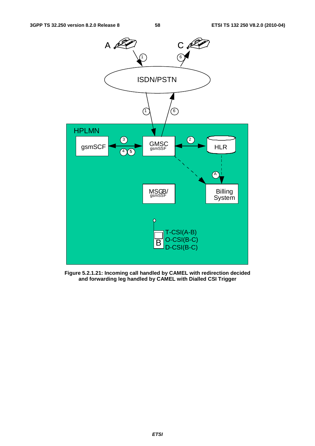

**Figure 5.2.1.21: Incoming call handled by CAMEL with redirection decided and forwarding leg handled by CAMEL with Dialled CSI Trigger**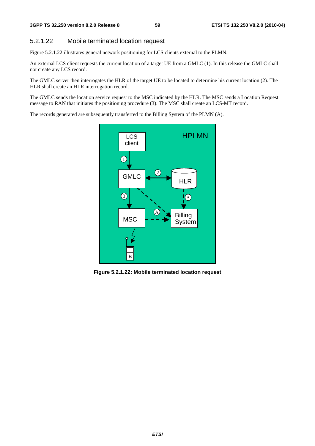#### 5.2.1.22 Mobile terminated location request

Figure 5.2.1.22 illustrates general network positioning for LCS clients external to the PLMN.

An external LCS client requests the current location of a target UE from a GMLC (1). In this release the GMLC shall not create any LCS record.

The GMLC server then interrogates the HLR of the target UE to be located to determine his current location (2). The HLR shall create an HLR interrogation record.

The GMLC sends the location service request to the MSC indicated by the HLR. The MSC sends a Location Request message to RAN that initiates the positioning procedure (3). The MSC shall create an LCS-MT record.

The records generated are subsequently transferred to the Billing System of the PLMN (A).



**Figure 5.2.1.22: Mobile terminated location request**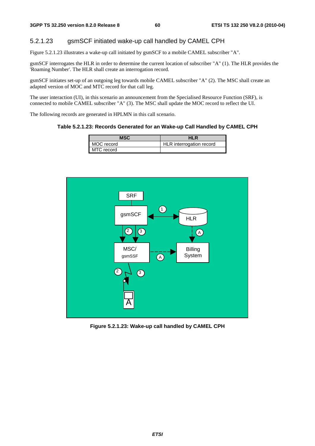### 5.2.1.23 gsmSCF initiated wake-up call handled by CAMEL CPH

Figure 5.2.1.23 illustrates a wake-up call initiated by gsmSCF to a mobile CAMEL subscriber "A".

gsmSCF interrogates the HLR in order to determine the current location of subscriber "A" (1). The HLR provides the 'Roaming Number'. The HLR shall create an interrogation record.

gsmSCF initiates set-up of an outgoing leg towards mobile CAMEL subscriber "A" (2). The MSC shall create an adapted version of MOC and MTC record for that call leg.

The user interaction (UI), in this scenario an announcement from the Specialised Resource Function (SRF), is connected to mobile CAMEL subscriber "A" (3). The MSC shall update the MOC record to reflect the UI.

The following records are generated in HPLMN in this call scenario.

#### **Table 5.2.1.23: Records Generated for an Wake-up Call Handled by CAMEL CPH**

| MSC        | HLR                      |
|------------|--------------------------|
| MOC record | HLR interrogation record |
| MTC record |                          |



**Figure 5.2.1.23: Wake-up call handled by CAMEL CPH**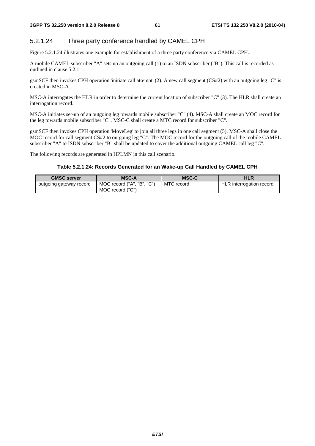## 5.2.1.24 Three party conference handled by CAMEL CPH

Figure 5.2.1.24 illustrates one example for establishment of a three party conference via CAMEL CPH..

A mobile CAMEL subscriber "A" sets up an outgoing call (1) to an ISDN subscriber ("B"). This call is recorded as outlined in clause 5.2.1.1.

gsmSCF then invokes CPH operation 'initiate call attempt' (2). A new call segment (CS#2) with an outgoing leg "C" is created in MSC-A.

MSC-A interrogates the HLR in order to determine the current location of subscriber "C" (3). The HLR shall create an interrogation record.

MSC-A initiates set-up of an outgoing leg towards mobile subscriber "C" (4). MSC-A shall create an MOC record for the leg towards mobile subscriber "C". MSC-C shall create a MTC record for subscriber "C".

gsmSCF then invokes CPH operation 'MoveLeg' to join all three legs in one call segment (5). MSC-A shall close the MOC record for call segment CS#2 to outgoing leg "C". The MOC record for the outgoing call of the mobile CAMEL subscriber "A" to ISDN subscriber "B" shall be updated to cover the additional outgoing CAMEL call leg "C".

The following records are generated in HPLMN in this call scenario.

#### **Table 5.2.1.24: Records Generated for an Wake-up Call Handled by CAMEL CPH**

| <b>GMSC server</b>      | <b>MSC-A</b>                  | <b>MSC-C</b> | <b>HLR</b>               |
|-------------------------|-------------------------------|--------------|--------------------------|
| outgoing gateway record | "へ"\<br>MOC record ("A", "B", | MTC record   | HLR interrogation record |
|                         | MOC record ("C")              |              |                          |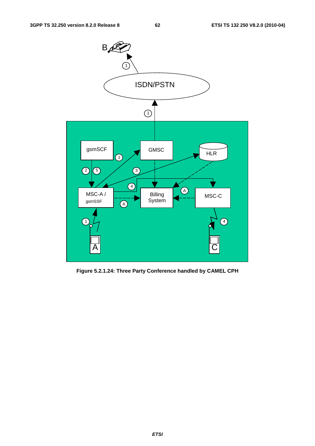

**Figure 5.2.1.24: Three Party Conference handled by CAMEL CPH**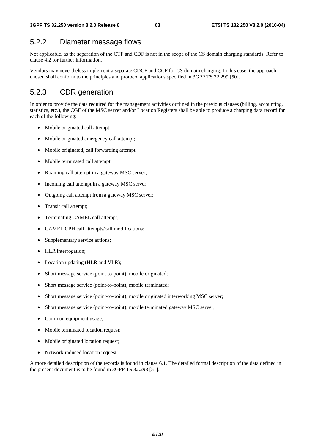# 5.2.2 Diameter message flows

Not applicable, as the separation of the CTF and CDF is not in the scope of the CS domain charging standards. Refer to clause 4.2 for further information.

Vendors may nevertheless implement a separate CDCF and CCF for CS domain charging. In this case, the approach chosen shall conform to the principles and protocol applications specified in 3GPP TS 32.299 [50].

# 5.2.3 CDR generation

In order to provide the data required for the management activities outlined in the previous clauses (billing, accounting, statistics, etc.), the CGF of the MSC server and/or Location Registers shall be able to produce a charging data record for each of the following:

- Mobile originated call attempt;
- Mobile originated emergency call attempt;
- Mobile originated, call forwarding attempt;
- Mobile terminated call attempt;
- Roaming call attempt in a gateway MSC server;
- Incoming call attempt in a gateway MSC server;
- Outgoing call attempt from a gateway MSC server;
- Transit call attempt;
- Terminating CAMEL call attempt;
- CAMEL CPH call attempts/call modifications;
- Supplementary service actions;
- HLR interrogation;
- Location updating (HLR and VLR);
- Short message service (point-to-point), mobile originated;
- Short message service (point-to-point), mobile terminated;
- Short message service (point-to-point), mobile originated interworking MSC server;
- Short message service (point-to-point), mobile terminated gateway MSC server;
- Common equipment usage;
- Mobile terminated location request;
- Mobile originated location request;
- Network induced location request.

A more detailed description of the records is found in clause 6.1. The detailed formal description of the data defined in the present document is to be found in 3GPP TS 32.298 [51].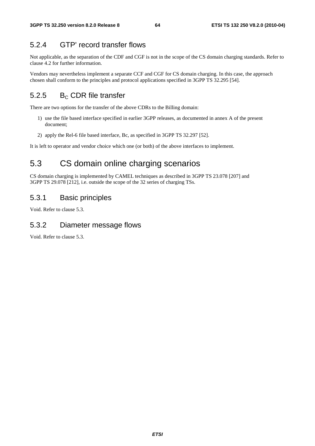# 5.2.4 GTP' record transfer flows

Not applicable, as the separation of the CDF and CGF is not in the scope of the CS domain charging standards. Refer to clause 4.2 for further information.

Vendors may nevertheless implement a separate CCF and CGF for CS domain charging. In this case, the approach chosen shall conform to the principles and protocol applications specified in 3GPP TS 32.295 [54].

# 5.2.5  $B<sub>c</sub>$  CDR file transfer

There are two options for the transfer of the above CDRs to the Billing domain:

- 1) use the file based interface specified in earlier 3GPP releases, as documented in annex A of the present document;
- 2) apply the Rel-6 file based interface, Bc, as specified in 3GPP TS 32.297 [52].

It is left to operator and vendor choice which one (or both) of the above interfaces to implement.

# 5.3 CS domain online charging scenarios

CS domain charging is implemented by CAMEL techniques as described in 3GPP TS 23.078 [207] and 3GPP TS 29.078 [212], i.e. outside the scope of the 32 series of charging TSs.

# 5.3.1 Basic principles

Void. Refer to clause 5.3.

## 5.3.2 Diameter message flows

Void. Refer to clause 5.3.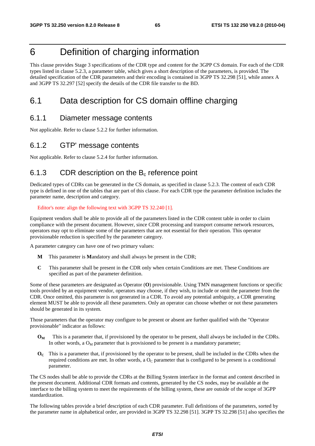# 6 Definition of charging information

This clause provides Stage 3 specifications of the CDR type and content for the 3GPP CS domain. For each of the CDR types listed in clause 5.2.3, a parameter table, which gives a short description of the parameters, is provided. The detailed specification of the CDR parameters and their encoding is contained in 3GPP TS 32.298 [51], while annex A and 3GPP TS 32.297 [52] specify the details of the CDR file transfer to the BD.

# 6.1 Data description for CS domain offline charging

## 6.1.1 Diameter message contents

Not applicable. Refer to clause 5.2.2 for further information.

# 6.1.2 GTP' message contents

Not applicable. Refer to clause 5.2.4 for further information.

# 6.1.3 CDR description on the  $B_c$  reference point

Dedicated types of CDRs can be generated in the CS domain, as specified in clause 5.2.3. The content of each CDR type is defined in one of the tables that are part of this clause. For each CDR type the parameter definition includes the parameter name, description and category.

Editor's note: align the following text with 3GPP TS 32.240 [1].

Equipment vendors shall be able to provide all of the parameters listed in the CDR content table in order to claim compliance with the present document. However, since CDR processing and transport consume network resources, operators may opt to eliminate some of the parameters that are not essential for their operation. This operator provisionable reduction is specified by the parameter category.

A parameter category can have one of two primary values:

- **M** This parameter is **M**andatory and shall always be present in the CDR;
- **C** This parameter shall be present in the CDR only when certain Conditions are met. These Conditions are specified as part of the parameter definition.

Some of these parameters are designated as Operator (**O**) provisionable. Using TMN management functions or specific tools provided by an equipment vendor, operators may choose, if they wish, to include or omit the parameter from the CDR. Once omitted, this parameter is not generated in a CDR. To avoid any potential ambiguity, a CDR generating element MUST be able to provide all these parameters. Only an operator can choose whether or not these parameters should be generated in its system.

Those parameters that the operator may configure to be present or absent are further qualified with the "Operator provisionable" indicator as follows:

- **OM** This is a parameter that, if provisioned by the operator to be present, shall always be included in the CDRs. In other words, a  $O_M$  parameter that is provisioned to be present is a mandatory parameter;
- **OC** This is a parameter that, if provisioned by the operator to be present, shall be included in the CDRs when the required conditions are met. In other words, a  $O<sub>C</sub>$  parameter that is configured to be present is a conditional parameter.

The CS nodes shall be able to provide the CDRs at the Billing System interface in the format and content described in the present document. Additional CDR formats and contents, generated by the CS nodes, may be available at the interface to the billing system to meet the requirements of the billing system, these are outside of the scope of 3GPP standardization.

The following tables provide a brief description of each CDR parameter. Full definitions of the parameters, sorted by the parameter name in alphabetical order, are provided in 3GPP TS 32.298 [51]. 3GPP TS 32.298 [51] also specifies the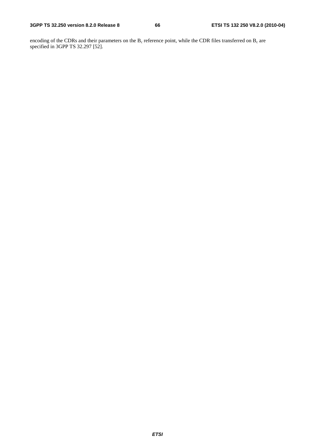encoding of the CDRs and their parameters on the  $B_c$  reference point, while the CDR files transferred on  $B_c$  are specified in 3GPP TS 32.297 [52].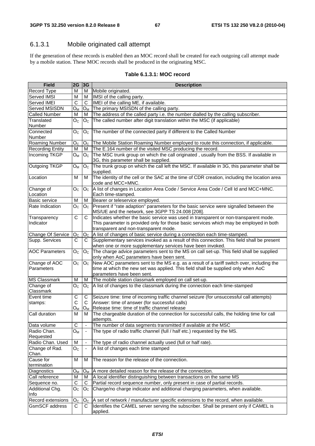# 6.1.3.1 Mobile originated call attempt

If the generation of these records is enabled then an MOC record shall be created for each outgoing call attempt made by a mobile station. These MOC records shall be produced in the originating MSC.

|  |  | Table 6.1.3.1: MOC record |  |
|--|--|---------------------------|--|
|--|--|---------------------------|--|

| <b>Field</b>            | 2G                      | 3G                       | <b>Description</b>                                                                                                                                       |
|-------------------------|-------------------------|--------------------------|----------------------------------------------------------------------------------------------------------------------------------------------------------|
| Record Type             | M                       | м                        | Mobile originated.                                                                                                                                       |
| Served IMSI             | M                       | М                        | IMSI of the calling party.                                                                                                                               |
| Served IMEI             | C                       | $\mathbf C$              | <b>IMEI</b> of the calling ME, if available.                                                                                                             |
| Served MSISDN           | Oм                      | Oм                       | The primary MSISDN of the calling party.                                                                                                                 |
| <b>Called Number</b>    | M                       | м                        | The address of the called party i.e. the number dialled by the calling subscriber.                                                                       |
| Translated              | Oc.                     | Oc.                      | The called number after digit translation within the MSC (if applicable)                                                                                 |
| Number                  |                         |                          |                                                                                                                                                          |
| Connected               | O <sub>C</sub>          | O <sub>C</sub>           | The number of the connected party if different to the Called Number                                                                                      |
| <b>Number</b>           |                         |                          |                                                                                                                                                          |
| <b>Roaming Number</b>   | O <sub>C</sub>          |                          | $ O_C $ The Mobile Station Roaming Number employed to route this connection, if applicable.                                                              |
| <b>Recording Entity</b> | M                       | М                        | The E.164 number of the visited MSC producing the record.                                                                                                |
| <b>Incoming TKGP</b>    | $O_M$                   | O <sub>C</sub>           | The MSC trunk group on which the call originated, usually from the BSS. If available in                                                                  |
|                         |                         |                          | 3G, this parameter shall be supplied.                                                                                                                    |
| Outgoing TKGP           | $O_M$                   | O <sub>C</sub>           | The trunk group on which the call left the MSC. If available in 3G, this parameter shall be                                                              |
|                         |                         |                          | supplied.                                                                                                                                                |
| Location                | M                       | M                        | The identity of the cell or the SAC at the time of CDR creation, including the location area                                                             |
|                         |                         |                          | code and MCC+MNC.                                                                                                                                        |
| Change of               | $\mathsf{O}_\mathsf{C}$ | $O_{C}$                  | A list of changes in Location Area Code / Service Area Code / Cell Id and MCC+MNC.                                                                       |
| Location                |                         |                          | Each time-stamped.                                                                                                                                       |
| <b>Basic service</b>    | M                       | M                        | Bearer or teleservice employed.                                                                                                                          |
| Rate Indication         | O <sub>C</sub>          |                          | $OC$ Present if "rate adaption" parameters for the basic service were signalled between the                                                              |
|                         |                         |                          | MS/UE and the network, see 3GPP TS 24.008 [208].                                                                                                         |
| Transparency            | C                       | C                        | Indicates whether the basic service was used in transparent or non-transparent mode.                                                                     |
| Indicator               |                         |                          | This parameter is provided only for those basic services which may be employed in both                                                                   |
|                         |                         |                          | transparent and non-transparent mode.                                                                                                                    |
| Change Of Service       | O <sub>C</sub>          |                          | $ O_C $ A list of changes of basic service during a connection each time-stamped.                                                                        |
| Supp. Services          | С                       | C                        | Supplementary services invoked as a result of this connection. This field shall be present<br>when one or more supplementary services have been invoked. |
| <b>AOC Parameters</b>   | O <sub>C</sub>          | O <sub>C</sub>           | The charge advice parameters sent to the MS on call set-up. This field shall be supplied                                                                 |
|                         |                         |                          | only when AoC parameters have been sent.                                                                                                                 |
| Change of AOC           | O <sub>C</sub>          | O <sub>C</sub>           | New AOC parameters sent to the MS e.g. as a result of a tariff switch over, including the                                                                |
| Parameters              |                         |                          | time at which the new set was applied. This field shall be supplied only when AoC                                                                        |
|                         |                         |                          | parameters have been sent.                                                                                                                               |
| <b>MS Classmark</b>     | M                       | м                        | The mobile station classmark employed on call set-up.                                                                                                    |
| Change of               | $\rm O_C$               | $O_{C}$                  | A list of changes to the classmark during the connection each time-stamped                                                                               |
| Classmark               |                         |                          |                                                                                                                                                          |
| Event time              | C                       | C                        | Seizure time: time of incoming traffic channel seizure (for unsuccessful call attempts)                                                                  |
| stamps:                 | С                       | C.                       | Answer: time of answer (for successful calls)                                                                                                            |
|                         | Oм                      |                          | $O_M$ Release time: time of traffic channel release                                                                                                      |
| Call duration           | M                       | м                        | The chargeable duration of the connection for successful calls, the holding time for call                                                                |
|                         |                         |                          | attempts.                                                                                                                                                |
| Data volume             | C                       | $\overline{\phantom{a}}$ | The number of data segments transmitted if available at the MSC                                                                                          |
| Radio Chan.             | $O_{M}$                 |                          | The type of radio traffic channel (full / half etc.) requested by the MS.                                                                                |
| Requested               |                         |                          |                                                                                                                                                          |
| Radio Chan. Used        | M                       |                          | The type of radio channel actually used (full or half rate).                                                                                             |
| Change of Rad.          | O <sub>C</sub>          |                          | A list of changes each time stamped                                                                                                                      |
| Chan.                   |                         |                          |                                                                                                                                                          |
| Cause for               | м                       | м                        | The reason for the release of the connection.                                                                                                            |
| termination             |                         |                          |                                                                                                                                                          |
| Diagnostics             | Oм                      | $O_{M}$                  | A more detailed reason for the release of the connection.                                                                                                |
| Call reference          | M                       | м                        | A local identifier distinguishing between transactions on the same MS                                                                                    |
| Sequence no.            | C                       | С                        | Partial record sequence number, only present in case of partial records.                                                                                 |
| Additional Chg.         | O <sub>C</sub>          | $O_{\rm C}$              | Charge/no charge indicator and additional charging parameters, when available.                                                                           |
| Info                    |                         |                          |                                                                                                                                                          |
| Record extensions       | $O_{C}$                 | $O_{C}$                  | A set of network / manufacturer specific extensions to the record, when available.                                                                       |
| GsmSCF address          | С                       | C                        | Identifies the CAMEL server serving the subscriber. Shall be present only if CAMEL is                                                                    |
|                         |                         |                          | applied.                                                                                                                                                 |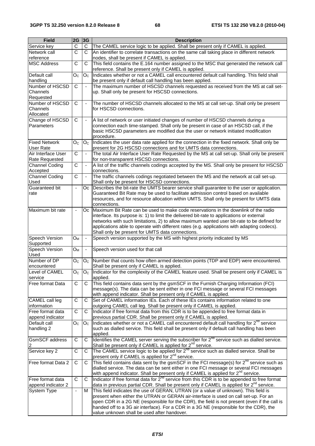| <b>Field</b>                             | 2G                    | 3G                   | <b>Description</b>                                                                                                                                                                                                                                                                                                                                                                                                  |
|------------------------------------------|-----------------------|----------------------|---------------------------------------------------------------------------------------------------------------------------------------------------------------------------------------------------------------------------------------------------------------------------------------------------------------------------------------------------------------------------------------------------------------------|
| Service key                              | C                     | C                    | The CAMEL service logic to be applied. Shall be present only if CAMEL is applied.                                                                                                                                                                                                                                                                                                                                   |
| Network call                             | C                     | С                    | An identifier to correlate transactions on the same call taking place in different network                                                                                                                                                                                                                                                                                                                          |
| reference                                |                       |                      | nodes, shall be present if CAMEL is applied.                                                                                                                                                                                                                                                                                                                                                                        |
| <b>MSC Address</b>                       | $\overline{\text{c}}$ | C                    | This field contains the E.164 number assigned to the MSC that generated the network call                                                                                                                                                                                                                                                                                                                            |
|                                          |                       |                      | reference. Shall be present only if CAMEL is applied.                                                                                                                                                                                                                                                                                                                                                               |
| Default call<br>handling                 | O <sub>C</sub>        | O <sub>C</sub>       | Indicates whether or not a CAMEL call encountered default call handling. This field shall<br>be present only if default call handling has been applied.                                                                                                                                                                                                                                                             |
| Number of HSCSD                          | $\mathsf{C}$          | $\ddot{\phantom{1}}$ | The maximum number of HSCSD channels requested as received from the MS at call set-                                                                                                                                                                                                                                                                                                                                 |
| Channels<br>Requested                    |                       |                      | up. Shall only be present for HSCSD connections.                                                                                                                                                                                                                                                                                                                                                                    |
| Number of HSCSD                          | $\mathsf{C}$          | $\blacksquare$       | The number of HSCSD channels allocated to the MS at call set-up. Shall only be present                                                                                                                                                                                                                                                                                                                              |
| Channels<br>Allocated                    |                       |                      | for HSCSD connections.                                                                                                                                                                                                                                                                                                                                                                                              |
| Change of HSCSD                          | C                     | $\blacksquare$       | A list of network or user initiated changes of number of HSCSD channels during a                                                                                                                                                                                                                                                                                                                                    |
| Parameters                               |                       |                      | connection each time-stamped. Shall only be present in case of an HSCSD call, if the<br>basic HSCSD parameters are modified due the user or network initiated modification<br>procedure.                                                                                                                                                                                                                            |
| <b>Fixed Network</b><br><b>User Rate</b> | O <sub>C</sub>        | O <sub>C</sub>       | Indicates the user data rate applied for the connection in the fixed network. Shall only be<br>present for 2G HSCSD connections and for UMTS data connections.                                                                                                                                                                                                                                                      |
| Air Interface User                       | $\mathsf{C}$          | ÷,                   | The total Air Interface User Rate Requested by the MS at call set-up. Shall only be present                                                                                                                                                                                                                                                                                                                         |
| <b>Rate Requested</b>                    |                       |                      | for non-transparent HSCSD connections.                                                                                                                                                                                                                                                                                                                                                                              |
| <b>Channel Coding</b>                    | $\overline{C}$        | ÷,                   | A list of the traffic channels codings accepted by the MS. Shall only be present for HSCSD                                                                                                                                                                                                                                                                                                                          |
| Accepted                                 |                       |                      | connections.                                                                                                                                                                                                                                                                                                                                                                                                        |
| Channel Coding<br>Used                   | $\overline{\text{c}}$ | $\blacksquare$       | The traffic channels codings negotiated between the MS and the network at call set-up.<br>Shall only be present for HSCSD connections.                                                                                                                                                                                                                                                                              |
| Guaranteed bit                           | ä,                    | Оc                   | Describes the bit-rate the UMTS bearer service shall guarantee to the user or application.                                                                                                                                                                                                                                                                                                                          |
| rate                                     |                       |                      | Guaranteed Bit Rate may be used to facilitate admission control based on available<br>resources, and for resource allocation within UMTS. Shall only be present for UMTS data                                                                                                                                                                                                                                       |
|                                          |                       |                      | connections.                                                                                                                                                                                                                                                                                                                                                                                                        |
| Maximum bit rate                         | $\Box$                | Oc.                  | Maximum Bit Rate can be used to make code reservations in the downlink of the radio<br>interface. Its purpose is: 1) to limit the delivered bit-rate to applications or external<br>networks with such limitations, 2) to allow maximum wanted user bit-rate to be defined for<br>applications able to operate with different rates (e.g. applications with adapting codecs).                                       |
|                                          |                       |                      | Shall only be present for UMTS data connections.                                                                                                                                                                                                                                                                                                                                                                    |
| Speech Version<br>Supported              | $O_M$                 | $\blacksquare$       | Speech version supported by the MS with highest priority indicated by MS                                                                                                                                                                                                                                                                                                                                            |
| Speech Version<br>Used                   | $O_M$                 | $\blacksquare$       | Speech version used for that call                                                                                                                                                                                                                                                                                                                                                                                   |
| Number of DP<br>encountered              | O <sub>c</sub>        | O <sub>C</sub>       | Number that counts how often armed detection points (TDP and EDP) were encountered.<br>Shall be present only if CAMEL is applied.                                                                                                                                                                                                                                                                                   |
| Level of CAMEL<br>service                | O <sub>C</sub>        | O <sub>C</sub>       | Indicator for the complexity of the CAMEL feature used. Shall be present only if CAMEL is<br>applied.                                                                                                                                                                                                                                                                                                               |
| Free format Data                         | C                     | C                    | This field contains data sent by the gsmSCF in the Furnish Charging Information (FCI)                                                                                                                                                                                                                                                                                                                               |
|                                          |                       |                      | message(s). The data can be sent either in one FCI message or several FCI messages                                                                                                                                                                                                                                                                                                                                  |
|                                          |                       |                      | with append indicator. Shall be present only if CAMEL is applied.                                                                                                                                                                                                                                                                                                                                                   |
| CAMEL call leg<br>information            | C                     | C                    | Set of CAMEL information IEs. Each of these IEs contains information related to one<br>outgoing CAMEL call leg. Shall be present only if CAMEL is applied.                                                                                                                                                                                                                                                          |
| Free format data<br>append indicator     | C                     | C                    | Indicator if free format data from this CDR is to be appended to free format data in<br>previous partial CDR. Shall be present only if CAMEL is applied.                                                                                                                                                                                                                                                            |
| Default call                             | O <sub>C</sub>        | O <sub>C</sub>       | Indicates whether or not a CAMEL call encountered default call handling for $2^{nd}$ service                                                                                                                                                                                                                                                                                                                        |
| handling 2                               |                       |                      | such as dialled service. This field shall be present only if default call handling has been<br>applied.                                                                                                                                                                                                                                                                                                             |
| <b>GsmSCF</b> address                    | $\mathbf C$           | С                    | Identifies the CAMEL server serving the subscriber for 2 <sup>nd</sup> service such as dialled service.                                                                                                                                                                                                                                                                                                             |
| Service key 2                            | $\overline{C}$        | С                    | Shall be present only if CAMEL is applied for $2^{nd}$ service.<br>The CAMEL service logic to be applied for $2^{nd}$ service such as dialled service. Shall be                                                                                                                                                                                                                                                     |
|                                          |                       |                      | present only if CAMEL is applied for 2 <sup>nd</sup> service.                                                                                                                                                                                                                                                                                                                                                       |
| Free format Data 2                       | $\overline{C}$        | C                    | This field contains data sent by the gsmSCF in the FCI message(s) for $2^{nd}$ service such as<br>dialled service. The data can be sent either in one FCI message or several FCI messages                                                                                                                                                                                                                           |
| Free format data                         | C                     | C                    | with append indicator. Shall be present only if CAMEL is applied for 2 <sup>nd</sup> service.<br>Indicator if free format data for 2 <sup>nd</sup> service from this CDR is to be appended to free format                                                                                                                                                                                                           |
| append indicator 2                       |                       |                      | data in previous partial CDR. Shall be present only if CAMEL is applied for 2 <sup>nd</sup> service.                                                                                                                                                                                                                                                                                                                |
| <b>System Type</b>                       | ÷,                    | M                    | This field indicates the use of GERAN, UTRAN (or a value of unknown). This field is<br>present when either the UTRAN or GERAN air-interface is used on call set-up. For an<br>open CDR in a 2G NE (responsible for the CDR), the field is not present (even if the call is<br>handed off to a 3G air interface). For a CDR in a 3G NE (responsible for the CDR), the<br>value unknown shall be used after handover. |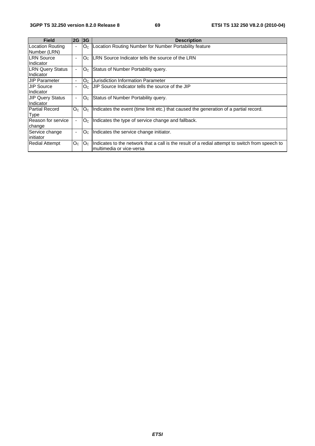| <b>Field</b>                         | 2G                       | 3G             | <b>Description</b>                                                                                                          |
|--------------------------------------|--------------------------|----------------|-----------------------------------------------------------------------------------------------------------------------------|
| Location Routing<br>Number (LRN)     | ۰                        |                | $ O_C $ Location Routing Number for Number Portability feature                                                              |
| <b>LRN Source</b><br>Indicator       |                          | O <sub>C</sub> | <b>ILRN</b> Source Indicator tells the source of the LRN                                                                    |
| <b>LRN Query Status</b><br>Indicator | ٠                        |                | $Oc$ Status of Number Portability query.                                                                                    |
| <b>JIP Parameter</b>                 | ٠                        | O <sub>C</sub> | <b>Jurisdiction Information Parameter</b>                                                                                   |
| <b>JIP Source</b><br>Indicator       | ٠                        |                | $Oc$ JJIP Source Indicator tells the source of the JIP                                                                      |
| <b>JIP Query Status</b><br>Indicator |                          |                | $Oc$ Status of Number Portability query.                                                                                    |
| Partial Record<br><b>Type</b>        | O <sub>C</sub>           | O <sub>C</sub> | Indicates the event (time limit etc.) that caused the generation of a partial record.                                       |
| Reason for service<br>change         |                          | O <sub>C</sub> | Indicates the type of service change and fallback.                                                                          |
| Service change<br>linitiator         | $\overline{\phantom{a}}$ |                | $Oc$  Indicates the service change initiator.                                                                               |
| <b>Redial Attempt</b>                | O <sub>C</sub>           | O <sub>C</sub> | Indicates to the network that a call is the result of a redial attempt to switch from speech to<br>multimedia or vice-versa |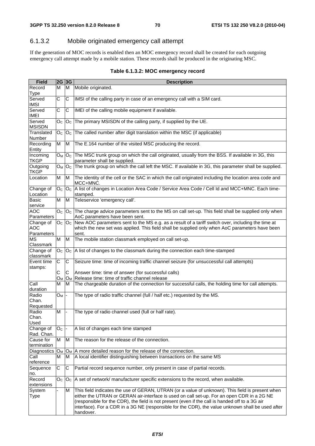# 6.1.3.2 Mobile originated emergency call attempt

If the generation of MOC records is enabled then an MOC emergency record shall be created for each outgoing emergency call attempt made by a mobile station. These records shall be produced in the originating MSC.

| <b>Field</b>                           | 2G 3G                     |    | <b>Description</b>                                                                                                                                                                                                                                                                                                                                                                                                  |
|----------------------------------------|---------------------------|----|---------------------------------------------------------------------------------------------------------------------------------------------------------------------------------------------------------------------------------------------------------------------------------------------------------------------------------------------------------------------------------------------------------------------|
| Record<br><b>Type</b>                  | M                         | ΙM | Mobile originated.                                                                                                                                                                                                                                                                                                                                                                                                  |
| Served<br><b>IMSI</b>                  | C                         | C  | IMSI of the calling party in case of an emergency call with a SIM card.                                                                                                                                                                                                                                                                                                                                             |
| Served<br><b>IMEI</b>                  | C                         | C  | IMEI of the calling mobile equipment if available.                                                                                                                                                                                                                                                                                                                                                                  |
| Served<br><b>MSISDN</b>                | $\mathsf{O}_{\mathbb{C}}$ |    | $OC$ The primary MSISDN of the calling party, if supplied by the UE.                                                                                                                                                                                                                                                                                                                                                |
| Translated<br><b>Number</b>            | O <sub>C</sub>            |    | $Oc$ The called number after digit translation within the MSC (if applicable)                                                                                                                                                                                                                                                                                                                                       |
| Recording<br>Entity                    | M                         | M  | The E.164 number of the visited MSC producing the record.                                                                                                                                                                                                                                                                                                                                                           |
| Incoming<br><b>TKGP</b>                | $O_M$                     |    | O <sub>C</sub> The MSC trunk group on which the call originated, usually from the BSS. If available in 3G, this<br>parameter shall be supplied.                                                                                                                                                                                                                                                                     |
| Outgoing<br><b>TKGP</b>                | Oм                        |    | O <sub>C</sub> The trunk group on which the call left the MSC. If available in 3G, this parameter shall be supplied.                                                                                                                                                                                                                                                                                                |
| Location                               | M                         | M  | The identity of the cell or the SAC in which the call originated including the location area code and<br>MCC+MNC.                                                                                                                                                                                                                                                                                                   |
| Change of<br>Location                  | O <sub>C</sub>            |    | $ O_C $ A list of changes in Location Area Code / Service Area Code / Cell Id and MCC+MNC. Each time-<br>stamped.                                                                                                                                                                                                                                                                                                   |
| Basic<br>service                       | Μ                         | M  | Teleservice 'emergency call'.                                                                                                                                                                                                                                                                                                                                                                                       |
| <b>AOC</b><br>Parameters               | O <sub>C</sub>            |    | $OC$ The charge advice parameters sent to the MS on call set-up. This field shall be supplied only when<br>AoC parameters have been sent.                                                                                                                                                                                                                                                                           |
| Change of<br><b>AOC</b><br>Parameters  |                           |    | $OC$ $OC$ New AOC parameters sent to the MS e.g. as a result of a tariff switch over, including the time at<br>which the new set was applied. This field shall be supplied only when AoC parameters have been<br>sent.                                                                                                                                                                                              |
| <b>MS</b><br>Classmark                 | M                         | M  | The mobile station classmark employed on call set-up.                                                                                                                                                                                                                                                                                                                                                               |
| Change of<br>classmark                 | O <sub>C</sub>            |    | $ O_{\mathbb{C}} $ A list of changes to the classmark during the connection each time-stamped                                                                                                                                                                                                                                                                                                                       |
| Event time<br>stamps:                  | С                         | С  | Seizure time: time of incoming traffic channel seizure (for unsuccessful call attempts)                                                                                                                                                                                                                                                                                                                             |
|                                        | С<br>$O_{M}$              | С  | Answer time: time of answer (for successful calls)<br>$O_M$ Release time: time of traffic channel release                                                                                                                                                                                                                                                                                                           |
| $\overline{C}$ all<br>duration         | М                         | м  | The chargeable duration of the connection for successful calls, the holding time for call attempts.                                                                                                                                                                                                                                                                                                                 |
| Radio<br>Chan.<br>Requested            | $O_M$                     |    | The type of radio traffic channel (full / half etc.) requested by the MS.                                                                                                                                                                                                                                                                                                                                           |
| Radio<br>Chan.                         | M                         |    | The type of radio channel used (full or half rate).                                                                                                                                                                                                                                                                                                                                                                 |
| Used<br>Change of                      | O <sub>c</sub>            |    | A list of changes each time stamped                                                                                                                                                                                                                                                                                                                                                                                 |
| Rad. Chan.<br>Cause for<br>termination | М                         | M  | The reason for the release of the connection.                                                                                                                                                                                                                                                                                                                                                                       |
| Diagnostics O <sub>M</sub>             |                           |    | $O_M$ A more detailed reason for the release of the connection.                                                                                                                                                                                                                                                                                                                                                     |
| Call                                   | M                         | M  | A local identifier distinguishing between transactions on the same MS                                                                                                                                                                                                                                                                                                                                               |
| reference                              |                           |    |                                                                                                                                                                                                                                                                                                                                                                                                                     |
| Sequence<br>no.                        | C                         | C  | Partial record sequence number, only present in case of partial records.                                                                                                                                                                                                                                                                                                                                            |
| Record<br>extensions                   | O <sub>C</sub>            |    | $OC$ A set of network/ manufacturer specific extensions to the record, when available.                                                                                                                                                                                                                                                                                                                              |
| System<br><b>Type</b>                  |                           | M  | This field indicates the use of GERAN, UTRAN (or a value of unknown). This field is present when<br>either the UTRAN or GERAN air-interface is used on call set-up. For an open CDR in a 2G NE<br>(responsible for the CDR), the field is not present (even if the call is handed off to a 3G air<br>interface). For a CDR in a 3G NE (responsible for the CDR), the value unknown shall be used after<br>handover. |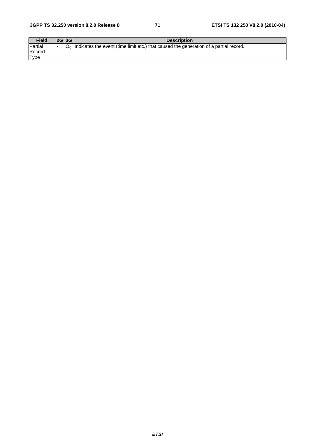| <b>Field</b> | <b>2G 3G</b> | <b>Description</b>                                                                           |
|--------------|--------------|----------------------------------------------------------------------------------------------|
| Partial      |              | $ OC $ Indicates the event (time limit etc.) that caused the generation of a partial record. |
| Record       |              |                                                                                              |
| <b>Type</b>  |              |                                                                                              |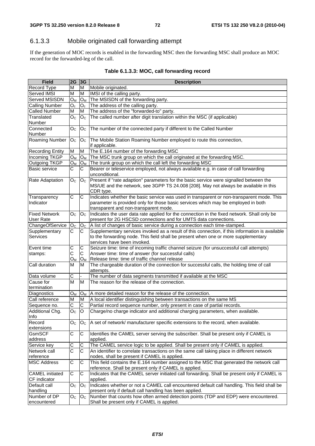## 6.1.3.3 Mobile originated call forwarding attempt

If the generation of MOC records is enabled in the forwarding MSC then the forwarding MSC shall produce an MOC record for the forwarded-leg of the call.

| <b>Field</b>                             | $2G$ 3G                   |                | <b>Description</b>                                                                                                                                                                                                      |  |  |
|------------------------------------------|---------------------------|----------------|-------------------------------------------------------------------------------------------------------------------------------------------------------------------------------------------------------------------------|--|--|
| Record Type                              | М                         | M              | Mobile originated.                                                                                                                                                                                                      |  |  |
| Served IMSI                              | M                         | M              | IMSI of the calling party.                                                                                                                                                                                              |  |  |
| Served MSISDN                            | O <sub>M</sub>            | O <sub>M</sub> | The MSISDN of the forwarding party.                                                                                                                                                                                     |  |  |
| <b>Calling Number</b>                    | $O_c$                     | $O_c$          | The address of the calling party.                                                                                                                                                                                       |  |  |
| <b>Called Number</b>                     | M                         | M              | The address of the "forwarded-to" party.                                                                                                                                                                                |  |  |
| Translated<br>Number                     | O <sub>C</sub>            | O <sub>C</sub> | The called number after digit translation within the MSC (if applicable)                                                                                                                                                |  |  |
| Connected<br>Number                      | $\mathsf{O}_{\mathbb{C}}$ | O <sub>C</sub> | The number of the connected party if different to the Called Number                                                                                                                                                     |  |  |
| <b>Roaming Number</b>                    | O <sub>C</sub>            | O <sub>C</sub> | The Mobile Station Roaming Number employed to route this connection,<br>if applicable.                                                                                                                                  |  |  |
| <b>Recording Entity</b>                  | M                         | M              | The E.164 number of the forwarding MSC                                                                                                                                                                                  |  |  |
| Incoming TKGP                            | $O_{M}$                   | $O_M$          | The MSC trunk group on which the call originated at the forwarding MSC.                                                                                                                                                 |  |  |
| Outgoing TKGP                            | $O_{M}$                   | $O_{M}$        | The trunk group on which the call left the forwarding MSC                                                                                                                                                               |  |  |
| <b>Basic service</b>                     | C                         | С              | Bearer or teleservice employed, not always available e.g. in case of call forwarding<br>unconditional.                                                                                                                  |  |  |
| Rate Adaptation                          | O <sub>C</sub>            | O <sub>C</sub> | Present if "rate adaption" parameters for the basic service were signalled between the<br>MS/UE and the network, see 3GPP TS 24.008 [208]. May not always be available in this<br>CDR type.                             |  |  |
| Transparency<br>Indicator                | $\mathsf C$               | C              | Indicates whether the basic service was used in transparent or non-transparent mode. This<br>parameter is provided only for those basic services which may be employed in both<br>transparent and non-transparent mode. |  |  |
| <b>Fixed Network</b><br><b>User Rate</b> | O <sub>C</sub>            | O <sub>C</sub> | Indicates the user data rate applied for the connection in the fixed network. Shall only be<br>present for 2G HSCSD connections and for UMTS data connections.                                                          |  |  |
| ChangeOfService                          | O <sub>C</sub>            | O <sub>C</sub> | A list of changes of basic service during a connection each time-stamped.                                                                                                                                               |  |  |
| Supplementary<br>Services                | C                         | С              | Supplementary services invoked as a result of this connection, if this information is available<br>to the forwarding node. This field shall be present when one or more supplementary<br>services have been invoked.    |  |  |
| Event time                               | С                         | С              | Seizure time: time of incoming traffic channel seizure (for unsuccessful call attempts)                                                                                                                                 |  |  |
| stamps:                                  | C                         | $\mathsf C$    | Answer time: time of answer (for successful calls)                                                                                                                                                                      |  |  |
|                                          | Oм                        | $O_{M}$        | Release time: time of traffic channel release                                                                                                                                                                           |  |  |
| Call duration                            | M                         | M              | The chargeable duration of the connection for successful calls, the holding time of call<br>attempts.                                                                                                                   |  |  |
| Data volume                              | C                         |                | The number of data segments transmitted if available at the MSC                                                                                                                                                         |  |  |
| Cause for<br>termination                 | M                         | M              | The reason for the release of the connection.                                                                                                                                                                           |  |  |
| Diagnostics                              | $O_{M}$                   | $O_M$          | A more detailed reason for the release of the connection.                                                                                                                                                               |  |  |
| Call reference                           | M                         | M              | A local identifier distinguishing between transactions on the same MS                                                                                                                                                   |  |  |
| Sequence no.                             | $\overline{C}$            | C              | Partial record sequence number, only present in case of partial records.                                                                                                                                                |  |  |
| Additional Chg.<br>Info                  | $\overline{O}_C$          | O              | Charge/no charge indicator and additional charging parameters, when available.                                                                                                                                          |  |  |
| Record<br>extensions                     | O <sub>C</sub>            | O <sub>C</sub> | A set of network/ manufacturer specific extensions to the record, when available.                                                                                                                                       |  |  |
| <b>GsmSCF</b><br>address                 | С                         | C              | Identifies the CAMEL server serving the subscriber. Shall be present only if CAMEL is<br>applied.                                                                                                                       |  |  |
| Service key                              | C                         | С              | The CAMEL service logic to be applied. Shall be present only if CAMEL is applied.                                                                                                                                       |  |  |
| Network call                             | C                         | C              | An identifier to correlate transactions on the same call taking place in different network                                                                                                                              |  |  |
| reference                                |                           |                | nodes, shall be present if CAMEL is applied.                                                                                                                                                                            |  |  |
| <b>MSC Address</b>                       | С                         | C              | This field contains the E.164 number assigned to the MSC that generated the network call<br>reference. Shall be present only if CAMEL is applied.                                                                       |  |  |
| <b>CAMEL</b> initiated<br>CF indicator   | $\overline{C}$            | C              | Indicates that the CAMEL server initiated call forwarding. Shall be present only if CAMEL is<br>applied.                                                                                                                |  |  |
| Default call                             | O <sub>C</sub>            | O <sub>C</sub> | Indicates whether or not a CAMEL call encountered default call handling. This field shall be                                                                                                                            |  |  |
| handling                                 |                           |                | present only if default call handling has been applied.                                                                                                                                                                 |  |  |
| Number of DP<br>encountered              | O <sub>C</sub>            | O <sub>C</sub> | Number that counts how often armed detection points (TDP and EDP) were encountered.<br>Shall be present only if CAMEL is applied.                                                                                       |  |  |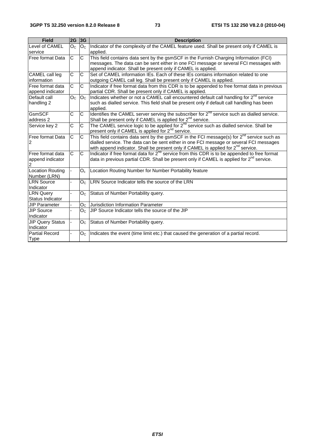| <b>Field</b>                               | 2G                    | 3G             | <b>Description</b>                                                                                                                                                                                                                                                                         |
|--------------------------------------------|-----------------------|----------------|--------------------------------------------------------------------------------------------------------------------------------------------------------------------------------------------------------------------------------------------------------------------------------------------|
| Level of CAMEL<br>service                  | O <sub>C</sub>        | O <sub>C</sub> | Indicator of the complexity of the CAMEL feature used. Shall be present only if CAMEL is<br>applied.                                                                                                                                                                                       |
| Free format Data                           | $\mathsf C$           | C              | This field contains data sent by the gsmSCF in the Furnish Charging Information (FCI)<br>messages. The data can be sent either in one FCI message or several FCI messages with<br>append indicator. Shall be present only if CAMEL is applied.                                             |
| CAMEL call leg<br>information              | $\overline{\text{c}}$ | $\overline{C}$ | Set of CAMEL information IEs. Each of these IEs contains information related to one<br>outgoing CAMEL call leg. Shall be present only if CAMEL is applied.                                                                                                                                 |
| Free format data<br>append indicator       | C                     | C              | Indicator if free format data from this CDR is to be appended to free format data in previous<br>partial CDR. Shall be present only if CAMEL is applied.                                                                                                                                   |
| Default call<br>handling 2                 | O <sub>C</sub>        | O <sub>c</sub> | Indicates whether or not a CAMEL call encountered default call handling for 2 <sup>nd</sup> service<br>such as dialled service. This field shall be present only if default call handling has been<br>applied.                                                                             |
| GsmSCF<br>address 2                        | C                     | $\mathsf{C}$   | Identifies the CAMEL server serving the subscriber for $2^{nd}$ service such as dialled service.<br>Shall be present only if CAMEL is applied for 2 <sup>nd</sup> service.                                                                                                                 |
| Service key 2                              | C                     | C              | The CAMEL service logic to be applied for $2^{nd}$ service such as dialled service. Shall be<br>present only if CAMEL is applied for 2 <sup>nd</sup> service.                                                                                                                              |
| Free format Data<br>2                      | C                     | C              | This field contains data sent by the gsmSCF in the FCI message(s) for $2^{nd}$ service such as<br>dialled service. The data can be sent either in one FCI message or several FCI messages<br>with append indicator. Shall be present only if CAMEL is applied for 2 <sup>nd</sup> service. |
| lFree format data<br>append indicator<br>2 | $\mathsf C$           | C              | Indicator if free format data for $2^{nd}$ service from this CDR is to be appended to free format<br>data in previous partial CDR. Shall be present only if CAMEL is applied for $2^{nd}$ service.                                                                                         |
| <b>Location Routing</b><br>Number (LRN)    |                       | $O_c$          | Location Routing Number for Number Portability feature                                                                                                                                                                                                                                     |
| <b>LRN Source</b><br>Indicator             |                       | O <sub>C</sub> | LRN Source Indicator tells the source of the LRN                                                                                                                                                                                                                                           |
| <b>LRN Query</b><br>Status Indicator       |                       | $O_C$          | Status of Number Portability query.                                                                                                                                                                                                                                                        |
| <b>JIP Parameter</b>                       |                       |                | O <sub>C</sub> Jurisdiction Information Parameter                                                                                                                                                                                                                                          |
| <b>JIP Source</b><br>Indicator             |                       | O <sub>C</sub> | JIP Source Indicator tells the source of the JIP                                                                                                                                                                                                                                           |
| <b>JIP Query Status</b><br>Indicator       |                       |                | $OC$ Status of Number Portability query.                                                                                                                                                                                                                                                   |
| <b>Partial Record</b><br><b>Type</b>       |                       | O <sub>C</sub> | Indicates the event (time limit etc.) that caused the generation of a partial record.                                                                                                                                                                                                      |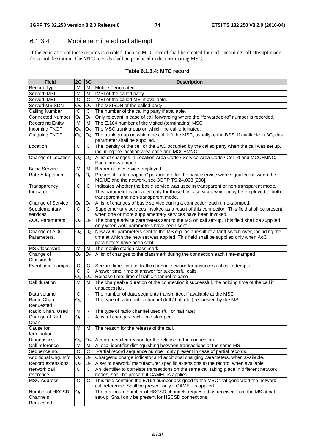## 6.1.3.4 Mobile terminated call attempt

If the generation of these records is enabled, then an MTC record shall be created for each incoming call attempt made for a mobile station. The MTC records shall be produced in the terminating MSC.

#### **Table 6.1.3.4: MTC record**

| <b>Field</b>            | 2G                 | 3G                       | <b>Description</b>                                                                           |
|-------------------------|--------------------|--------------------------|----------------------------------------------------------------------------------------------|
| Record Type             | М                  | м                        | Mobile Terminated.                                                                           |
| Served IMSI             | М                  | м                        | IMSI of the called party.                                                                    |
| Served IMEI             | C                  | C                        | IMEI of the called ME, if available.                                                         |
| Served MSISDN           | Oм                 | $O_{M}$                  | The MSISDN of the called party.                                                              |
| <b>Calling Number</b>   | С                  | С                        | The number of the calling party if available.                                                |
| <b>Connected Number</b> | O <sub>C</sub>     | O <sub>C</sub>           | Only relevant in case of call forwarding where the "forwarded-to" number is recorded.        |
| <b>Recording Entity</b> | M                  | м                        | The E.164 number of the visited (terminating) MSC                                            |
| Incoming TKGP           | Oм                 | O <sub>M</sub>           | The MSC trunk group on which the call originated.                                            |
| Outgoing TKGP           | Oм                 | O <sub>C</sub>           | The trunk group on which the call left the MSC, usually to the BSS. If available in 3G, this |
|                         |                    |                          | parameter shall be supplied.                                                                 |
| Location                | C                  | C                        | The identity of the cell or the SAC occupied by the called party when the call was set up,   |
|                         |                    |                          | including the location area code and MCC+MNC.                                                |
| Change of Location      | O <sub>C</sub>     | $O_{C}$                  | A list of changes in Location Area Code / Service Area Code / Cell Id and MCC+MNC.           |
|                         |                    |                          | Each time-stamped.                                                                           |
| <b>Basic Service</b>    | M                  | м                        | Bearer or teleservice employed                                                               |
| Rate Adaptation         | Oc                 | O <sub>C</sub>           | Present if "rate adaption" parameters for the basic service were signalled between the       |
|                         |                    |                          | MS/UE and the network, see 3GPP TS 24.008 [208].                                             |
| Transparency            | C                  | C                        | Indicates whether the basic service was used in transparent or non-transparent mode.         |
| Indicator               |                    |                          | This parameter is provided only for those basic services which may be employed in both       |
|                         |                    |                          | transparent and non-transparent mode.                                                        |
| Change of Service       | O <sub>C</sub>     | O <sub>C</sub>           | A list of changes of basic service during a connection each time-stamped.                    |
| Supplementary           | C                  | C                        | Supplementary services invoked as a result of this connection. This field shall be present   |
| services                |                    |                          | when one or more supplementary services have been invoked.                                   |
| <b>AOC Parameters</b>   | O <sub>C</sub>     | O <sub>C</sub>           | The charge advice parameters sent to the MS on call set-up. This field shall be supplied     |
|                         |                    |                          | only when AoC parameters have been sent.                                                     |
| Change of AOC           | O <sub>C</sub>     | O <sub>C</sub>           | New AOC parameters sent to the MS e.g. as a result of a tariff switch-over, including the    |
| Parameters.             |                    |                          | time at which the new set was applied. This field shall be supplied only when AoC            |
|                         |                    |                          | parameters have been sent.                                                                   |
| <b>MS Classmark</b>     | M                  | м                        | The mobile station class mark.                                                               |
| Change of               | $O_{C}$            | O <sub>C</sub>           | A list of changes to the classmark during the connection each time-stamped                   |
| Classmark               |                    |                          |                                                                                              |
| Event time stamps:      | $\mathsf C$        | C                        | Seizure time: time of traffic channel seizure for unsuccessful call attempts                 |
|                         | C                  | C                        | Answer time: time of answer for successful calls                                             |
|                         | О <sub>м</sub>     | O <sub>M</sub>           | Release time: time of traffic channel release                                                |
| Call duration           | M                  | м                        | The chargeable duration of the connection if successful, the holding time of the call if     |
|                         |                    |                          | unsuccessful.                                                                                |
| Data volume             | C                  | $\overline{\phantom{a}}$ | The number of data segments transmitted, if available at the MSC                             |
| Radio Chan.             | $O_{M}$            | $\blacksquare$           | The type of radio traffic channel (full / half etc.) requested by the MS.                    |
| Requested               |                    |                          |                                                                                              |
| Radio Chan. Used        | M                  | $\blacksquare$           | The type of radio channel used (full or half rate).                                          |
| Change of Rad.          | $\overline{O_{C}}$ |                          | A list of changes each time stamped                                                          |
| Chan                    |                    |                          |                                                                                              |
| Cause for               | M                  | м                        | The reason for the release of the call.                                                      |
| termination             |                    |                          |                                                                                              |
| Diagnostics             | Oм                 | $O_M$                    | A more detailed reason for the release of the connection.                                    |
| Call reference          | M                  | м                        | A local identifier distinguishing between transactions at the same MS                        |
| Sequence no.            | $\overline{C}$     | C                        | Partial record sequence number, only present in case of partial records.                     |
| Additional Chg. Info    | O <sub>C</sub>     | O <sub>C</sub>           | Charge/no charge indicator and additional charging parameters, when available.               |
| Record extensions       | O <sub>C</sub>     | O <sub>C</sub>           | A set of network/ manufacturer specific extensions to the record, when available.            |
| Network call            | $\mathsf C$        | C                        | An identifier to correlate transactions on the same call taking place in different network   |
| reference               |                    |                          | nodes, shall be present if CAMEL is applied.                                                 |
| <b>MSC Address</b>      | C                  | C                        | This field contains the E.164 number assigned to the MSC that generated the network          |
|                         |                    |                          | call reference. Shall be present only if CAMEL is applied.                                   |
| Number of HSCSD         | O <sub>C</sub>     | $\blacksquare$           | The maximum number of HSCSD channels requested as received from the MS at call               |
| Channels                |                    |                          | set-up. Shall only be present for HSCSD connections.                                         |
| Requested               |                    |                          |                                                                                              |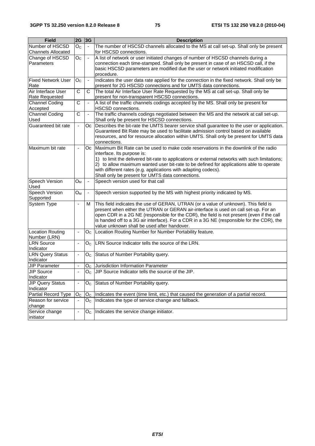| <b>Field</b>                      | 2G 3G                        |                          | <b>Description</b>                                                                                                                     |
|-----------------------------------|------------------------------|--------------------------|----------------------------------------------------------------------------------------------------------------------------------------|
| Number of HSCSD                   | O <sub>C</sub>               |                          | The number of HSCSD channels allocated to the MS at call set-up. Shall only be present                                                 |
| <b>Channels Allocated</b>         |                              |                          | for HSCSD connections.                                                                                                                 |
| Change of HSCSD                   | O <sub>C</sub>               | $\blacksquare$           | A list of network or user initiated changes of number of HSCSD channels during a                                                       |
| Parameters                        |                              |                          | connection each time-stamped. Shall only be present in case of an HSCSD call, if the                                                   |
|                                   |                              |                          | basic HSCSD parameters are modified due the user or network initiated modification                                                     |
|                                   |                              |                          | procedure.                                                                                                                             |
| <b>Fixed Network User</b>         | O <sub>c</sub>               | $\overline{\phantom{a}}$ | Indicates the user data rate applied for the connection in the fixed network. Shall only be                                            |
| Rate                              |                              |                          | present for 2G HSCSD connections and for UMTS data connections.                                                                        |
| Air Interface User                | $\mathsf C$                  | C                        | The total Air Interface User Rate Requested by the MS at call set-up. Shall only be                                                    |
| Rate Requested                    |                              |                          | present for non-transparent HSCSD connections.                                                                                         |
| <b>Channel Coding</b>             | C                            | ÷,                       | A list of the traffic channels codings accepted by the MS. Shall only be present for                                                   |
| Accepted                          |                              |                          | <b>HSCSD</b> connections.                                                                                                              |
| <b>Channel Coding</b><br>Used     | $\mathsf C$                  | $\blacksquare$           | The traffic channels codings negotiated between the MS and the network at call set-up.<br>Shall only be present for HSCSD connections. |
| Guaranteed bit rate               | $\blacksquare$               | Oc                       | Describes the bit-rate the UMTS bearer service shall guarantee to the user or application.                                             |
|                                   |                              |                          | Guaranteed Bit Rate may be used to facilitate admission control based on available                                                     |
|                                   |                              |                          | resources, and for resource allocation within UMTS. Shall only be present for UMTS data                                                |
|                                   |                              |                          | connections.                                                                                                                           |
| Maximum bit rate                  | $\overline{\phantom{a}}$     |                          | Oc Maximum Bit Rate can be used to make code reservations in the downlink of the radio                                                 |
|                                   |                              |                          | interface. Its purpose is:                                                                                                             |
|                                   |                              |                          | 1) to limit the delivered bit-rate to applications or external networks with such limitations;                                         |
|                                   |                              |                          | 2) to allow maximum wanted user bit-rate to be defined for applications able to operate                                                |
|                                   |                              |                          | with different rates (e.g. applications with adapting codecs).<br>Shall only be present for UMTS data connections.                     |
|                                   | $O_M$                        | ä,                       | Speech version used for that call                                                                                                      |
| Speech Version<br>Used            |                              |                          |                                                                                                                                        |
| Speech Version                    | $O_{M}$                      | $\blacksquare$           | Speech version supported by the MS with highest priority indicated by MS.                                                              |
| Supported                         |                              |                          |                                                                                                                                        |
| System Type                       | $\blacksquare$               | м                        | This field indicates the use of GERAN, UTRAN (or a value of unknown). This field is                                                    |
|                                   |                              |                          | present when either the UTRAN or GERAN air-interface is used on call set-up. For an                                                    |
|                                   |                              |                          | open CDR in a 2G NE (responsible for the CDR), the field is not present (even if the call                                              |
|                                   |                              |                          | is handed off to a 3G air interface). For a CDR in a 3G NE (responsible for the CDR), the                                              |
|                                   |                              |                          | value unknown shall be used after handover.                                                                                            |
| Location Routing                  | $\blacksquare$               | O <sub>C</sub>           | Location Routing Number for Number Portability feature.                                                                                |
| Number (LRN)<br><b>LRN Source</b> |                              |                          | LRN Source Indicator tells the source of the LRN.                                                                                      |
| Indicator                         | $\overline{\phantom{a}}$     | O <sub>C</sub>           |                                                                                                                                        |
| <b>LRN Query Status</b>           | $\qquad \qquad \blacksquare$ | Oc.                      | Status of Number Portability query.                                                                                                    |
| Indicator                         |                              |                          |                                                                                                                                        |
| <b>JIP Parameter</b>              | $\qquad \qquad \blacksquare$ |                          | O <sub>C</sub> Jurisdiction Information Parameter                                                                                      |
| <b>JIP Source</b>                 |                              |                          | $OC$ JIP Source Indicator tells the source of the JIP.                                                                                 |
| Indicator                         |                              |                          |                                                                                                                                        |
| <b>JIP Query Status</b>           | $\qquad \qquad \blacksquare$ | O <sub>C</sub>           | Status of Number Portability query.                                                                                                    |
| Indicator                         |                              |                          |                                                                                                                                        |
| Partial Record Type               | O <sub>C</sub>               | O <sub>C</sub>           | Indicates the event (time limit, etc.) that caused the generation of a partial record.                                                 |
| Reason for service                |                              | O <sub>C</sub>           | Indicates the type of service change and fallback.                                                                                     |
| change                            |                              |                          |                                                                                                                                        |
| Service change                    | $\qquad \qquad \blacksquare$ | Oc.                      | Indicates the service change initiator.                                                                                                |
| initiator                         |                              |                          |                                                                                                                                        |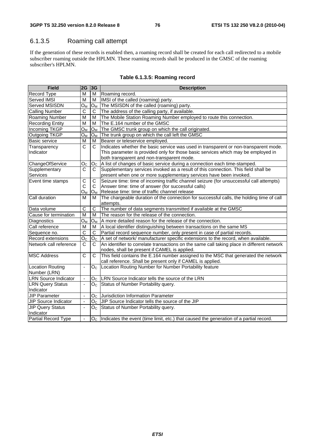## 6.1.3.5 Roaming call attempt

If the generation of these records is enabled then, a roaming record shall be created for each call redirected to a mobile subscriber roaming outside the HPLMN. These roaming records shall be produced in the GMSC of the roaming subscriber's HPLMN.

| <b>Field</b>                | 2G                       | 3G             | <b>Description</b>                                                                              |  |  |  |
|-----------------------------|--------------------------|----------------|-------------------------------------------------------------------------------------------------|--|--|--|
| Record Type                 | М                        | м              | Roaming record.                                                                                 |  |  |  |
| Served IMSI                 | М                        | м              | IMSI of the called (roaming) party.                                                             |  |  |  |
| Served MSISDN               | O <sub>M</sub>           | $O_M$          | The MSISDN of the called (roaming) party.                                                       |  |  |  |
| <b>Calling Number</b>       | C                        | C              | The address of the calling party, if available.                                                 |  |  |  |
| Roaming Number              | M                        | М              | The Mobile Station Roaming Number employed to route this connection.                            |  |  |  |
| <b>Recording Entity</b>     | M                        | М              | The E.164 number of the GMSC                                                                    |  |  |  |
| Incoming TKGP               | Oм                       | $O_{M}$        | The GMSC trunk group on which the call originated.                                              |  |  |  |
| Outgoing TKGP               | Oм                       | Oм             | The trunk group on which the call left the GMSC                                                 |  |  |  |
| <b>Basic service</b>        | М                        | м              | Bearer or teleservice employed.                                                                 |  |  |  |
| Transparency                | C                        | C              | Indicates whether the basic service was used in transparent or non-transparent mode.            |  |  |  |
| Indicator                   |                          |                | This parameter is provided only for those basic services which may be employed in               |  |  |  |
|                             |                          |                | both transparent and non-transparent mode.                                                      |  |  |  |
| ChangeOfService             | Oc                       | O <sub>C</sub> | A list of changes of basic service during a connection each time-stamped.                       |  |  |  |
| Supplementary               | С                        | C              | Supplementary services invoked as a result of this connection. This field shall be              |  |  |  |
| Services                    |                          |                | present when one or more supplementary services have been invoked.                              |  |  |  |
| Event time stamps           | C                        | C              | Seizure time: time of incoming traffic channel seizure (for unsuccessful call attempts)         |  |  |  |
|                             | С                        | C              | Answer time: time of answer (for successful calls)                                              |  |  |  |
|                             | Oм                       | O <sub>M</sub> | Release time: time of traffic channel release                                                   |  |  |  |
| Call duration               | М                        | м              | The chargeable duration of the connection for successful calls, the holding time of call        |  |  |  |
|                             |                          |                | attempts.                                                                                       |  |  |  |
| Data volume                 | C                        | $\mathsf C$    | The number of data segments transmitted if available at the GMSC                                |  |  |  |
| Cause for termination       | M                        | м              | The reason for the release of the connection.                                                   |  |  |  |
| Diagnostics                 | Oм                       | Ом             | A more detailed reason for the release of the connection.                                       |  |  |  |
| Call reference              | M                        | м              | A local identifier distinguishing between transactions on the same MS                           |  |  |  |
| Sequence no.                | C                        | C              | Partial record sequence number, only present in case of partial records.                        |  |  |  |
| Record extensions           | O <sub>C</sub>           | O <sub>C</sub> | A set of network/ manufacturer specific extensions to the record, when available.               |  |  |  |
| Network call reference      | C                        | C              | An identifier to correlate transactions on the same call taking place in different network      |  |  |  |
|                             |                          |                | nodes, shall be present if CAMEL is applied.                                                    |  |  |  |
| <b>MSC Address</b>          | C                        | C              | This field contains the E.164 number assigned to the MSC that generated the network             |  |  |  |
|                             |                          |                | call reference. Shall be present only if CAMEL is applied.                                      |  |  |  |
| <b>Location Routing</b>     | $\overline{\phantom{a}}$ | O <sub>C</sub> | Location Routing Number for Number Portability feature                                          |  |  |  |
| Number (LRN)                |                          |                |                                                                                                 |  |  |  |
| <b>LRN Source Indicator</b> | $\blacksquare$           | Oc.            | LRN Source Indicator tells the source of the LRN                                                |  |  |  |
| <b>LRN Query Status</b>     | $\overline{\phantom{a}}$ | O <sub>C</sub> | Status of Number Portability query.                                                             |  |  |  |
| Indicator                   |                          |                |                                                                                                 |  |  |  |
| <b>JIP Parameter</b>        | ÷,                       | O <sub>C</sub> | Jurisdiction Information Parameter                                                              |  |  |  |
| <b>JIP Source Indicator</b> | $\overline{\phantom{a}}$ | O <sub>C</sub> | JIP Source Indicator tells the source of the JIP                                                |  |  |  |
| <b>JIP Query Status</b>     | $\blacksquare$           | Oc.            | Status of Number Portability query.                                                             |  |  |  |
| Indicator                   |                          |                |                                                                                                 |  |  |  |
| <b>Partial Record Type</b>  | $\blacksquare$           |                | $O_{C}$  Indicates the event (time limit, etc.) that caused the generation of a partial record. |  |  |  |

#### **Table 6.1.3.5: Roaming record**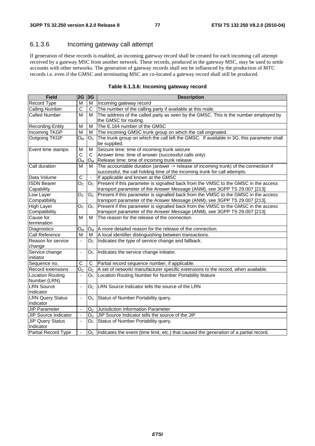## 6.1.3.6 Incoming gateway call attempt

If generation of these records is enabled, an incoming gateway record shall be created for each incoming call attempt received by a gateway MSC from another network. These records, produced in the gateway MSC, may be used to settle accounts with other networks. The generation of gateway records shall not be influenced by the production of MTC records i.e. even if the GMSC and terminating MSC are co-located a gateway record shall still be produced.

| Field                        | 2G                       | 3G             | <b>Description</b>                                                                                                                                                |  |  |
|------------------------------|--------------------------|----------------|-------------------------------------------------------------------------------------------------------------------------------------------------------------------|--|--|
| Record Type                  | M                        | M              | Incoming gateway record                                                                                                                                           |  |  |
| <b>Calling Number</b>        | C                        | C              | The number of the calling party if available at this node.                                                                                                        |  |  |
| <b>Called Number</b>         | M                        | м              | The address of the called party as seen by the GMSC. This is the number employed by                                                                               |  |  |
|                              |                          |                | the GMSC for routing.                                                                                                                                             |  |  |
| <b>Recording Entity</b>      | M                        | M              | The E.164 number of the GMSC                                                                                                                                      |  |  |
| <b>Incoming TKGP</b>         | M                        | M              | The incoming GMSC trunk group on which the call originated.                                                                                                       |  |  |
| Outgoing TKGP                | $O_{M}$                  | Oc             | The trunk group on which the call left the GMSC. If available in 3G, this parameter shall<br>be supplied.                                                         |  |  |
| Event time stamps:           | M                        | M              | Seizure time: time of incoming trunk seizure                                                                                                                      |  |  |
|                              | C                        | C              | Answer time: time of answer (successful calls only)                                                                                                               |  |  |
|                              | Oм                       | Oм             | Release time: time of incoming trunk release                                                                                                                      |  |  |
| Call duration                | М                        | м              | The accountable duration (answer -> release of incoming trunk) of the connection if<br>successful, the call holding time of the incoming trunk for call attempts. |  |  |
| Data Volume                  | C                        | $\Box$         | If applicable and known at the GMSC                                                                                                                               |  |  |
| <b>ISDN Bearer</b>           | $\mathsf{O}_\mathbb{C}$  | O <sub>C</sub> | Present if this parameter is signalled back from the VMSC to the GMSC in the access                                                                               |  |  |
| Capability                   |                          |                | transport parameter of the Answer Message (ANM), see 3GPP TS 29.007 [213].                                                                                        |  |  |
| Low Layer                    | O <sub>C</sub>           | O <sub>C</sub> | Present if this parameter is signalled back from the VMSC to the GMSC in the access                                                                               |  |  |
| Compatibility                |                          |                | transport parameter of the Answer Message (ANM), see 3GPP TS 29.007 [213].                                                                                        |  |  |
| <b>High Layer</b>            | O <sub>C</sub>           | O <sub>C</sub> | Present if this parameter is signalled back from the VMSC to the GMSC in the access                                                                               |  |  |
| Compatibility                |                          |                | transport parameter of the Answer Message (ANM), see 3GPP TS 29.007 [213].                                                                                        |  |  |
| Cause for                    | м                        | м              | The reason for the release of the connection.                                                                                                                     |  |  |
| termination                  |                          |                |                                                                                                                                                                   |  |  |
| Diagnostics                  | $O_{M}$                  | $O_M$          | A more detailed reason for the release of the connection.                                                                                                         |  |  |
| Call Reference               | М                        | м              | A local identifier distinguishing between transactions.                                                                                                           |  |  |
| Reason for service<br>change | $\blacksquare$           | Oc.            | Indicates the type of service change and fallback.                                                                                                                |  |  |
| Service change<br>initiator  | $\blacksquare$           | Oc.            | Indicates the service change initiator.                                                                                                                           |  |  |
| Sequence no.                 | C                        | C              | Partial record sequence number, if applicable.                                                                                                                    |  |  |
| Record extensions            | O <sub>C</sub>           | Oc.            | A set of network/ manufacturer specific extensions to the record, when available.                                                                                 |  |  |
| <b>Location Routing</b>      | $\overline{\phantom{a}}$ | Oc.            | Location Routing Number for Number Portability feature                                                                                                            |  |  |
| Number (LRN)                 |                          |                |                                                                                                                                                                   |  |  |
| <b>LRN</b> Source            | ÷,                       | O <sub>C</sub> | LRN Source Indicator tells the source of the LRN                                                                                                                  |  |  |
| Indicator                    |                          |                |                                                                                                                                                                   |  |  |
| <b>LRN Query Status</b>      | $\blacksquare$           | Oc.            | Status of Number Portability query.                                                                                                                               |  |  |
| Indicator                    |                          |                |                                                                                                                                                                   |  |  |
| <b>JIP Parameter</b>         | $\overline{\phantom{a}}$ | O <sub>C</sub> | Jurisdiction Information Parameter                                                                                                                                |  |  |
| JIP Source Indicator         | ä,                       | $O_{\rm C}$    | JIP Source Indicator tells the source of the JIP                                                                                                                  |  |  |
| <b>JIP Query Status</b>      | ä,                       | Oc.            | Status of Number Portability query.                                                                                                                               |  |  |
| Indicator                    |                          |                |                                                                                                                                                                   |  |  |
| Partial Record Type          | $\blacksquare$           |                | $O_{C}$  Indicates the event (time limit, etc.) that caused the generation of a partial record.                                                                   |  |  |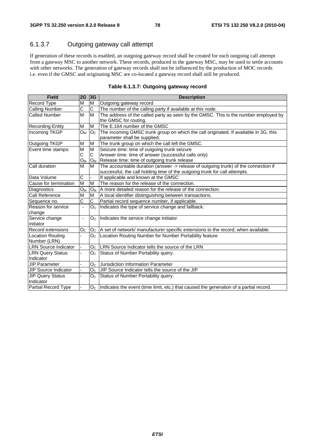## 6.1.3.7 Outgoing gateway call attempt

If generation of these records is enabled, an outgoing gateway record shall be created for each outgoing call attempt from a gateway MSC to another network. These records, produced in the gateway MSC, may be used to settle accounts with other networks. The generation of gateway records shall not be influenced by the production of MOC records i.e. even if the GMSC and originating MSC are co-located a gateway record shall still be produced.

| <b>Field</b>                | 2G                       | 3G             | <b>Description</b>                                                                              |  |  |
|-----------------------------|--------------------------|----------------|-------------------------------------------------------------------------------------------------|--|--|
| <b>Record Type</b>          | M                        | M              | Outgoing gateway record                                                                         |  |  |
| <b>Calling Number</b>       | C                        | $\mathsf{C}$   | The number of the calling party if available at this node.                                      |  |  |
| <b>Called Number</b>        | M                        | M              | The address of the called party as seen by the GMSC. This is the number employed by             |  |  |
|                             |                          |                | the GMSC for routing.                                                                           |  |  |
| <b>Recording Entity</b>     | M                        | M              | The E.164 number of the GMSC                                                                    |  |  |
| Incoming TKGP               | $O_{M}$                  | O <sub>C</sub> | The incoming GMSC trunk group on which the call originated. If available in 3G, this            |  |  |
|                             |                          |                | parameter shall be supplied.                                                                    |  |  |
| Outgoing TKGP               | M                        | M              | The trunk group on which the call left the GMSC.                                                |  |  |
| Event time stamps:          | M                        | M              | Seizure time: time of outgoing trunk seizure                                                    |  |  |
|                             | С                        | C              | Answer time: time of answer (successful calls only)                                             |  |  |
|                             | $O_M$                    | $O_{M}$        | Release time: time of outgoing trunk release                                                    |  |  |
| Call duration               | M                        | M              | The accountable duration (answer -> release of outgoing trunk) of the connection if             |  |  |
|                             |                          |                | successful, the call holding time of the outgoing trunk for call attempts.                      |  |  |
| Data Volume                 | C                        | ÷.             | If applicable and known at the GMSC                                                             |  |  |
| Cause for termination       | M                        | M              | The reason for the release of the connection.                                                   |  |  |
| Diagnostics                 | $O_M$                    | $O_M$          | A more detailed reason for the release of the connection.                                       |  |  |
| Call Reference              | M                        | M              | A local identifier distinguishing between transactions.                                         |  |  |
| Sequence no.                | $\overline{\text{c}}$    | C              | Partial record sequence number, if applicable.                                                  |  |  |
| Reason for service          | $\overline{\phantom{a}}$ | O <sub>C</sub> | Indicates the type of service change and fallback.                                              |  |  |
| change                      |                          |                |                                                                                                 |  |  |
| Service change              | $\overline{\phantom{0}}$ | O <sub>C</sub> | Indicates the service change initiator.                                                         |  |  |
| initiator                   |                          |                |                                                                                                 |  |  |
| Record extensions           | O <sub>C</sub>           | O <sub>C</sub> | A set of network/ manufacturer specific extensions to the record, when available.               |  |  |
| <b>Location Routing</b>     |                          | O <sub>C</sub> | Location Routing Number for Number Portability feature                                          |  |  |
| Number (LRN)                |                          |                |                                                                                                 |  |  |
| <b>LRN Source Indicator</b> |                          | O <sub>C</sub> | LRN Source Indicator tells the source of the LRN                                                |  |  |
| <b>LRN Query Status</b>     |                          | Oc.            | Status of Number Portability query.                                                             |  |  |
| Indicator                   |                          |                |                                                                                                 |  |  |
| <b>JIP Parameter</b>        |                          | O <sub>c</sub> | Jurisdiction Information Parameter                                                              |  |  |
| JIP Source Indicator        |                          | O <sub>C</sub> | UIP Source Indicator tells the source of the JIP                                                |  |  |
| <b>JIP Query Status</b>     |                          | $O_{\rm C}$    | Status of Number Portability query.                                                             |  |  |
| Indicator                   |                          |                |                                                                                                 |  |  |
| Partial Record Type         |                          |                | $O_{C}$  Indicates the event (time limit, etc.) that caused the generation of a partial record. |  |  |

|  |  | Table 6.1.3.7: Outgoing gateway record |
|--|--|----------------------------------------|
|--|--|----------------------------------------|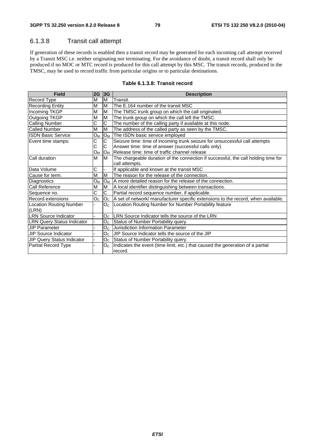## 6.1.3.8 Transit call attempt

If generation of these records is enabled then a transit record may be generated for each incoming call attempt received by a Transit MSC i.e. neither originating nor terminating. For the avoidance of doubt, a transit record shall only be produced if no MOC or MTC record is produced for this call attempt by this MSC. The transit records, produced in the TMSC, may be used to record traffic from particular origins or to particular destinations.

| <b>Field</b>                            | 2G                 | 3G                       | <b>Description</b>                                                                 |
|-----------------------------------------|--------------------|--------------------------|------------------------------------------------------------------------------------|
| Record Type                             | M                  | M                        | Transit.                                                                           |
| <b>Recording Entity</b>                 | M                  | M                        | The E.164 number of the transit MSC                                                |
| Incoming TKGP                           | M                  | M                        | The TMSC trunk group on which the call originated.                                 |
| Outgoing TKGP                           | M                  | M                        | The trunk group on which the call left the TMSC.                                   |
| <b>Calling Number</b>                   | $\overline{\rm c}$ | $\overline{C}$           | The number of the calling party if available at this node.                         |
| <b>Called Number</b>                    | M                  | M                        | The address of the called party as seen by the TMSC.                               |
| <b>ISDN Basic Service</b>               | $O_M$              | $O_M$                    | The ISDN basic service employed                                                    |
| Event time stamps:                      | С                  | C                        | Seizure time: time of incoming trunk seizure for unsuccessful call attempts        |
|                                         | C                  | C                        | Answer time: time of answer (successful calls only)                                |
|                                         | Oм                 | IO <sub>M</sub>          | Release time: time of traffic channel release                                      |
| Call duration                           | M                  | M                        | The chargeable duration of the connection if successful, the call holding time for |
|                                         |                    |                          | call attempts.                                                                     |
| Data Volume                             | С                  | $\overline{\phantom{0}}$ | If applicable and known at the transit MSC                                         |
| Cause for term.                         | M                  | M                        | The reason for the release of the connection.                                      |
| Diagnostics                             | $O_M$              | $O_{M}$                  | IA more detailed reason for the release of the connection.                         |
| Call Reference                          | M                  | M                        | A local identifier distinguishing between transactions.                            |
| Sequence no.                            | C                  | C                        | Partial record sequence number, if applicable.                                     |
| Record extensions                       | O <sub>C</sub>     | O <sub>C</sub>           | A set of network/ manufacturer specific extensions to the record, when available.  |
| <b>Location Routing Number</b><br>(LRN) |                    | O <sub>C</sub>           | Location Routing Number for Number Portability feature                             |
| <b>LRN Source Indicator</b>             |                    | O <sub>c</sub>           | <b>ILRN</b> Source Indicator tells the source of the LRN                           |
| <b>LRN Query Status Indicator</b>       |                    |                          | O <sub>C</sub> Status of Number Portability query.                                 |
| <b>JIP Parameter</b>                    |                    |                          | O <sub>C</sub> Jurisdiction Information Parameter                                  |
| JIP Source Indicator                    |                    | O <sub>C</sub>           | UIP Source Indicator tells the source of the JIP                                   |
| JIP Query Status Indicator              |                    |                          | O <sub>C</sub> Status of Number Portability query.                                 |
| <b>Partial Record Type</b>              |                    | O <sub>C</sub>           | Indicates the event (time limit, etc.) that caused the generation of a partial     |
|                                         |                    |                          | record.                                                                            |

#### **Table 6.1.3.8: Transit record**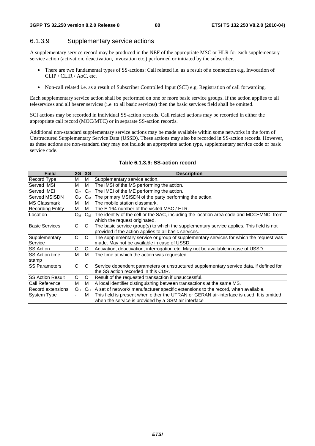#### 6.1.3.9 Supplementary service actions

A supplementary service record may be produced in the NEF of the appropriate MSC or HLR for each supplementary service action (activation, deactivation, invocation etc.) performed or initiated by the subscriber.

- There are two fundamental types of SS-actions: Call related i.e. as a result of a connection e.g. Invocation of CLIP / CLIR / AoC, etc.
- Non-call related i.e. as a result of Subscriber Controlled Input (SCI) e.g. Registration of call forwarding.

Each supplementary service action shall be performed on one or more basic service groups. If the action applies to all teleservices and all bearer services (i.e. to all basic services) then the basic services field shall be omitted.

SCI actions may be recorded in individual SS-action records. Call related actions may be recorded in either the appropriate call record (MOC/MTC) or in separate SS-action records.

Additional non-standard supplementary service actions may be made available within some networks in the form of Unstructured Supplementary Service Data (USSD). These actions may also be recorded in SS-action records. However, as these actions are non-standard they may not include an appropriate action type, supplementary service code or basic service code.

| <b>Field</b>            | 2G             | 3G             | <b>Description</b>                                                                                                                                |
|-------------------------|----------------|----------------|---------------------------------------------------------------------------------------------------------------------------------------------------|
| <b>Record Type</b>      | M              | М              | Supplementary service action.                                                                                                                     |
| Served IMSI             | M              | M              | The IMSI of the MS performing the action.                                                                                                         |
| Served IMEI             | O <sub>C</sub> |                | $OC$ The IMEI of the ME performing the action.                                                                                                    |
| Served MSISDN           | $O_M$          |                | O <sub>M</sub> The primary MSISDN of the party performing the action.                                                                             |
| IMS Classmark           | M              | M              | The mobile station classmark.                                                                                                                     |
| <b>Recording Entity</b> | M              | M              | The E.164 number of the visited MSC / HLR.                                                                                                        |
| Location                | O <sub>M</sub> |                | $O_M$ The identity of the cell or the SAC, including the location area code and MCC+MNC, from<br>which the request originated.                    |
| lBasic Services         | C              | C              | The basic service group(s) to which the supplementary service applies. This field is not<br>provided if the action applies to all basic services. |
| Supplementary           | C              | C              | The supplementary service or group of supplementary services for which the request was                                                            |
| Service                 |                |                | made. May not be available in case of USSD.                                                                                                       |
| <b>ISS Action</b>       | С              | C              | Activation, deactivation, interrogation etc. May not be available in case of USSD.                                                                |
| <b>ISS Action time</b>  | M              | M              | The time at which the action was requested.                                                                                                       |
| stamp                   |                |                |                                                                                                                                                   |
| ISS Parameters          | C              | C              | Service dependent parameters or unstructured supplementary service data, if defined for                                                           |
|                         |                |                | lthe SS action recorded in this CDR.                                                                                                              |
| <b>SS Action Result</b> | C              | С              | Result of the requested transaction if unsuccessful.                                                                                              |
| <b>ICall Reference</b>  | M              | M              | A local identifier distinguishing between transactions at the same MS.                                                                            |
| Record extensions       | O <sub>C</sub> | O <sub>C</sub> | A set of network/ manufacturer specific extensions to the record, when available.                                                                 |
| <b>System Type</b>      |                | M              | This field is present when either the UTRAN or GERAN air-interface is used. It is omitted                                                         |
|                         |                |                | when the service is provided by a GSM air interface                                                                                               |

#### **Table 6.1.3.9: SS-action record**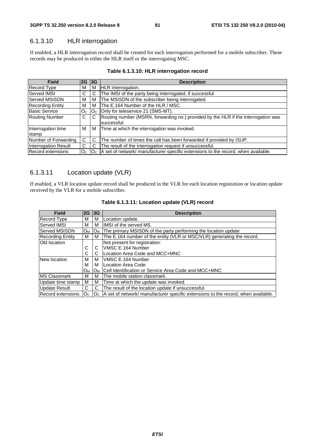## 6.1.3.10 HLR interrogation

If enabled, a HLR interrogation record shall be created for each interrogation performed for a mobile subscriber. These records may be produced in either the HLR itself or the interrogating MSC.

| <b>Field</b>                | 2G 3G          |                | <b>Description</b>                                                                                |
|-----------------------------|----------------|----------------|---------------------------------------------------------------------------------------------------|
| Record Type                 | М              | м              | <b>HLR</b> interrogation.                                                                         |
| Served IMSI                 | C              | C.             | The IMSI of the party being interrogated, if successful                                           |
| <b>Served MSISDN</b>        | M              | М              | The MSISDN of the subscriber being interrogated.                                                  |
| <b>Recording Entity</b>     | м              | м              | The E.164 Number of the HLR / MSC.                                                                |
| <b>Basic Service</b>        | O <sub>C</sub> | O <sub>C</sub> | Only for teleservice 21 (SMS-MT).                                                                 |
| <b>Routing Number</b>       | C.             | C              | Routing number (MSRN, forwarding no.) provided by the HLR if the interrogation was<br>successful. |
| Interrogation time<br>stamp | м              | м              | Time at which the interrogation was invoked.                                                      |
| Number of Forwarding        | C              | С              | The number of times the call has been forwarded if provided by ISUP.                              |
| <b>Interrogation Result</b> | C.             | C              | The result of the interrogation request if unsuccessful.                                          |
| Record extensions           | O <sub>c</sub> | O <sub>c</sub> | A set of network/ manufacturer specific extensions to the record, when available.                 |

#### **Table 6.1.3.10: HLR interrogation record**

### 6.1.3.11 Location update (VLR)

If enabled, a VLR location update record shall be produced in the VLR for each location registration or location update received by the VLR for a mobile subscriber.

| <b>Field</b>            | 2G             | 3G             | <b>Description</b>                                                                |
|-------------------------|----------------|----------------|-----------------------------------------------------------------------------------|
| <b>Record Type</b>      | м              | M              | Location update.                                                                  |
| Served IMSI             | М              | м              | IMSI of the served MS.                                                            |
| Served MSISDN           | $O_{M}$        | $O_{M}$        | The primary MSISDN of the party performing the location update                    |
| <b>Recording Entity</b> | M              | M              | The E.164 number of the entity (VLR or MSC/VLR) generating the record.            |
| Old location            |                |                | Not present for registration:                                                     |
|                         | C              | C              | VMSC E.164 Number                                                                 |
|                         | С              | C              | Location Area Code and MCC+MNC                                                    |
| New location            | М              | м              | VMSC E.164 Number                                                                 |
|                         | м              | м              | ILocation Area Code                                                               |
|                         | $O_{M}$        | $O_M$          | Cell Identification or Service Area Code and MCC+MNC                              |
| <b>IMS Classmark</b>    | м              | м              | The mobile station classmark.                                                     |
| Update time stamp       | м              | м              | Time at which the update was invoked.                                             |
| <b>Update Result</b>    | C              | C              | The result of the location update if unsuccessful.                                |
| Record extensions       | O <sub>c</sub> | O <sub>C</sub> | A set of network/ manufacturer specific extensions to the record, when available. |

#### **Table 6.1.3.11: Location update (VLR) record**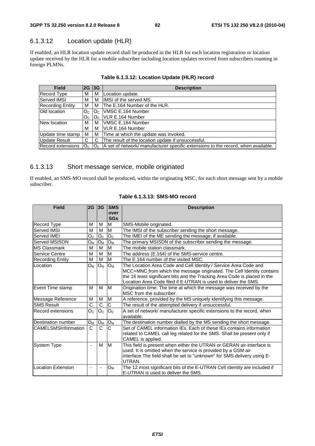## 6.1.3.12 Location update (HLR)

If enabled, an HLR location update record shall be produced in the HLR for each location registration or location update received by the HLR for a mobile subscriber including location updates received from subscribers roaming in foreign PLMNs.

| <b>Field</b>            | 2G             | 3G                         | <b>Description</b>                                                                          |
|-------------------------|----------------|----------------------------|---------------------------------------------------------------------------------------------|
| Record Type             | м              | м                          | Location update.                                                                            |
| Served IMSI             | м              | м                          | IMSI of the served MS.                                                                      |
| <b>Recording Entity</b> | м              | м                          | The E.164 Number of the HLR.                                                                |
| Old location            | O <sub>c</sub> | $\mathsf{IO}_{\mathsf{C}}$ | VMSC E.164 Number                                                                           |
|                         | Oc.            |                            | $\mathsf{IO}_{\mathsf{C}}\ \mathsf{IVLR}\ \mathsf{E}.$ 164 Number                           |
| New location            | м              | м                          | <b>VMSC E.164 Number</b>                                                                    |
|                         | м              | м                          | <b>IVLR E.164 Number</b>                                                                    |
| Update time stamp       | M              | м                          | Time at which the update was invoked.                                                       |
| <b>Update Result</b>    | C              | C.                         | The result of the location update if unsuccessful.                                          |
| Record extensions       | O <sub>c</sub> |                            | $ O_{C} $ A set of network/ manufacturer specific extensions to the record, when available. |

#### **Table 6.1.3.12: Location Update (HLR) record**

#### 6.1.3.13 Short message service, mobile originated

If enabled, an SMS-MO record shall be produced, within the originating MSC, for each short message sent by a mobile subscriber.

| <b>Field</b>               | 2G             | 3G                           | <b>SMS</b><br>over<br><b>SGs</b> | <b>Description</b>                                                                                                                                                                                                                                                                        |
|----------------------------|----------------|------------------------------|----------------------------------|-------------------------------------------------------------------------------------------------------------------------------------------------------------------------------------------------------------------------------------------------------------------------------------------|
| Record Type                | M              | м                            | M                                | SMS-Mobile originated.                                                                                                                                                                                                                                                                    |
| Served IMSI                | M              | M                            | M                                | The IMSI of the subscriber sending the short message.                                                                                                                                                                                                                                     |
| Served IMEI                | O <sub>C</sub> | O <sub>C</sub>               | O <sub>C</sub>                   | The IMEI of the ME sending the message, if available.                                                                                                                                                                                                                                     |
| Served MSISDN              | Oм             | $O_M$                        | $O_{M}$                          | The primary MSISDN of the subscriber sending the message.                                                                                                                                                                                                                                 |
| <b>MS Classmark</b>        | M              | M                            | M                                | The mobile station classmark.                                                                                                                                                                                                                                                             |
| Service Centre             | M              | M                            | M                                | The address (E.164) of the SMS-service centre.                                                                                                                                                                                                                                            |
| Recording Entity           | M              | M                            | M                                | The E.164 number of the visited MSC.                                                                                                                                                                                                                                                      |
| Location                   | Ом             | $O_M$                        | Oм                               | The Location Area Code and Cell Identity / Service Area Code and<br>MCC+MNC from which the message originated. The Cell Identity contains<br>the 16 least significant bits and the Tracking Area Code is placed in the<br>Location Area Code filed if E-UTRAN is used to deliver the SMS. |
| Event Time stamp           | М              | M                            | M                                | Origination time: The time at which the message was received by the<br>MSC from the subscriber.                                                                                                                                                                                           |
| Message Reference          | M              | M                            | M                                | A reference, provided by the MS uniquely identifying this message.                                                                                                                                                                                                                        |
| <b>SMS Result</b>          | C              | C                            | $\overline{\text{c}}$            | The result of the attempted delivery if unsuccessful.                                                                                                                                                                                                                                     |
| Record extensions          | O <sub>C</sub> | O <sub>C</sub>               | O <sub>C</sub>                   | A set of network/ manufacturer specific extensions to the record, when<br>available.                                                                                                                                                                                                      |
| Destination number         | Oм             | $O_M$                        | O <sub>M</sub>                   | The destination number dialled by the MS sending the short message.                                                                                                                                                                                                                       |
| <b>CAMELSMSInformation</b> | $\overline{C}$ | C                            | C                                | Set of CAMEL information IEs. Each of these IEs contains information<br>related to CAMEL call leg related for the SMS. Shall be present only if<br>CAMEL is applied.                                                                                                                      |
| System Type                | $\blacksquare$ | M                            | lм                               | This field is present when either the UTRAN or GERAN air-interface is<br>used. It is omitted when the service is provided by a GSM air<br>interface. The field shall be set to "unknown" for SMS delivery using E-<br>UTRAN.                                                              |
| <b>Location Extension</b>  | $\overline{a}$ | $\qquad \qquad \blacksquare$ | O <sub>M</sub>                   | The 12 most significant bits of the E-UTRAN Cell Identity are included if<br>E-UTRAN is used to deliver the SMS.                                                                                                                                                                          |

#### **Table 6.1.3.13: SMS-MO record**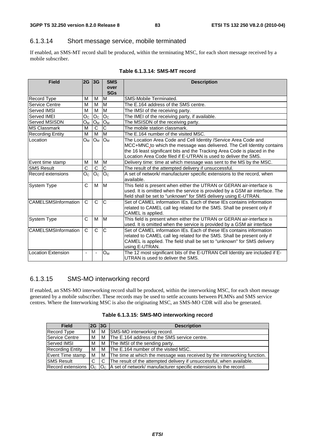#### 6.1.3.14 Short message service, mobile terminated

If enabled, an SMS-MT record shall be produced, within the terminating MSC, for each short message received by a mobile subscriber.

| <b>Field</b>               | $2G$ 3G                  |                       | <b>SMS</b>              | <b>Description</b>                                                           |
|----------------------------|--------------------------|-----------------------|-------------------------|------------------------------------------------------------------------------|
|                            |                          |                       | over                    |                                                                              |
|                            |                          |                       | <b>SGs</b>              |                                                                              |
| Record Type                | M                        | M                     | $\overline{\mathsf{M}}$ | SMS-Mobile Terminated.                                                       |
| Service Centre             | M                        | M                     | M                       | The E.164 address of the SMS centre.                                         |
| Served IMSI                | M                        | M                     | M                       | The IMSI of the receiving party.                                             |
| Served IMEI                | O <sub>C</sub>           | O <sub>C</sub>        | O <sub>C</sub>          | The IMEI of the receiving party, if available.                               |
| Served MSISDN              | $O_M$                    | $O_M$                 | $O_M$                   | The MSISDN of the receiving party.                                           |
| <b>MS Classmark</b>        | M                        | $\overline{\text{c}}$ | C                       | The mobile station classmark.                                                |
| <b>Recording Entity</b>    | M                        | M                     | M                       | The E.164 number of the visited MSC.                                         |
| Location                   | Oм                       | $O_M$                 | $O_M$                   | The Location Area Code and Cell Identity / Service Area Code and             |
|                            |                          |                       |                         | MCC+MNC to which the message was delivered. The Cell Identity contains       |
|                            |                          |                       |                         | the 16 least significant bits and the Tracking Area Code is placed in the    |
|                            |                          |                       |                         | Location Area Code filed if E-UTRAN is used to deliver the SMS.              |
| Event time stamp           | M                        | M                     | M                       | Delivery time: time at which message was sent to the MS by the MSC.          |
| <b>SMS Result</b>          | $\overline{\text{c}}$    | $\overline{\text{c}}$ | $\overline{\text{c}}$   | The result of the attempted delivery if unsuccessful.                        |
| Record extensions          | O <sub>C</sub>           | O <sub>C</sub>        | O <sub>C</sub>          | A set of network/ manufacturer specific extensions to the record, when       |
|                            |                          |                       |                         | available.                                                                   |
| System Type                | C                        | м                     | lм                      | This field is present when either the UTRAN or GERAN air-interface is        |
|                            |                          |                       |                         | used. It is omitted when the service is provided by a GSM air interface. The |
|                            |                          |                       |                         | field shall be set to "unknown" for SMS delivery using E-UTRAN.              |
| <b>CAMELSMSInformation</b> | C                        | C                     | C                       | Set of CAMEL information IEs. Each of these IEs contains information         |
|                            |                          |                       |                         | related to CAMEL call leg related for the SMS. Shall be present only if      |
|                            |                          |                       |                         | CAMEL is applied.                                                            |
| <b>System Type</b>         | C                        | М                     | M                       | This field is present when either the UTRAN or GERAN air-interface is        |
|                            |                          |                       |                         | used. It is omitted when the service is provided by a GSM air interface      |
| <b>CAMELSMSInformation</b> | C                        | $\overline{C}$        | C                       | Set of CAMEL information IEs. Each of these IEs contains information         |
|                            |                          |                       |                         | related to CAMEL call leg related for the SMS. Shall be present only if      |
|                            |                          |                       |                         | CAMEL is applied. The field shall be set to "unknown" for SMS delivery       |
|                            |                          |                       |                         | using E-UTRAN.                                                               |
| Location Extension         | $\overline{\phantom{a}}$ |                       | $O_M$                   | The 12 most significant bits of the E-UTRAN Cell Identity are included if E- |
|                            |                          |                       |                         | UTRAN is used to deliver the SMS.                                            |

#### **Table 6.1.3.14: SMS-MT record**

#### 6.1.3.15 SMS-MO interworking record

If enabled, an SMS-MO interworking record shall be produced, within the interworking MSC, for each short message generated by a mobile subscriber. These records may be used to settle accounts between PLMNs and SMS service centres. Where the Interworking MSC is also the originating MSC, an SMS-MO CDR will also be generated.

|  | Table 6.1.3.15: SMS-MO interworking record |
|--|--------------------------------------------|
|--|--------------------------------------------|

| <b>Field</b>            | 2G 3G |    | <b>Description</b>                                                                    |
|-------------------------|-------|----|---------------------------------------------------------------------------------------|
| <b>Record Type</b>      | м     | М  | SMS-MO interworking record.                                                           |
| Service Centre          | м     |    | M   The E.164 address of the SMS service centre.                                      |
| Served IMSI             | м     |    | M The IMSI of the sending party.                                                      |
| <b>Recording Entity</b> | м     |    | IM The E.164 number of the visited MSC.                                               |
| Event Time stamp        | м     |    | M The time at which the message was received by the interworking function.            |
| <b>SMS Result</b>       | C.    | C. | The result of the attempted delivery if unsuccessful, when available.                 |
| Record extensions       |       |    | $ O_{C} $ $ O_{C} $ a set of network/ manufacturer specific extensions to the record. |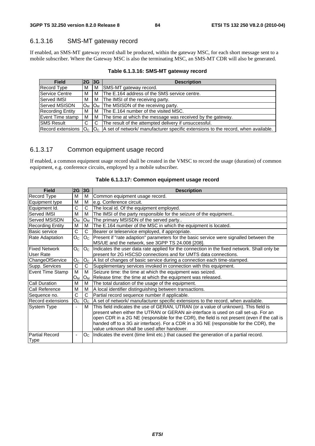## 6.1.3.16 SMS-MT gateway record

If enabled, an SMS-MT gateway record shall be produced, within the gateway MSC, for each short message sent to a mobile subscriber. Where the Gateway MSC is also the terminating MSC, an SMS-MT CDR will also be generated.

**Table 6.1.3.16: SMS-MT gateway record** 

| <b>Field</b>            | 2G 3G                   |    | <b>Description</b>                                                                        |
|-------------------------|-------------------------|----|-------------------------------------------------------------------------------------------|
| Record Type             | М                       | М  | SMS-MT gateway record.                                                                    |
| Service Centre          | м                       | м  | The E.164 address of the SMS service centre.                                              |
| <b>Served IMSI</b>      | м                       | M  | The IMSI of the receiving party.                                                          |
| lServed MSISDN          | $O_M$                   |    | $ O_M $ The MSISDN of the receiving party.                                                |
| <b>Recording Entity</b> | М                       | м  | The E.164 number of the visited MSC.                                                      |
| Event Time stamp        | M                       | м  | The time at which the message was received by the gateway.                                |
| <b>ISMS Result</b>      | C                       | C. | The result of the attempted delivery if unsuccessful.                                     |
| Record extensions       | $\overline{\mathsf{O}}$ |    | $ O_C $ A set of network/ manufacturer specific extensions to the record, when available. |

## 6.1.3.17 Common equipment usage record

If enabled, a common equipment usage record shall be created in the VMSC to record the usage (duration) of common equipment, e.g. conference circuits, employed by a mobile subscriber.

| <b>Field</b>                         | 2G 3G                    |                | <b>Description</b>                                                                                                                                                                                                                                                                                                                                                                                                  |
|--------------------------------------|--------------------------|----------------|---------------------------------------------------------------------------------------------------------------------------------------------------------------------------------------------------------------------------------------------------------------------------------------------------------------------------------------------------------------------------------------------------------------------|
| Record Type                          | M                        | м              | Common equipment usage record.                                                                                                                                                                                                                                                                                                                                                                                      |
| Equipment type                       | M                        | м              | e.g. Conference circuit.                                                                                                                                                                                                                                                                                                                                                                                            |
| Equipment Id.                        | C                        | C              | The local id. Of the equipment employed.                                                                                                                                                                                                                                                                                                                                                                            |
| Served IMSI                          | M                        | м              | The IMSI of the party responsible for the seizure of the equipment                                                                                                                                                                                                                                                                                                                                                  |
| <b>Served MSISDN</b>                 | Oм                       | Oм             | The primary MSISDN of the served party                                                                                                                                                                                                                                                                                                                                                                              |
| <b>Recording Entity</b>              | м                        | м              | The E.164 number of the MSC in which the equipment is located.                                                                                                                                                                                                                                                                                                                                                      |
| Basic service                        | C                        | C.             | Bearer or teleservice employed, if appropriate.                                                                                                                                                                                                                                                                                                                                                                     |
| <b>Rate Adaptation</b>               | O <sub>c</sub>           | O <sub>c</sub> | Present if "rate adaption" parameters for the basic service were signalled between the<br>MS/UE and the network, see 3GPP TS 24.008 [208].                                                                                                                                                                                                                                                                          |
| <b>Fixed Network</b><br>User Rate    | O <sub>C</sub>           | O <sub>C</sub> | Indicates the user data rate applied for the connection in the fixed network. Shall only be<br>present for 2G HSCSD connections and for UMTS data connections.                                                                                                                                                                                                                                                      |
| ChangeOfService                      | O <sub>C</sub>           | O <sub>C</sub> | A list of changes of basic service during a connection each time-stamped.                                                                                                                                                                                                                                                                                                                                           |
| Supp. Services                       | $\bar{C}$                | C.             | Supplementary services invoked in connection with this equipment.                                                                                                                                                                                                                                                                                                                                                   |
| Event Time Stamp                     | м                        | м              | Seizure time: the time at which the equipment was seized.                                                                                                                                                                                                                                                                                                                                                           |
|                                      | Oм                       | Oм             | Release time: the time at which the equipment was released.                                                                                                                                                                                                                                                                                                                                                         |
| <b>Call Duration</b>                 | м                        | м              | The total duration of the usage of the equipment.                                                                                                                                                                                                                                                                                                                                                                   |
| <b>Call Reference</b>                | M                        | м              | A local identifier distinguishing between transactions.                                                                                                                                                                                                                                                                                                                                                             |
| Sequence no.                         | C                        | C.             | Partial record sequence number if applicable.                                                                                                                                                                                                                                                                                                                                                                       |
| <b>Record extensions</b>             | O <sub>C</sub>           | O <sub>C</sub> | A set of network/ manufacturer specific extensions to the record, when available.                                                                                                                                                                                                                                                                                                                                   |
| System Type                          | $\overline{\phantom{0}}$ | м              | This field indicates the use of GERAN, UTRAN (or a value of unknown). This field is<br>present when either the UTRAN or GERAN air-interface is used on call set-up. For an<br>open CDR in a 2G NE (responsible for the CDR), the field is not present (even if the call is<br>handed off to a 3G air interface). For a CDR in a 3G NE (responsible for the CDR), the<br>value unknown shall be used after handover. |
| <b>Partial Record</b><br><b>Type</b> | $\overline{\phantom{0}}$ | O <sub>C</sub> | Indicates the event (time limit etc.) that caused the generation of a partial record.                                                                                                                                                                                                                                                                                                                               |

#### **Table 6.1.3.17: Common equipment usage record**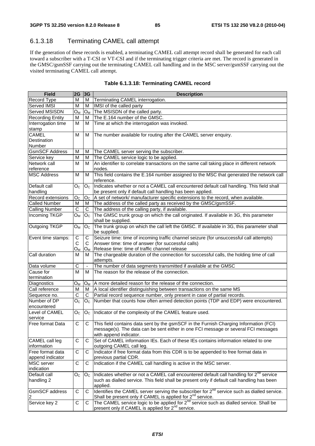## 6.1.3.18 Terminating CAMEL call attempt

If the generation of these records is enabled, a terminating CAMEL call attempt record shall be generated for each call toward a subscriber with a T-CSI or VT-CSI and if the terminating trigger criteria are met. The record is generated in the GMSC/gsmSSF carrying out the terminating CAMEL call handling and in the MSC server/gsmSSF carrying out the visited terminating CAMEL call attempt.

| <b>Field</b>                | $2G$ 3G                 |                     | <b>Description</b>                                                                                                                                                                                    |
|-----------------------------|-------------------------|---------------------|-------------------------------------------------------------------------------------------------------------------------------------------------------------------------------------------------------|
| Record Type                 | M                       | М                   | Terminating CAMEL interrogation.                                                                                                                                                                      |
| Served IMSI                 | М                       | м                   | IMSI of the called party                                                                                                                                                                              |
| Served MSISDN               | Oм                      | Oм                  | The MSISDN of the called party.                                                                                                                                                                       |
| <b>Recording Entity</b>     | М                       | м                   | The E.164 number of the GMSC.                                                                                                                                                                         |
| Interrogation time          | м                       | м                   | Time at which the interrogation was invoked.                                                                                                                                                          |
| stamp                       |                         |                     |                                                                                                                                                                                                       |
| <b>CAMEL</b>                | M                       | М                   | The number available for routing after the CAMEL server enquiry.                                                                                                                                      |
| Destination                 |                         |                     |                                                                                                                                                                                                       |
| Number                      |                         |                     |                                                                                                                                                                                                       |
| <b>GsmSCF Address</b>       | M                       | M                   | The CAMEL server serving the subscriber.                                                                                                                                                              |
| Service key                 | М                       | м                   | The CAMEL service logic to be applied.                                                                                                                                                                |
| Network call                | M                       | м                   | An identifier to correlate transactions on the same call taking place in different network                                                                                                            |
| reference                   |                         |                     | nodes.                                                                                                                                                                                                |
| <b>MSC Address</b>          | м                       | м                   | This field contains the E.164 number assigned to the MSC that generated the network call<br>reference.                                                                                                |
| Default call                | $O_{\rm C}$             | O <sub>C</sub>      | Indicates whether or not a CAMEL call encountered default call handling. This field shall                                                                                                             |
| handling                    |                         |                     | be present only if default call handling has been applied.                                                                                                                                            |
| Record extensions           | $\mathsf{O}_\mathsf{C}$ | O <sub>C</sub>      | A set of network/ manufacturer specific extensions to the record, when available.                                                                                                                     |
| <b>Called Number</b>        | м                       | M                   | The address of the called party as received by the GMSC/gsmSSF.                                                                                                                                       |
| <b>Calling Number</b>       | С                       | C.                  | The address of the calling party, if available.                                                                                                                                                       |
| Incoming TKGP               | $O_M$                   | O <sub>C</sub>      | The GMSC trunk group on which the call originated. If available in 3G, this parameter<br>shall be supplied.                                                                                           |
| Outgoing TKGP               | $O_{M}$                 | O <sub>C</sub>      | The trunk group on which the call left the GMSC. If available in 3G, this parameter shall<br>be supplied.                                                                                             |
| Event time stamps:          | С                       | C                   | Seizure time: time of incoming traffic channel seizure (for unsuccessful call attempts)                                                                                                               |
|                             | C                       | C                   | Answer time: time of answer (for successful calls)                                                                                                                                                    |
|                             | Oм                      | Oм                  | Release time: time of traffic channel release                                                                                                                                                         |
| Call duration               | м                       | м                   | The chargeable duration of the connection for successful calls, the holding time of call<br>attempts.                                                                                                 |
| Data volume                 | C                       | $\bar{\phantom{a}}$ | The number of data segments transmitted if available at the GMSC                                                                                                                                      |
| Cause for                   | м                       | м                   | The reason for the release of the connection.                                                                                                                                                         |
| termination                 |                         |                     |                                                                                                                                                                                                       |
| Diagnostics                 | Oм                      | O <sub>M</sub>      | A more detailed reason for the release of the connection.                                                                                                                                             |
| Call reference              | м                       | M                   | A local identifier distinguishing between transactions on the same MS                                                                                                                                 |
| Sequence no.                | С                       | C                   | Partial record sequence number, only present in case of partial records.                                                                                                                              |
| Number of DP<br>encountered | O <sub>C</sub>          | O <sub>c</sub>      | Number that counts how often armed detection points (TDP and EDP) were encountered.                                                                                                                   |
| Level of CAMEL              | O <sub>C</sub>          | O <sub>C</sub>      | Indicator of the complexity of the CAMEL feature used.                                                                                                                                                |
| service                     |                         |                     |                                                                                                                                                                                                       |
| Free format Data            | С                       | С                   | This field contains data sent by the gsmSCF in the Furnish Charging Information (FCI)<br>message(s). The data can be sent either in one FCI message or several FCI messages<br>with append indicator. |
| CAMEL call leg              | C                       | C                   | Set of CAMEL information IEs. Each of these IEs contains information related to one                                                                                                                   |
| information                 |                         |                     | outgoing CAMEL call leg.                                                                                                                                                                              |
| Free format data            | C                       | C                   | Indicator if free format data from this CDR is to be appended to free format data in                                                                                                                  |
| append indicator            |                         |                     | previous partial CDR.                                                                                                                                                                                 |
| MSC server                  | С                       | С                   | Indication if the CAMEL call handling is active in the MSC server.                                                                                                                                    |
| indication                  |                         |                     |                                                                                                                                                                                                       |
| Default call                | $O_{\rm C}$             | O <sub>c</sub>      | Indicates whether or not a CAMEL call encountered default call handling for 2 <sup>nd</sup> service                                                                                                   |
| handling 2                  |                         |                     | such as dialled service. This field shall be present only if default call handling has been<br>applied.                                                                                               |
| <b>GsmSCF</b> address       | С                       | С                   | Identifies the CAMEL server serving the subscriber for 2 <sup>nd</sup> service such as dialled service.                                                                                               |
| 2                           |                         |                     | Shall be present only if CAMEL is applied for 2 <sup>nd</sup> service.                                                                                                                                |
| Service key 2               | С                       | C                   | The CAMEL service logic to be applied for 2 <sup>nd</sup> service such as dialled service. Shall be<br>present only if CAMEL is applied for 2 <sup>nd</sup> service.                                  |

|  |  | Table 6.1.3.18: Terminating CAMEL record |
|--|--|------------------------------------------|
|--|--|------------------------------------------|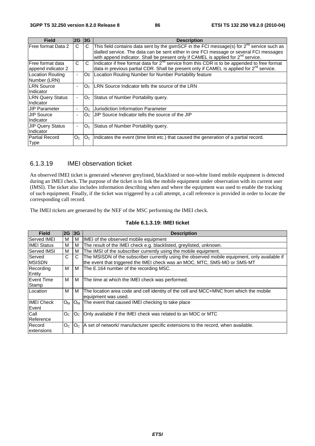| <b>Field</b>            | 2G 3G          |                                  | <b>Description</b>                                                                                   |
|-------------------------|----------------|----------------------------------|------------------------------------------------------------------------------------------------------|
| Free format Data 2      | C              | C                                | This field contains data sent by the gsmSCF in the FCI message(s) for $2^{nd}$ service such as       |
|                         |                |                                  | dialled service. The data can be sent either in one FCI message or several FCI messages              |
|                         |                |                                  | with append indicator. Shall be present only if CAMEL is applied for 2 <sup>nd</sup> service.        |
| Free format data        | C              | C                                | Indicator if free format data for $2^{nd}$ service from this CDR is to be appended to free format    |
| append indicator 2      |                |                                  | data in previous partial CDR. Shall be present only if CAMEL is applied for 2 <sup>nd</sup> service. |
| Location Routing        | $\blacksquare$ | Oc.                              | Location Routing Number for Number Portability feature                                               |
| Number (LRN)            |                |                                  |                                                                                                      |
| <b>LRN Source</b>       | ٠              | lO <sub>C</sub>                  | <b>ILRN Source Indicator tells the source of the LRN</b>                                             |
| Indicator               |                |                                  |                                                                                                      |
| <b>LRN Query Status</b> | ٠              | $\overline{\text{O}}$            | Status of Number Portability query.                                                                  |
| Indicator               |                |                                  |                                                                                                      |
| <b>JIP Parameter</b>    | ٠              | O <sub>c</sub>                   | Uurisdiction Information Parameter                                                                   |
| <b>JIP Source</b>       | ٠              | $\overline{\text{O}}$            | UIP Source Indicator tells the source of the JIP                                                     |
| Indicator               |                |                                  |                                                                                                      |
| <b>JIP Query Status</b> | ٠              | O <sub>C</sub>                   | Status of Number Portability query.                                                                  |
| Indicator               |                |                                  |                                                                                                      |
| <b>Partial Record</b>   | O <sub>C</sub> | $\overline{\text{O}}_{\text{C}}$ | Indicates the event (time limit etc.) that caused the generation of a partial record.                |
| Type                    |                |                                  |                                                                                                      |

#### 6.1.3.19 IMEI observation ticket

An observed IMEI ticket is generated whenever greylisted, blacklisted or non-white listed mobile equipment is detected during an IMEI check. The purpose of the ticket is to link the mobile equipment under observation with its current user (IMSI). The ticket also includes information describing when and where the equipment was used to enable the tracking of such equipment. Finally, if the ticket was triggered by a call attempt, a call reference is provided in order to locate the corresponding call record.

The IMEI tickets are generated by the NEF of the MSC performing the IMEI check.

#### **Table 6.1.3.19: IMEI ticket**

| <b>Field</b>               | 2G             | 3G             | <b>Description</b>                                                                                                                                                         |
|----------------------------|----------------|----------------|----------------------------------------------------------------------------------------------------------------------------------------------------------------------------|
| Served IMEI                | м              | м              | IMEI of the observed mobile equipment                                                                                                                                      |
| <b>IMEI Status</b>         | м              | м              | The result of the IMEI check e.g. blacklisted, greylisted, unknown.                                                                                                        |
| Served IMSI                | м              | м              | The IMSI of the subscriber currently using the mobile equipment.                                                                                                           |
| Served<br><b>IMSISDN</b>   | C              | C.             | The MSISDN of the subscriber currently using the observed mobile equipment, only available if<br>the event that triggered the IMEI check was an MOC, MTC, SMS-MO or SMS-MT |
| Recording<br>Entity        | м              | м              | The E.164 number of the recording MSC.                                                                                                                                     |
| Event Time<br>Stamp        | м              | м              | The time at which the IMEI check was performed.                                                                                                                            |
| Location                   | М              | м              | The location area code and cell identity of the cell and MCC+MNC from which the mobile<br>equipment was used.                                                              |
| <b>IMEI Check</b><br>Event | O <sub>M</sub> | $O_M$          | The event that caused IMEI checking to take place                                                                                                                          |
| Call<br>Reference          | O <sub>C</sub> | O <sub>C</sub> | Only available if the IMEI check was related to an MOC or MTC                                                                                                              |
| Record<br>extensions       | O <sub>C</sub> | O <sub>c</sub> | A set of network/ manufacturer specific extensions to the record, when available.                                                                                          |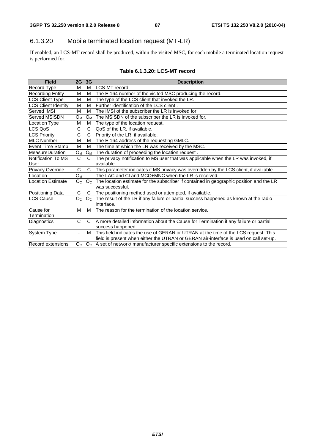## 6.1.3.20 Mobile terminated location request (MT-LR)

If enabled, an LCS-MT record shall be produced, within the visited MSC, for each mobile a terminated location request is performed for.

#### **Table 6.1.3.20: LCS-MT record**

| <b>Field</b>               | 2G                       | 3G                    | <b>Description</b>                                                                                         |
|----------------------------|--------------------------|-----------------------|------------------------------------------------------------------------------------------------------------|
| Record Type                | M                        | M                     | LCS-MT record.                                                                                             |
| <b>Recording Entity</b>    | M                        | M                     | The E.164 number of the visited MSC producing the record.                                                  |
| <b>LCS Client Type</b>     | M                        | M                     | The type of the LCS client that invoked the LR.                                                            |
| <b>LCS Client Identity</b> | M                        | м                     | Further identification of the LCS client.                                                                  |
| <b>Served IMSI</b>         | M                        | M                     | The IMSI of the subscriber the LR is invoked for.                                                          |
| <b>Served MSISDN</b>       | $O_M$                    | Oм                    | The MSISDN of the subscriber the LR is invoked for.                                                        |
| <b>Location Type</b>       | M                        | M                     | The type of the location request.                                                                          |
| LCS QoS                    | C                        | C                     | QoS of the LR, if available.                                                                               |
| <b>LCS Priority</b>        | $\overline{C}$           | $\overline{\text{c}}$ | Priority of the LR, if available.                                                                          |
| MLC Number                 | M                        | M                     | The E.164 address of the requesting GMLC.                                                                  |
| <b>Event Time Stamp</b>    | M                        | M                     | The time at which the LR was received by the MSC.                                                          |
| <b>MeasureDuration</b>     | $O_{M}$                  | $O_M$                 | The duration of proceeding the location request.                                                           |
| Notification To MS         | C                        | C                     | The privacy notification to MS user that was applicable when the LR was invoked, if                        |
| <b>User</b>                |                          |                       | available.                                                                                                 |
| Privacy Override           | C                        | C                     | This parameter indicates if MS privacy was overridden by the LCS client, if available.                     |
| Location                   | O <sub>M</sub>           |                       | The LAC and CI and MCC+MNC when the LR is received.                                                        |
| Location Estimate          | O <sub>C</sub>           | O <sub>C</sub>        | The location estimate for the subscriber if contained in geographic position and the LR<br>was successful. |
| Positioning Data           | C                        | C                     | The positioning method used or attempted, if available.                                                    |
| <b>LCS Cause</b>           | O <sub>C</sub>           | O <sub>C</sub>        | The result of the LR if any failure or partial success happened as known at the radio<br>interface.        |
| Cause for                  | M                        | M                     | The reason for the termination of the location service.                                                    |
| Termination                |                          |                       |                                                                                                            |
| Diagnostics                | C                        | C                     | A more detailed information about the Cause for Termination if any failure or partial                      |
|                            |                          |                       | success happened.                                                                                          |
| System Type                | $\overline{\phantom{a}}$ | M                     | This field indicates the use of GERAN or UTRAN at the time of the LCS request. This                        |
|                            |                          |                       | field is present when either the UTRAN or GERAN air-interface is used on call set-up.                      |
| <b>Record extensions</b>   | O <sub>C</sub>           |                       | $ O_{\rm C} $ A set of network/ manufacturer specific extensions to the record.                            |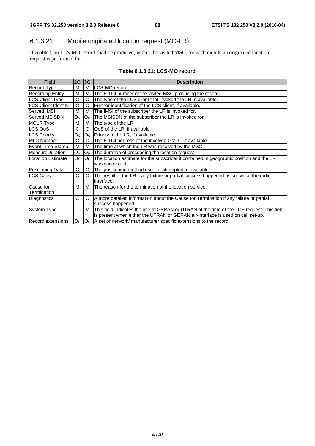## 6.1.3.21 Mobile originated location request (MO-LR)

If enabled, an LCS-MO record shall be produced, within the visited MSC, for each mobile an originated location request is performed for.

#### **Table 6.1.3.21: LCS-MO record**

| <b>Field</b>               | 2G                       | 3G             | <b>Description</b>                                                                                  |
|----------------------------|--------------------------|----------------|-----------------------------------------------------------------------------------------------------|
| Record Type                | М                        | М              | LCS-MO record.                                                                                      |
| <b>Recording Entity</b>    | M                        | м              | The E.164 number of the visited MSC producing the record.                                           |
| LCS Client Type            | C                        | C              | The type of the LCS client that invoked the LR, if available.                                       |
| <b>LCS Client Identity</b> | C                        | C              | Further identification of the LCS client, if available.                                             |
| <b>Served IMSI</b>         | М                        | м              | The IMSI of the subscriber the LR is invoked for.                                                   |
| <b>Served MSISDN</b>       | $O_{M}$                  | Ом             | The MSISDN of the subscriber the LR is invoked for.                                                 |
| <b>MOLR Type</b>           | М                        | м              | The type of the LR.                                                                                 |
| LCS QoS                    | C                        | C              | QoS of the LR, if available.                                                                        |
| LCS Priority               | O <sub>C</sub>           | O <sub>C</sub> | Priority of the LR, if available.                                                                   |
| MLC Number                 | C                        | C              | The E.164 address of the involved GMLC, if available.                                               |
| Event Time Stamp           | M                        | м              | The time at which the LR was received by the MSC.                                                   |
| <b>IMeasureDuration</b>    | $O_M$                    | $O_M$          | The duration of proceeding the location request.                                                    |
| ILocation Estimate         | O <sub>C</sub>           | O <sub>c</sub> | The location estimate for the subscriber if contained in geographic position and the LR             |
|                            |                          |                | was successful.                                                                                     |
| Positioning Data           | C                        | C              | The positioning method used or attempted, if available.                                             |
| <b>LCS Cause</b>           | C                        | C              | The result of the LR if any failure or partial success happened as known at the radio<br>interface. |
| Cause for                  | м                        | м              | The reason for the termination of the location service.                                             |
| Termination                |                          |                |                                                                                                     |
| Diagnostics                | C                        | C              | A more detailed information about the Cause for Termination if any failure or partial               |
|                            |                          |                | success happened.                                                                                   |
| System Type                | $\overline{\phantom{a}}$ | м              | This field indicates the use of GERAN or UTRAN at the time of the LCS request. This field           |
|                            |                          |                | is present when either the UTRAN or GERAN air-interface is used on call set-up.                     |
| <b>Record extensions</b>   | O <sub>C</sub>           | O <sub>C</sub> | A set of network/manufacturer specific extensions to the record.                                    |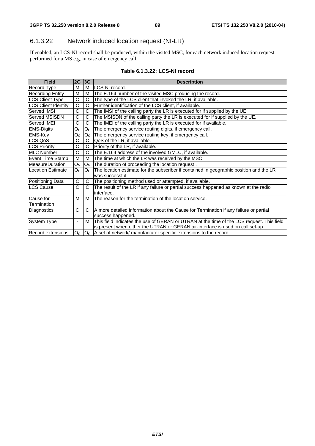## 6.1.3.22 Network induced location request (NI-LR)

If enabled, an LCS-NI record shall be produced, within the visited MSC, for each network induced location request performed for a MS e.g. in case of emergency call.

#### **Table 6.1.3.22: LCS-NI record**

| <b>Field</b>               | $2G$ 3G                  |                | <b>Description</b>                                                                                                                                                           |
|----------------------------|--------------------------|----------------|------------------------------------------------------------------------------------------------------------------------------------------------------------------------------|
| <b>Record Type</b>         | м                        | м              | LCS-NI record.                                                                                                                                                               |
| <b>Recording Entity</b>    | M                        | М              | The E.164 number of the visited MSC producing the record.                                                                                                                    |
| LCS Client Type            | C                        | C              | The type of the LCS client that invoked the LR, if available.                                                                                                                |
| <b>LCS Client Identity</b> | C                        | C              | Further identification of the LCS client, if available.                                                                                                                      |
| <b>Served IMSI</b>         | C                        | C              | The IMSI of the calling party the LR is executed for if supplied by the UE.                                                                                                  |
| <b>Served MSISDN</b>       | C                        | C              | The MSISDN of the calling party the LR is executed for if supplied by the UE.                                                                                                |
| Served IMEI                | C                        | C              | The IMEI of the calling party the LR is executed for if available.                                                                                                           |
| <b>EMS-Digits</b>          | O <sub>C</sub>           | O <sub>C</sub> | The emergency service routing digits, if emergency call.                                                                                                                     |
| <b>EMS-Key</b>             | $O_{C}$                  | $O_{\rm C}$    | The emergency service routing key, if emergency call.                                                                                                                        |
| <b>ILCS QoS</b>            | C                        | C              | QoS of the LR, if available.                                                                                                                                                 |
| LCS Priority               | C                        | C              | Priority of the LR, if available.                                                                                                                                            |
| <b>IMLC Number</b>         | C                        | C              | The E.164 address of the involved GMLC, if available.                                                                                                                        |
| Event Time Stamp           | м                        | м              | The time at which the LR was received by the MSC.                                                                                                                            |
| MeasureDuration            | $O_M$                    | $O_M$          | The duration of proceeding the location request.                                                                                                                             |
| Location Estimate          | O <sub>C</sub>           | O <sub>c</sub> | The location estimate for the subscriber if contained in geographic position and the LR<br>was successful.                                                                   |
| Positioning Data           | C                        | C              | The positioning method used or attempted, if available.                                                                                                                      |
| <b>LCS Cause</b>           | C                        | $\mathsf{C}$   | The result of the LR if any failure or partial success happened as known at the radio<br>interface.                                                                          |
| Cause for                  | M                        | M              | The reason for the termination of the location service.                                                                                                                      |
| Termination                |                          |                |                                                                                                                                                                              |
| Diagnostics                | C                        | C              | A more detailed information about the Cause for Termination if any failure or partial<br>success happened.                                                                   |
| System Type                | $\overline{\phantom{a}}$ | м              | This field indicates the use of GERAN or UTRAN at the time of the LCS request. This field<br>is present when either the UTRAN or GERAN air-interface is used on call set-up. |
| Record extensions          | O <sub>C</sub>           | O <sub>C</sub> | A set of network/manufacturer specific extensions to the record.                                                                                                             |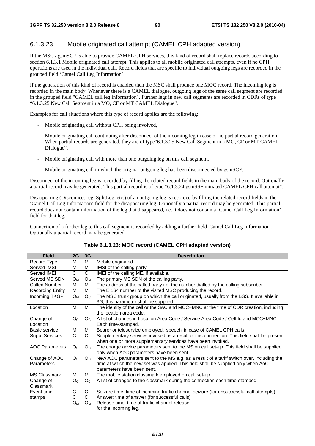## 6.1.3.23 Mobile originated call attempt (CAMEL CPH adapted version)

If the MSC / gsmSCF is able to provide CAMEL CPH services, this kind of record shall replace records according to section 6.1.3.1 Mobile originated call attempt. This applies to all mobile originated call attempts, even if no CPH operations are used in the individual call. Record fields that are specific to individual outgoing legs are recorded in the grouped field 'Camel Call Leg Information'.

If the generation of this kind of record is enabled then the MSC shall produce one MOC record. The incoming leg is recorded in the main body. Whenever there is a CAMEL dialogue, outgoing legs of the same call segment are recorded in the grouped field "CAMEL call leg information". Further legs in new call segments are recorded in CDRs of type "6.1.3.25 New Call Segment in a MO, CF or MT CAMEL Dialogue".

Examples for call situations where this type of record applies are the following:

- Mobile originating call without CPH being involved,
- Mobile originating call continuing after disconnect of the incoming leg in case of no partial record generation. When partial records are generated, they are of type 6.1.3.25 New Call Segment in a MO, CF or MT CAMEL Dialogue",
- Mobile originating call with more than one outgoing leg on this call segment,
- Mobile originating call in which the original outgoing leg has been disconnected by gsmSCF.

Disconnect of the incoming leg is recorded by filling the related record fields in the main body of the record. Optionally a partial record may be generated. This partial record is of type "6.1.3.24 gsmSSF initiated CAMEL CPH call attempt".

Disappearing (DisconnectLeg, SplitLeg, etc.) of an outgoing leg is recorded by filling the related record fields in the 'Camel Call Leg Information' field for the disappearing leg. Optionally a partial record may be generated. This partial record does not contain information of the leg that disappeared, i.e. it does not contain a 'Camel Call Leg Information' field for that leg.

Connection of a further leg to this call segment is recorded by adding a further field 'Camel Call Leg Information'. Optionally a partial record may be generated.

| <b>Field</b>            | 2G             | 3G             | <b>Description</b>                                                                                                                   |
|-------------------------|----------------|----------------|--------------------------------------------------------------------------------------------------------------------------------------|
| Record Type             | M              | м              | Mobile originated.                                                                                                                   |
| Served IMSI             | M              | M              | IMSI of the calling party.                                                                                                           |
| Served IMEI             | C              | C              | IMEI of the calling ME, if available.                                                                                                |
| Served MSISDN           | O <sub>M</sub> | $O_{M}$        | The primary MSISDN of the calling party.                                                                                             |
| Called Number           | М              | М              | The address of the called party i.e. the number dialled by the calling subscriber.                                                   |
| <b>Recording Entity</b> | M              | M              | The E.164 number of the visited MSC producing the record.                                                                            |
| Incoming TKGP           | $O_{M}$        | O <sub>C</sub> | The MSC trunk group on which the call originated, usually from the BSS. If available in                                              |
|                         |                |                | 3G, this parameter shall be supplied.                                                                                                |
| Location                | м              | м              | The identity of the cell or the SAC and MCC+MNC at the time of CDR creation, including<br>the location area code.                    |
| Change of               | O <sub>C</sub> | O <sub>c</sub> | A list of changes in Location Area Code / Service Area Code / Cell Id and MCC+MNC.                                                   |
| Location                |                |                | Each time-stamped.                                                                                                                   |
| Basic service           | M              | M              | Bearer or teleservice employed. 'speech' in case of CAMEL CPH calls.                                                                 |
| Supp. Services          | C              | C              | Supplementary services invoked as a result of this connection. This field shall be present                                           |
|                         |                |                | when one or more supplementary services have been invoked.                                                                           |
| <b>AOC Parameters</b>   | O <sub>C</sub> | O <sub>c</sub> | The charge advice parameters sent to the MS on call set-up. This field shall be supplied<br>only when AoC parameters have been sent. |
| Change of AOC           | O <sub>C</sub> | O <sub>C</sub> | New AOC parameters sent to the MS e.g. as a result of a tariff switch over, including the                                            |
| Parameters              |                |                | time at which the new set was applied. This field shall be supplied only when AoC                                                    |
|                         |                |                | parameters have been sent.                                                                                                           |
| <b>MS Classmark</b>     | M              | M              | The mobile station classmark employed on call set-up.                                                                                |
| Change of               | O <sub>C</sub> | O <sub>C</sub> | A list of changes to the classmark during the connection each time-stamped.                                                          |
| Classmark               |                |                |                                                                                                                                      |
| Event time              | C              | C              | Seizure time: time of incoming traffic channel seizure (for unsuccessful call attempts)                                              |
| stamps:                 | С              | C              | Answer: time of answer (for successful calls)                                                                                        |
|                         | Oм             | Oм             | Release time: time of traffic channel release                                                                                        |
|                         |                |                | for the incoming leg.                                                                                                                |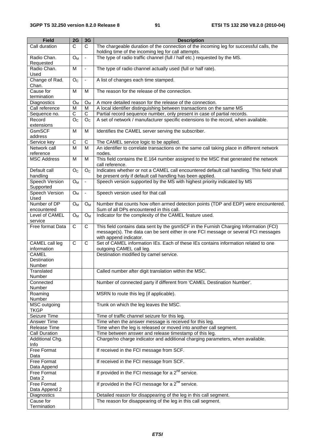| <b>Field</b>                       | 2G                    | 3G             | <b>Description</b>                                                                                                                                                                                    |
|------------------------------------|-----------------------|----------------|-------------------------------------------------------------------------------------------------------------------------------------------------------------------------------------------------------|
| Call duration                      | C                     | $\mathsf{C}$   | The chargeable duration of the connection of the incoming leg for successful calls, the<br>holding time of the incoming leg for call attempts.                                                        |
| Radio Chan.<br>Requested           | $O_{M}$               | $\blacksquare$ | The type of radio traffic channel (full / half etc.) requested by the MS.                                                                                                                             |
| Radio Chan.<br>Used                | M                     | $\blacksquare$ | The type of radio channel actually used (full or half rate).                                                                                                                                          |
| Change of Rad.                     | O <sub>C</sub>        | $\blacksquare$ | A list of changes each time stamped.                                                                                                                                                                  |
| Chan.<br>Cause for                 | M                     | м              | The reason for the release of the connection.                                                                                                                                                         |
| termination<br>Diagnostics         | $O_M$                 |                | A more detailed reason for the release of the connection.                                                                                                                                             |
| Call reference                     | M                     | $O_M$<br>м     | A local identifier distinguishing between transactions on the same MS                                                                                                                                 |
| Sequence no.                       | $\overline{\text{c}}$ | $\overline{C}$ | Partial record sequence number, only present in case of partial records.                                                                                                                              |
| Record                             | O <sub>C</sub>        | O <sub>C</sub> | A set of network / manufacturer specific extensions to the record, when available.                                                                                                                    |
| extensions                         |                       |                |                                                                                                                                                                                                       |
| GsmSCF                             | M                     | M              | Identifies the CAMEL server serving the subscriber.                                                                                                                                                   |
| address                            |                       |                |                                                                                                                                                                                                       |
| Service key                        | $\overline{C}$        | C              | The CAMEL service logic to be applied.                                                                                                                                                                |
| Network call                       | M                     | M              | An identifier to correlate transactions on the same call taking place in different network                                                                                                            |
| reference                          |                       |                | nodes.                                                                                                                                                                                                |
| <b>MSC Address</b>                 | M                     | M              | This field contains the E.164 number assigned to the MSC that generated the network<br>call reference.                                                                                                |
| Default call                       | O <sub>C</sub>        | O <sub>C</sub> | Indicates whether or not a CAMEL call encountered default call handling. This field shall                                                                                                             |
| handling                           |                       |                | be present only if default call handling has been applied.                                                                                                                                            |
| <b>Speech Version</b><br>Supported | O <sub>M</sub>        | $\blacksquare$ | Speech version supported by the MS with highest priority indicated by MS                                                                                                                              |
| Speech Version<br>Used             | O <sub>M</sub>        | $\blacksquare$ | Speech version used for that call                                                                                                                                                                     |
| Number of DP                       | $O_{M}$               | $O_M$          | Number that counts how often armed detection points (TDP and EDP) were encountered.                                                                                                                   |
| encountered                        |                       |                | Sum of all DPs encountered in this call.                                                                                                                                                              |
| Level of CAMEL<br>service          | O <sub>M</sub>        | $O_M$          | Indicator for the complexity of the CAMEL feature used.                                                                                                                                               |
| Free format Data                   | $\mathsf{C}$          | C              | This field contains data sent by the gsmSCF in the Furnish Charging Information (FCI)<br>message(s). The data can be sent either in one FCI message or several FCI messages<br>with append indicator. |
| CAMEL call leg                     | C                     | C              | Set of CAMEL information IEs. Each of these IEs contains information related to one                                                                                                                   |
| information                        |                       |                | outgoing CAMEL call leg.                                                                                                                                                                              |
| <b>CAMEL</b>                       |                       |                | Destination modified by camel service.                                                                                                                                                                |
| Destination<br>Number              |                       |                |                                                                                                                                                                                                       |
| Translated<br>Number               |                       |                | Called number after digit translation within the MSC.                                                                                                                                                 |
| Connected<br>Number                |                       |                | Number of connected party if different from 'CAMEL Destination Number'.                                                                                                                               |
| Roaming<br>Number                  |                       |                | MSRN to route this leg (if applicable).                                                                                                                                                               |
| MSC outgoing<br><b>TKGP</b>        |                       |                | Trunk on which the leg leaves the MSC.                                                                                                                                                                |
| Seizure Time                       |                       |                | Time of traffic channel seizure for this leg.                                                                                                                                                         |
| Answer Time                        |                       |                | Time when the answer message is received for this leg.                                                                                                                                                |
| Release Time                       |                       |                | Time when the leg is released or moved into another call segment.                                                                                                                                     |
| <b>Call Duration</b>               |                       |                | Time between answer and release timestamp of this leg.                                                                                                                                                |
| Additional Chg.                    |                       |                | Charge/no charge indicator and additional charging parameters, when available.                                                                                                                        |
| Info                               |                       |                |                                                                                                                                                                                                       |
| Free Format<br>Data                |                       |                | If received in the FCI message from SCF.                                                                                                                                                              |
| <b>Free Format</b><br>Data Append  |                       |                | If received in the FCI message from SCF.                                                                                                                                                              |
| Free Format<br>Data 2              |                       |                | If provided in the FCI message for a $2^{nd}$ service.                                                                                                                                                |
| Free Format                        |                       |                | If provided in the FCI message for a $2nd$ service.                                                                                                                                                   |
| Data Append 2                      |                       |                |                                                                                                                                                                                                       |
| Diagnostics                        |                       |                | Detailed reason for disappearing of the leg in this call segment.                                                                                                                                     |
| Cause for                          |                       |                | The reason for disappearing of the leg in this call segment.                                                                                                                                          |
| Termination                        |                       |                |                                                                                                                                                                                                       |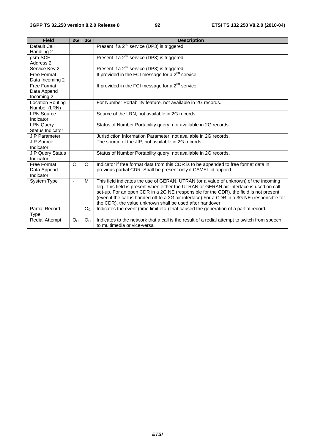| <b>Field</b>                                    | 2G             | 3G             | <b>Description</b>                                                                                                                                                                                                                                                                                                                                                                                                                      |
|-------------------------------------------------|----------------|----------------|-----------------------------------------------------------------------------------------------------------------------------------------------------------------------------------------------------------------------------------------------------------------------------------------------------------------------------------------------------------------------------------------------------------------------------------------|
| Default Call<br>Handling 2                      |                |                | Present if a 2 <sup>nd</sup> service (DP3) is triggered.                                                                                                                                                                                                                                                                                                                                                                                |
| gsm-SCF<br>Address 2                            |                |                | Present if a 2 <sup>nd</sup> service (DP3) is triggered.                                                                                                                                                                                                                                                                                                                                                                                |
| Service Key 2                                   |                |                | Present if a 2 <sup>nd</sup> service (DP3) is triggered.                                                                                                                                                                                                                                                                                                                                                                                |
| Free Format<br>Data Incoming 2                  |                |                | If provided in the FCI message for a $2^{nd}$ service.                                                                                                                                                                                                                                                                                                                                                                                  |
| <b>Free Format</b><br>Data Append<br>Incoming 2 |                |                | If provided in the FCI message for a $2^{nd}$ service.                                                                                                                                                                                                                                                                                                                                                                                  |
| <b>Location Routing</b><br>Number (LRN)         |                |                | For Number Portability feature, not available in 2G records.                                                                                                                                                                                                                                                                                                                                                                            |
| <b>LRN Source</b><br>Indicator                  |                |                | Source of the LRN, not available in 2G records.                                                                                                                                                                                                                                                                                                                                                                                         |
| <b>LRN Query</b><br>Status Indicator            |                |                | Status of Number Portability query, not available in 2G records.                                                                                                                                                                                                                                                                                                                                                                        |
| <b>JIP Parameter</b>                            |                |                | Jurisdiction Information Parameter, not available in 2G records.                                                                                                                                                                                                                                                                                                                                                                        |
| <b>JIP Source</b><br>Indicator                  |                |                | The source of the JIP, not available in 2G records.                                                                                                                                                                                                                                                                                                                                                                                     |
| <b>JIP Query Status</b><br>Indicator            |                |                | Status of Number Portability query, not available in 2G records.                                                                                                                                                                                                                                                                                                                                                                        |
| Free Format<br>Data Append<br>Indicator         | $\mathsf{C}$   | C              | Indicator if free format data from this CDR is to be appended to free format data in<br>previous partial CDR. Shall be present only if CAMEL id applied.                                                                                                                                                                                                                                                                                |
| <b>System Type</b>                              |                | м              | This field indicates the use of GERAN, UTRAN (or a value of unknown) of the incoming<br>leg. This field is present when either the UTRAN or GERAN air-interface is used on call<br>set-up. For an open CDR in a 2G NE (responsible for the CDR), the field is not present<br>(even if the call is handed off to a 3G air interface). For a CDR in a 3G NE (responsible for<br>the CDR), the value unknown shall be used after handover. |
| <b>Partial Record</b><br>Type                   |                | O <sub>C</sub> | Indicates the event (time limit etc.) that caused the generation of a partial record.                                                                                                                                                                                                                                                                                                                                                   |
| <b>Redial Attempt</b>                           | O <sub>C</sub> | O <sub>C</sub> | Indicates to the network that a call is the result of a redial attempt to switch from speech<br>to multimedia or vice-versa                                                                                                                                                                                                                                                                                                             |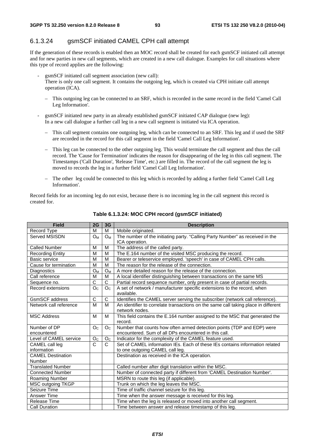#### 6.1.3.24 gsmSCF initiated CAMEL CPH call attempt

If the generation of these records is enabled then an MOC record shall be created for each gsmSCF initiated call attempt and for new parties in new call segments, which are created in a new call dialogue. Examples for call situations where this type of record applies are the following:

- gsmSCF initiated call segment association (new call): There is only one call segment. It contains the outgoing leg, which is created via CPH initiate call attempt operation (ICA).
	- This outgoing leg can be connected to an SRF, which is recorded in the same record in the field 'Camel Call Leg Information'.
- gsmSCF initiated new party in an already established gsmSCF initiated CAP dialogue (new leg): In a new call dialogue a further call leg in a new call segment is initiated via ICA operation.
	- This call segment contains one outgoing leg, which can be connected to an SRF. This leg and if used the SRF are recorded in the record for this call segment in the field 'Camel Call Leg Information'.
	- This leg can be connected to the other outgoing leg. This would terminate the call segment and thus the call record. The 'Cause for Termination' indicates the reason for disappearing of the leg in this call segment. The Timestamps ('Call Duration', 'Release Time', etc.) are filled in. The record of the call segment the leg is moved to records the leg in a further field 'Camel Call Leg Information'.
	- The other leg could be connected to this leg which is recorded by adding a further field 'Camel Call Leg Information'.

Record fields for an incoming leg do not exist, because there is no incoming leg in the call segment this record is created for.

| <b>Field</b>             | 2G             | 3G             | <b>Description</b>                                                                 |
|--------------------------|----------------|----------------|------------------------------------------------------------------------------------|
| Record Type              | м              | M              | Mobile originated.                                                                 |
| Served MSISDN            | $O_M$          | $O_M$          | The number of the initiating party. "Calling Party Number" as received in the      |
|                          |                |                | ICA operation.                                                                     |
| <b>Called Number</b>     | M              | M              | The address of the called party.                                                   |
| <b>Recording Entity</b>  | M              | M              | The E.164 number of the visited MSC producing the record.                          |
| Basic service            | M              | M              | Bearer or teleservice employed. 'speech' in case of CAMEL CPH calls.               |
| Cause for termination    | M              | M              | The reason for the release of the connection.                                      |
| Diagnostics              | $O_{M}$        | $O_M$          | A more detailed reason for the release of the connection.                          |
| Call reference           | M              | M              | A local identifier distinguishing between transactions on the same MS              |
| Sequence no.             | C              | C              | Partial record sequence number, only present in case of partial records.           |
| Record extensions        | O <sub>C</sub> | O <sub>C</sub> | A set of network / manufacturer specific extensions to the record, when            |
|                          |                |                | available.                                                                         |
| <b>GsmSCF</b> address    | C              | C              | Identifies the CAMEL server serving the subscriber (network call reference).       |
| Network call reference   | M              | M              | An identifier to correlate transactions on the same call taking place in different |
|                          |                |                | network nodes.                                                                     |
| <b>MSC Address</b>       | M              | M              | This field contains the E.164 number assigned to the MSC that generated the        |
|                          |                |                | record.                                                                            |
| Number of DP             | O <sub>C</sub> | O <sub>C</sub> | Number that counts how often armed detection points (TDP and EDP) were             |
| encountered              |                |                | encountered. Sum of all DPs encountered in this call.                              |
| Level of CAMEL service   | O <sub>C</sub> | O <sub>C</sub> | Indicator for the complexity of the CAMEL feature used.                            |
| CAMEL call leg           | C              | C              | Set of CAMEL information IEs. Each of these IEs contains information related       |
| information              |                |                | to one outgoing CAMEL call leg.                                                    |
| <b>CAMEL Destination</b> |                |                | Destination as received in the ICA operation.                                      |
| Number                   |                |                |                                                                                    |
| <b>Translated Number</b> |                |                | Called number after digit translation within the MSC.                              |
| <b>Connected Number</b>  |                |                | Number of connected party if different from 'CAMEL Destination Number'.            |
| Roaming Number           |                |                | MSRN to route this leg (if applicable).                                            |
| MSC outgoing TKGP        |                |                | Trunk on which the leg leaves the MSC.                                             |
| Seizure Time             |                |                | Time of traffic channel seizure for this leg.                                      |
| Answer Time              |                |                | Time when the answer message is received for this leg.                             |
| <b>Release Time</b>      |                |                | Time when the leg is released or moved into another call segment.                  |
| <b>Call Duration</b>     |                |                | Time between answer and release timestamp of this leg.                             |

**Table 6.1.3.24: MOC CPH record (gsmSCF initiated)**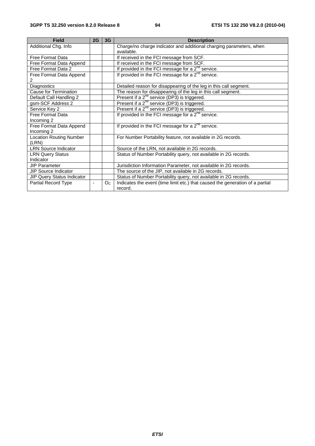| <b>Field</b>                   | 2G | 3G      | <b>Description</b>                                                            |
|--------------------------------|----|---------|-------------------------------------------------------------------------------|
| Additional Chg. Info           |    |         | Charge/no charge indicator and additional charging parameters, when           |
|                                |    |         | available.                                                                    |
| <b>Free Format Data</b>        |    |         | If received in the FCI message from SCF.                                      |
| Free Format Data Append        |    |         | If received in the FCI message from SCF.                                      |
| Free Format Data 2             |    |         | If provided in the FCI message for a $2nd$ service.                           |
| Free Format Data Append        |    |         | If provided in the FCI message for a $2^{nd}$ service.                        |
| 2                              |    |         |                                                                               |
| Diagnostics                    |    |         | Detailed reason for disappearing of the leg in this call segment.             |
| Cause for Termination          |    |         | The reason for disappearing of the leg in this call segment.                  |
| Default Call Handling 2        |    |         | Present if a 2 <sup>nd</sup> service (DP3) is triggered.                      |
| gsm-SCF Address 2              |    |         | Present if a 2 <sup>nd</sup> service (DP3) is triggered.                      |
| Service Key 2                  |    |         | Present if a 2 <sup>nd</sup> service (DP3) is triggered.                      |
| Free Format Data               |    |         | If provided in the FCI message for a $2^{nd}$ service.                        |
| Incoming 2                     |    |         |                                                                               |
| Free Format Data Append        |    |         | If provided in the FCI message for a $2nd$ service.                           |
| Incoming 2                     |    |         |                                                                               |
| <b>Location Routing Number</b> |    |         | For Number Portability feature, not available in 2G records.                  |
| (LRN)                          |    |         |                                                                               |
| <b>LRN Source Indicator</b>    |    |         | Source of the LRN, not available in 2G records.                               |
| <b>LRN Query Status</b>        |    |         | Status of Number Portability query, not available in 2G records.              |
| Indicator                      |    |         |                                                                               |
| <b>JIP Parameter</b>           |    |         | Jurisdiction Information Parameter, not available in 2G records.              |
| <b>JIP Source Indicator</b>    |    |         | The source of the JIP, not available in 2G records.                           |
| JIP Query Status Indicator     |    |         | Status of Number Portability query, not available in 2G records.              |
| Partial Record Type            |    | $O_{C}$ | Indicates the event (time limit etc.) that caused the generation of a partial |
|                                |    |         | record.                                                                       |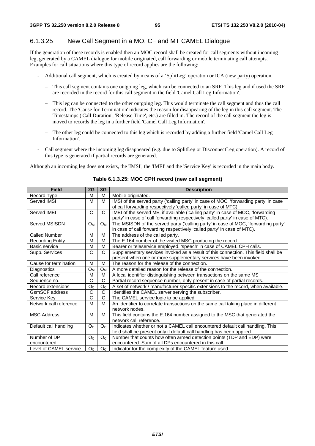#### 6.1.3.25 New Call Segment in a MO, CF and MT CAMEL Dialogue

If the generation of these records is enabled then an MOC record shall be created for call segments without incoming leg, generated by a CAMEL dialogue for mobile originated, call forwarding or mobile terminating call attempts. Examples for call situations where this type of record applies are the following:

- Additional call segment, which is created by means of a 'SplitLeg' operation or ICA (new party) operation.
	- This call segment contains one outgoing leg, which can be connected to an SRF. This leg and if used the SRF are recorded in the record for this call segment in the field 'Camel Call Leg Information'.
	- This leg can be connected to the other outgoing leg. This would terminate the call segment and thus the call record. The 'Cause for Termination' indicates the reason for disappearing of the leg in this call segment. The Timestamps ('Call Duration', 'Release Time', etc.) are filled in. The record of the call segment the leg is moved to records the leg in a further field 'Camel Call Leg Information'.
	- The other leg could be connected to this leg which is recorded by adding a further field 'Camel Call Leg Information'.
- Call segment where the incoming leg disappeared (e.g. due to SplitLeg or DisconnectLeg operation). A record of this type is generated if partial records are generated.

Although an incoming leg does not exists, the 'IMSI', the 'IMEI' and the 'Service Key' is recorded in the main body.

| <b>Field</b>            | 2G             | 3G             | <b>Description</b>                                                                   |
|-------------------------|----------------|----------------|--------------------------------------------------------------------------------------|
| Record Type             | M              | M              | Mobile originated.                                                                   |
| Served IMSI             | м              | M              | IMSI of the served party ('calling party' in case of MOC, 'forwarding party' in case |
|                         |                |                | of call forwarding respectively 'called party' in case of MTC).                      |
| Served IMEI             | C              | C              | IMEI of the served ME, if available ('calling party' in case of MOC, 'forwarding     |
|                         |                |                | party' in case of call forwarding respectively 'called party' in case of MTC).       |
| Served MSISDN           | $O_{M}$        | $O_M$          | The MSISDN of the served party ('calling party' in case of MOC, 'forwarding party'   |
|                         |                |                | in case of call forwarding respectively 'called party' in case of MTC).              |
| <b>Called Number</b>    | M              | M              | The address of the called party.                                                     |
| <b>Recording Entity</b> | М              | м              | The E.164 number of the visited MSC producing the record.                            |
| Basic service           | M              | M              | Bearer or teleservice employed. 'speech' in case of CAMEL CPH calls.                 |
| Supp. Services          | $\mathsf{C}$   | C              | Supplementary services invoked as a result of this connection. This field shall be   |
|                         |                |                | present when one or more supplementary services have been invoked.                   |
| Cause for termination   | M              | М              | The reason for the release of the connection.                                        |
| Diagnostics             | $O_M$          | $O_{M}$        | A more detailed reason for the release of the connection.                            |
| Call reference          | M              | M              | A local identifier distinguishing between transactions on the same MS                |
| Sequence no.            | $\mathsf{C}$   | C              | Partial record sequence number, only present in case of partial records.             |
| Record extensions       | O <sub>C</sub> | O <sub>C</sub> | A set of network / manufacturer specific extensions to the record, when available.   |
| GsmSCF address          | C              | $\overline{C}$ | Identifies the CAMEL server serving the subscriber.                                  |
| Service Key             | $\overline{C}$ | C              | The CAMEL service logic to be applied.                                               |
| Network call reference  | M              | M              | An identifier to correlate transactions on the same call taking place in different   |
|                         |                |                | network nodes.                                                                       |
| <b>MSC Address</b>      | M              | м              | This field contains the E.164 number assigned to the MSC that generated the          |
|                         |                |                | network call reference.                                                              |
| Default call handling   | O <sub>C</sub> | O <sub>C</sub> | Indicates whether or not a CAMEL call encountered default call handling. This        |
|                         |                |                | field shall be present only if default call handling has been applied.               |
| Number of DP            | O <sub>C</sub> | O <sub>C</sub> | Number that counts how often armed detection points (TDP and EDP) were               |
| encountered             |                |                | encountered. Sum of all DPs encountered in this call.                                |
| Level of CAMEL service  | O <sub>C</sub> | O <sub>c</sub> | Indicator for the complexity of the CAMEL feature used.                              |

#### **Table 6.1.3.25: MOC CPH record (new call segment)**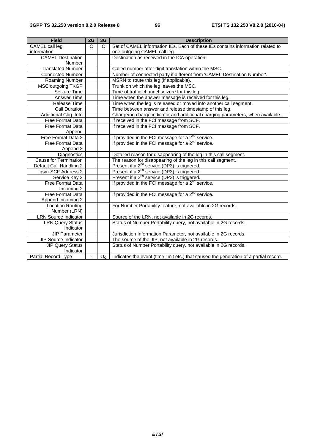| <b>Field</b>                 | 2G                    | 3G             | <b>Description</b>                                                                    |
|------------------------------|-----------------------|----------------|---------------------------------------------------------------------------------------|
| <b>CAMEL</b> call leg        | $\overline{\text{c}}$ | $\mathsf{C}$   | Set of CAMEL information IEs. Each of these IEs contains information related to       |
| information                  |                       |                | one outgoing CAMEL call leg.                                                          |
| <b>CAMEL Destination</b>     |                       |                | Destination as received in the ICA operation.                                         |
| <b>Number</b>                |                       |                |                                                                                       |
| <b>Translated Number</b>     |                       |                | Called number after digit translation within the MSC.                                 |
| <b>Connected Number</b>      |                       |                | Number of connected party if different from 'CAMEL Destination Number'.               |
| Roaming Number               |                       |                | MSRN to route this leg (if applicable).                                               |
| MSC outgoing TKGP            |                       |                | Trunk on which the leg leaves the MSC.                                                |
| Seizure Time                 |                       |                | Time of traffic channel seizure for this leg.                                         |
| Answer Time                  |                       |                | Time when the answer message is received for this leg.                                |
| Release Time                 |                       |                | Time when the leg is released or moved into another call segment.                     |
| Call Duration                |                       |                | Time between answer and release timestamp of this leg.                                |
| Additional Chg. Info         |                       |                | Charge/no charge indicator and additional charging parameters, when available.        |
| Free Format Data             |                       |                | If received in the FCI message from SCF.                                              |
| Free Format Data             |                       |                | If received in the FCI message from SCF.                                              |
| Append                       |                       |                |                                                                                       |
| Free Format Data 2           |                       |                | If provided in the FCI message for a $2^{nd}$ service.                                |
| <b>Free Format Data</b>      |                       |                | If provided in the FCI message for a $2^{nd}$ service.                                |
| Append 2                     |                       |                |                                                                                       |
| Diagnostics                  |                       |                | Detailed reason for disappearing of the leg in this call segment.                     |
| <b>Cause for Termination</b> |                       |                | The reason for disappearing of the leg in this call segment.                          |
| Default Call Handling 2      |                       |                | Present if a $2^{nd}$ service (DP3) is triggered.                                     |
| gsm-SCF Address 2            |                       |                | Present if a $2^{nd}$ service (DP3) is triggered.                                     |
| Service Key 2                |                       |                | Present if a 2 <sup>nd</sup> service (DP3) is triggered.                              |
| Free Format Data             |                       |                | If provided in the FCI message for a $2^{nd}$ service.                                |
| Incoming 2                   |                       |                |                                                                                       |
| Free Format Data             |                       |                | If provided in the FCI message for a 2 <sup>nd</sup> service.                         |
| Append Incoming 2            |                       |                |                                                                                       |
| Location Routing             |                       |                | For Number Portability feature, not available in 2G records.                          |
| Number (LRN)                 |                       |                |                                                                                       |
| <b>LRN Source Indicator</b>  |                       |                | Source of the LRN, not available in 2G records.                                       |
| <b>LRN Query Status</b>      |                       |                | Status of Number Portability query, not available in 2G records.                      |
| Indicator                    |                       |                |                                                                                       |
| <b>JIP Parameter</b>         |                       |                | Jurisdiction Information Parameter, not available in 2G records.                      |
| JIP Source Indicator         |                       |                | The source of the JIP, not available in 2G records.                                   |
| <b>JIP Query Status</b>      |                       |                | Status of Number Portability query, not available in 2G records.                      |
| Indicator                    |                       |                |                                                                                       |
| <b>Partial Record Type</b>   |                       | O <sub>C</sub> | Indicates the event (time limit etc.) that caused the generation of a partial record. |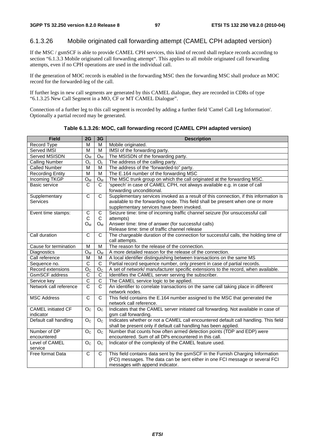### 6.1.3.26 Mobile originated call forwarding attempt (CAMEL CPH adapted version)

If the MSC / gsmSCF is able to provide CAMEL CPH services, this kind of record shall replace records according to section "6.1.3.3 Mobile originated call forwarding attempt". This applies to all mobile originated call forwarding attempts, even if no CPH operations are used in the individual call.

If the generation of MOC records is enabled in the forwarding MSC then the forwarding MSC shall produce an MOC record for the forwarded-leg of the call.

If further legs in new call segments are generated by this CAMEL dialogue, they are recorded in CDRs of type "6.1.3.25 New Call Segment in a MO, CF or MT CAMEL Dialogue".

Connection of a further leg to this call segment is recorded by adding a further field 'Camel Call Leg Information'. Optionally a partial record may be generated.

| <b>Field</b>              | 2G                    | 3G             | <b>Description</b>                                                                    |  |
|---------------------------|-----------------------|----------------|---------------------------------------------------------------------------------------|--|
| Record Type               | M                     | M              | Mobile originated.                                                                    |  |
| Served IMSI               | M                     | M              | IMSI of the forwarding party.                                                         |  |
| Served MSISDN             | $O_M$                 | $O_{M}$        | The MSISDN of the forwarding party.                                                   |  |
| <b>Calling Number</b>     | $O_c$                 | $O_c$          | The address of the calling party.                                                     |  |
| <b>Called Number</b>      | M                     | M              | The address of the "forwarded-to" party.                                              |  |
| <b>Recording Entity</b>   | М                     | M              | The E.164 number of the forwarding MSC                                                |  |
| Incoming TKGP             | $O_{M}$               | $O_M$          | The MSC trunk group on which the call originated at the forwarding MSC.               |  |
| <b>Basic service</b>      | $\mathsf{C}$          | $\mathsf{C}$   | 'speech' in case of CAMEL CPH, not always available e.g. in case of call              |  |
|                           |                       |                | forwarding unconditional.                                                             |  |
| Supplementary             | $\mathsf{C}$          | $\mathsf{C}$   | Supplementary services invoked as a result of this connection, if this information is |  |
| <b>Services</b>           |                       |                | available to the forwarding node. This field shall be present when one or more        |  |
|                           |                       |                | supplementary services have been invoked.                                             |  |
| Event time stamps:        | C                     | C              | Seizure time: time of incoming traffic channel seizure (for unsuccessful call         |  |
|                           | C                     | C              | attempts)                                                                             |  |
|                           | O <sub>M</sub>        | $O_{M}$        | Answer time: time of answer (for successful calls)                                    |  |
|                           |                       |                | Release time: time of traffic channel release                                         |  |
| Call duration             | $\mathsf{C}$          | $\mathsf{C}$   | The chargeable duration of the connection for successful calls, the holding time of   |  |
|                           |                       |                | call attempts.                                                                        |  |
| Cause for termination     | м                     | M              | The reason for the release of the connection.                                         |  |
| Diagnostics               | O <sub>M</sub>        | $O_M$          | A more detailed reason for the release of the connection.                             |  |
| Call reference            | M                     | M              | A local identifier distinguishing between transactions on the same MS                 |  |
| Sequence no.              | $\mathsf{C}$          | $\mathsf C$    | Partial record sequence number, only present in case of partial records.              |  |
| Record extensions         | O <sub>C</sub>        | O <sub>C</sub> | A set of network/ manufacturer specific extensions to the record, when available.     |  |
| <b>GsmSCF</b> address     | C                     | C              | Identifies the CAMEL server serving the subscriber.                                   |  |
| Service key               | $\overline{\text{c}}$ | C              | The CAMEL service logic to be applied.                                                |  |
| Network call reference    | $\overline{C}$        | $\mathsf{C}$   | An identifier to correlate transactions on the same call taking place in different    |  |
|                           |                       |                | network nodes.                                                                        |  |
| <b>MSC Address</b>        | C                     | C              | This field contains the E.164 number assigned to the MSC that generated the           |  |
|                           |                       |                | network call reference.                                                               |  |
| <b>CAMEL</b> initiated CF | O <sub>c</sub>        | O <sub>c</sub> | Indicates that the CAMEL server initiated call forwarding. Not available in case of   |  |
| indicator                 |                       |                | gsm call forwarding.                                                                  |  |
| Default call handling     | O <sub>C</sub>        | O <sub>C</sub> | Indicates whether or not a CAMEL call encountered default call handling. This field   |  |
|                           |                       |                | shall be present only if default call handling has been applied.                      |  |
| Number of DP              | O <sub>C</sub>        | O <sub>C</sub> | Number that counts how often armed detection points (TDP and EDP) were                |  |
| encountered               |                       |                | encountered. Sum of all DPs encountered in this call.                                 |  |
| Level of CAMEL            | O <sub>C</sub>        | O <sub>C</sub> | Indicator of the complexity of the CAMEL feature used.                                |  |
| service                   |                       |                |                                                                                       |  |
| Free format Data          | C                     | C              | This field contains data sent by the gsmSCF in the Furnish Charging Information       |  |
|                           |                       |                | (FCI) messages. The data can be sent either in one FCI message or several FCI         |  |
|                           |                       |                | messages with append indicator.                                                       |  |

**Table 6.1.3.26: MOC, call forwarding record (CAMEL CPH adapted version)**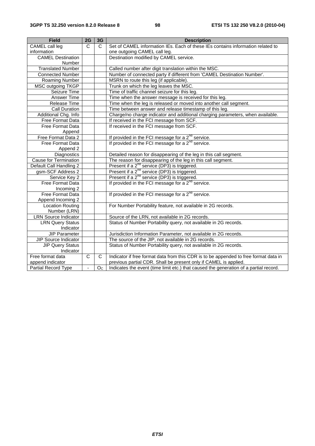| <b>Field</b>                 | 2G             | 3G             | <b>Description</b>                                                                    |
|------------------------------|----------------|----------------|---------------------------------------------------------------------------------------|
| CAMEL call leg               | $\mathsf{C}$   | C              | Set of CAMEL information IEs. Each of these IEs contains information related to       |
| information                  |                |                | one outgoing CAMEL call leg.                                                          |
| <b>CAMEL Destination</b>     |                |                | Destination modified by CAMEL service.                                                |
| Number                       |                |                |                                                                                       |
| <b>Translated Number</b>     |                |                | Called number after digit translation within the MSC.                                 |
| <b>Connected Number</b>      |                |                | Number of connected party if different from 'CAMEL Destination Number'.               |
| Roaming Number               |                |                | MSRN to route this leg (if applicable).                                               |
| <b>MSC outgoing TKGP</b>     |                |                | Trunk on which the leg leaves the MSC.                                                |
| Seizure Time                 |                |                | Time of traffic channel seizure for this leg.                                         |
| Answer Time                  |                |                | Time when the answer message is received for this leg.                                |
| Release Time                 |                |                | Time when the leg is released or moved into another call segment.                     |
| <b>Call Duration</b>         |                |                | Time between answer and release timestamp of this leg.                                |
| Additional Chg. Info         |                |                | Charge/no charge indicator and additional charging parameters, when available.        |
| Free Format Data             |                |                | If received in the FCI message from SCF.                                              |
| <b>Free Format Data</b>      |                |                | If received in the FCI message from SCF.                                              |
| Append                       |                |                |                                                                                       |
| Free Format Data 2           |                |                | If provided in the FCI message for a $2^{nd}$ service.                                |
| Free Format Data             |                |                | If provided in the FCI message for a $2^{nd}$ service.                                |
| Append 2                     |                |                |                                                                                       |
| Diagnostics                  |                |                | Detailed reason for disappearing of the leg in this call segment.                     |
| <b>Cause for Termination</b> |                |                | The reason for disappearing of the leg in this call segment.                          |
| Default Call Handling 2      |                |                | Present if a 2 <sup>nd</sup> service (DP3) is triggered.                              |
| gsm-SCF Address 2            |                |                | Present if a $2^{nd}$ service (DP3) is triggered.                                     |
| Service Key 2                |                |                | Present if a 2 <sup>nd</sup> service (DP3) is triggered.                              |
| Free Format Data             |                |                | If provided in the FCI message for a 2 <sup>nd</sup> service.                         |
| Incoming 2                   |                |                |                                                                                       |
| <b>Free Format Data</b>      |                |                | If provided in the FCI message for a $2^{nd}$ service.                                |
| Append Incoming 2            |                |                |                                                                                       |
| <b>Location Routing</b>      |                |                | For Number Portability feature, not available in 2G records.                          |
| Number (LRN)                 |                |                |                                                                                       |
| <b>LRN Source Indicator</b>  |                |                | Source of the LRN, not available in 2G records.                                       |
| <b>LRN Query Status</b>      |                |                | Status of Number Portability query, not available in 2G records.                      |
| Indicator                    |                |                |                                                                                       |
| <b>JIP Parameter</b>         |                |                | Jurisdiction Information Parameter, not available in 2G records.                      |
| JIP Source Indicator         |                |                | The source of the JIP, not available in 2G records.                                   |
| <b>JIP Query Status</b>      |                |                | Status of Number Portability query, not available in 2G records.                      |
| Indicator                    |                |                |                                                                                       |
| Free format data             | C              | C              | Indicator if free format data from this CDR is to be appended to free format data in  |
| append indicator             |                |                | previous partial CDR. Shall be present only if CAMEL is applied.                      |
| <b>Partial Record Type</b>   | $\blacksquare$ | O <sub>C</sub> | Indicates the event (time limit etc.) that caused the generation of a partial record. |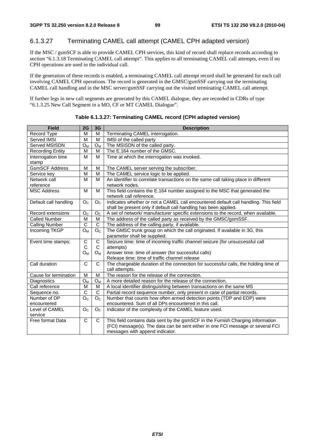## 6.1.3.27 Terminating CAMEL call attempt (CAMEL CPH adapted version)

If the MSC / gsmSCF is able to provide CAMEL CPH services, this kind of record shall replace records according to section "6.1.3.18 Terminating CAMEL call attempt". This applies to all terminating CAMEL call attempts, even if no CPH operations are used in the individual call.

If the generation of these records is enabled, a terminating CAMEL call attempt record shall be generated for each call involving CAMEL CPH operations. The record is generated in the GMSC/gsmSSF carrying out the terminating CAMEL call handling and in the MSC server/gsmSSF carrying out the visited terminating CAMEL call attempt.

If further legs in new call segments are generated by this CAMEL dialogue, they are recorded in CDRs of type "6.1.3.25 New Call Segment in a MO, CF or MT CAMEL Dialogue".

| <b>Field</b>          | 2G                    | 3G             | <b>Description</b>                                                                  |  |  |
|-----------------------|-----------------------|----------------|-------------------------------------------------------------------------------------|--|--|
| Record Type           | M                     | M              | Terminating CAMEL interrogation.                                                    |  |  |
| Served IMSI           | M                     | M              | IMSI of the called party                                                            |  |  |
| Served MSISDN         | $O_{M}$               | $O_M$          | The MSISDN of the called party.                                                     |  |  |
| Recording Entity      | M                     | M              | The E.164 number of the GMSC.                                                       |  |  |
| Interrogation time    | M                     | M              | Time at which the interrogation was invoked.                                        |  |  |
| stamp                 |                       |                |                                                                                     |  |  |
| <b>GsmSCF Address</b> | M                     | M              | The CAMEL server serving the subscriber.                                            |  |  |
| Service key           | M                     | M              | The CAMEL service logic to be applied.                                              |  |  |
| Network call          | M                     | M              | An identifier to correlate transactions on the same call taking place in different  |  |  |
| reference             |                       |                | network nodes.                                                                      |  |  |
| <b>MSC Address</b>    | M                     | M              | This field contains the E.164 number assigned to the MSC that generated the         |  |  |
|                       |                       |                | network call reference.                                                             |  |  |
| Default call handling | O <sub>C</sub>        | O <sub>c</sub> | Indicates whether or not a CAMEL call encountered default call handling. This field |  |  |
|                       |                       |                | shall be present only if default call handling has been applied.                    |  |  |
| Record extensions     | O <sub>C</sub>        | O <sub>C</sub> | A set of network/ manufacturer specific extensions to the record, when available.   |  |  |
| <b>Called Number</b>  | M                     | M              | The address of the called party as received by the GMSC/gsmSSF.                     |  |  |
| <b>Calling Number</b> | $\overline{C}$        | $\overline{C}$ | The address of the calling party, if available.                                     |  |  |
| <b>Incoming TKGP</b>  | $O_M$                 | O <sub>C</sub> | The GMSC trunk group on which the call originated. If available in 3G, this         |  |  |
|                       |                       |                | parameter shall be supplied.                                                        |  |  |
| Event time stamps:    | $\mathbf C$           | $\overline{C}$ | Seizure time: time of incoming traffic channel seizure (for unsuccessful call       |  |  |
|                       | C                     | C              | attempts)                                                                           |  |  |
|                       | $O_M$                 | $O_M$          | Answer time: time of answer (for successful calls)                                  |  |  |
|                       |                       |                | Release time: time of traffic channel release                                       |  |  |
| Call duration         | $\mathsf{C}$          | C              | The chargeable duration of the connection for successful calls, the holding time of |  |  |
|                       |                       |                | call attempts.                                                                      |  |  |
| Cause for termination | M                     | M              | The reason for the release of the connection.                                       |  |  |
| Diagnostics           | $O_{M}$               | $O_M$          | A more detailed reason for the release of the connection.                           |  |  |
| Call reference        | M                     | M              | A local identifier distinguishing between transactions on the same MS               |  |  |
| Sequence no.          | $\overline{\text{c}}$ | $\overline{C}$ | Partial record sequence number, only present in case of partial records.            |  |  |
| Number of DP          | O <sub>C</sub>        | O <sub>C</sub> | Number that counts how often armed detection points (TDP and EDP) were              |  |  |
| encountered           |                       |                | encountered. Sum of all DPs encountered in this call.                               |  |  |
| Level of CAMEL        | O <sub>C</sub>        | O <sub>C</sub> | Indicator of the complexity of the CAMEL feature used.                              |  |  |
| service               |                       |                |                                                                                     |  |  |
| Free format Data      | $\overline{C}$        | C              | This field contains data sent by the gsmSCF in the Furnish Charging Information     |  |  |
|                       |                       |                | (FCI) message(s). The data can be sent either in one FCI message or several FCI     |  |  |
|                       |                       |                | messages with append indicator.                                                     |  |  |

**Table 6.1.3.27: Terminating CAMEL record (CPH adapted version)**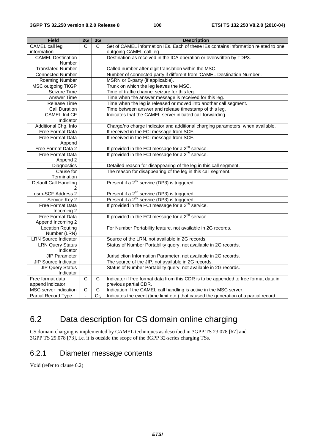| <b>Field</b>                | 2G          | 3G             | <b>Description</b>                                                                    |
|-----------------------------|-------------|----------------|---------------------------------------------------------------------------------------|
| <b>CAMEL</b> call leg       | C           | C              | Set of CAMEL information IEs. Each of these IEs contains information related to one   |
| information                 |             |                | outgoing CAMEL call leg.                                                              |
| <b>CAMEL Destination</b>    |             |                | Destination as received in the ICA operation or overwritten by TDP3.                  |
| <b>Number</b>               |             |                |                                                                                       |
| <b>Translated Number</b>    |             |                | Called number after digit translation within the MSC.                                 |
| <b>Connected Number</b>     |             |                | Number of connected party if different from 'CAMEL Destination Number'.               |
| Roaming Number              |             |                | MSRN or B-party (if applicable).                                                      |
| MSC outgoing TKGP           |             |                | Trunk on which the leg leaves the MSC.                                                |
| Seizure Time                |             |                | Time of traffic channel seizure for this leg.                                         |
| Answer Time                 |             |                | Time when the answer message is received for this leg.                                |
| Release Time                |             |                | Time when the leg is released or moved into another call segment.                     |
| Call Duration               |             |                | Time between answer and release timestamp of this leg.                                |
| <b>CAMEL Init CF</b>        |             |                | Indicates that the CAMEL server initiated call forwarding.                            |
| Indicator                   |             |                |                                                                                       |
| Additional Chg. Info        |             |                | Charge/no charge indicator and additional charging parameters, when available.        |
| Free Format Data            |             |                | If received in the FCI message from SCF.                                              |
| Free Format Data            |             |                | If received in the FCI message from SCF.                                              |
| Append                      |             |                |                                                                                       |
| Free Format Data 2          |             |                | If provided in the FCI message for a 2 <sup>nd</sup> service.                         |
| Free Format Data            |             |                | If provided in the FCI message for a 2 <sup>nd</sup> service.                         |
| Append 2                    |             |                |                                                                                       |
| Diagnostics                 |             |                | Detailed reason for disappearing of the leg in this call segment.                     |
| Cause for                   |             |                | The reason for disappearing of the leg in this call segment.                          |
| Termination                 |             |                |                                                                                       |
| Default Call Handling       |             |                | Present if a 2 <sup>nd</sup> service (DP3) is triggered.                              |
|                             |             |                |                                                                                       |
| gsm-SCF Address 2           |             |                | Present if a 2 <sup>nd</sup> service (DP3) is triggered.                              |
| Service Key 2               |             |                | Present if a 2 <sup>nd</sup> service (DP3) is triggered.                              |
| <b>Free Format Data</b>     |             |                | If provided in the FCI message for a 2 <sup>nd</sup> service.                         |
| Incoming 2                  |             |                |                                                                                       |
| <b>Free Format Data</b>     |             |                | If provided in the FCI message for a 2 <sup>nd</sup> service.                         |
| Append Incoming 2           |             |                |                                                                                       |
| <b>Location Routing</b>     |             |                | For Number Portability feature, not available in 2G records.                          |
| Number (LRN)                |             |                |                                                                                       |
| <b>LRN Source Indicator</b> |             |                | Source of the LRN, not available in 2G records.                                       |
| <b>LRN Query Status</b>     |             |                | Status of Number Portability query, not available in 2G records.                      |
| Indicator                   |             |                |                                                                                       |
| <b>JIP Parameter</b>        |             |                | Jurisdiction Information Parameter, not available in 2G records.                      |
| <b>JIP Source Indicator</b> |             |                | The source of the JIP, not available in 2G records.                                   |
| <b>JIP Query Status</b>     |             |                | Status of Number Portability query, not available in 2G records.                      |
| Indicator                   |             |                |                                                                                       |
| Free format data            | C.          | C              | Indicator if free format data from this CDR is to be appended to free format data in  |
| append indicator            |             |                | previous partial CDR.                                                                 |
| MSC server indication       | $\mathsf C$ | $\mathsf C$    | Indication if the CAMEL call handling is active in the MSC server.                    |
| Partial Record Type         | $\omega$    | O <sub>C</sub> | Indicates the event (time limit etc.) that caused the generation of a partial record. |

# 6.2 Data description for CS domain online charging

CS domain charging is implemented by CAMEL techniques as described in 3GPP TS 23.078 [67] and 3GPP TS 29.078 [73], i.e. it is outside the scope of the 3GPP 32-series charging TSs.

## 6.2.1 Diameter message contents

Void (refer to clause 6.2)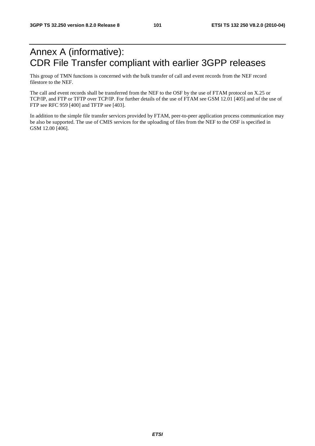# Annex A (informative): CDR File Transfer compliant with earlier 3GPP releases

This group of TMN functions is concerned with the bulk transfer of call and event records from the NEF record filestore to the NEF.

The call and event records shall be transferred from the NEF to the OSF by the use of FTAM protocol on X.25 or TCP/IP, and FTP or TFTP over TCP/IP. For further details of the use of FTAM see GSM 12.01 [405] and of the use of FTP see RFC 959 [400] and TFTP see [403].

In addition to the simple file transfer services provided by FTAM, peer-to-peer application process communication may be also be supported. The use of CMIS services for the uploading of files from the NEF to the OSF is specified in GSM 12.00 [406].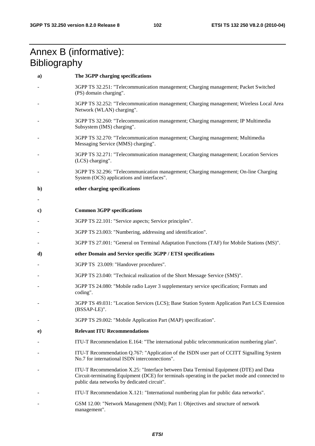# Annex B (informative): **Bibliography**

| a)           | The 3GPP charging specifications                                                                                                                                                                                                       |
|--------------|----------------------------------------------------------------------------------------------------------------------------------------------------------------------------------------------------------------------------------------|
|              | 3GPP TS 32.251: "Telecommunication management; Charging management; Packet Switched<br>(PS) domain charging".                                                                                                                          |
|              | 3GPP TS 32.252: "Telecommunication management; Charging management; Wireless Local Area<br>Network (WLAN) charging".                                                                                                                   |
|              | 3GPP TS 32.260: "Telecommunication management; Charging management; IP Multimedia<br>Subsystem (IMS) charging".                                                                                                                        |
|              | 3GPP TS 32.270: "Telecommunication management; Charging management; Multimedia<br>Messaging Service (MMS) charging".                                                                                                                   |
|              | 3GPP TS 32.271: "Telecommunication management; Charging management; Location Services<br>(LCS) charging".                                                                                                                              |
|              | 3GPP TS 32.296: "Telecommunication management; Charging management; On-line Charging<br>System (OCS) applications and interfaces".                                                                                                     |
| $\mathbf{b}$ | other charging specifications                                                                                                                                                                                                          |
|              |                                                                                                                                                                                                                                        |
| $\bf c)$     | <b>Common 3GPP specifications</b>                                                                                                                                                                                                      |
|              | 3GPP TS 22.101: "Service aspects; Service principles".                                                                                                                                                                                 |
|              | 3GPP TS 23.003: "Numbering, addressing and identification".                                                                                                                                                                            |
|              | 3GPP TS 27.001: "General on Terminal Adaptation Functions (TAF) for Mobile Stations (MS)".                                                                                                                                             |
| d)           | other Domain and Service specific 3GPP / ETSI specifications                                                                                                                                                                           |
|              | 3GPP TS 23.009: "Handover procedures".                                                                                                                                                                                                 |
|              | 3GPP TS 23.040: "Technical realization of the Short Message Service (SMS)".                                                                                                                                                            |
|              | 3GPP TS 24.080: "Mobile radio Layer 3 supplementary service specification; Formats and<br>coding".                                                                                                                                     |
|              | 3GPP TS 49.031: "Location Services (LCS); Base Station System Application Part LCS Extension<br>(BSSAP-LE)".                                                                                                                           |
|              | 3GPP TS 29.002: "Mobile Application Part (MAP) specification".                                                                                                                                                                         |
| e)           | <b>Relevant ITU Recommendations</b>                                                                                                                                                                                                    |
|              | ITU-T Recommendation E.164: "The international public telecommunication numbering plan".                                                                                                                                               |
|              | ITU-T Recommendation Q.767: "Application of the ISDN user part of CCITT Signalling System<br>No.7 for international ISDN interconnections".                                                                                            |
|              | ITU-T Recommendation X.25: "Interface between Data Terminal Equipment (DTE) and Data<br>Circuit-terminating Equipment (DCE) for terminals operating in the packet mode and connected to<br>public data networks by dedicated circuit". |
|              | ITU-T Recommendation X.121: "International numbering plan for public data networks".                                                                                                                                                   |
|              | GSM 12.00: "Network Management (NM); Part 1: Objectives and structure of network<br>management".                                                                                                                                       |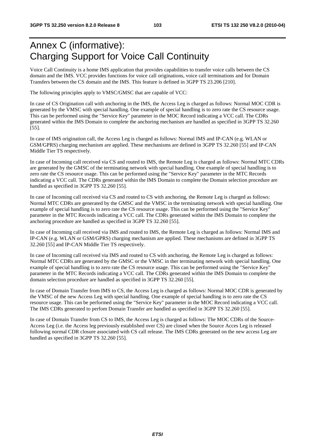# Annex C (informative): Charging Support for Voice Call Continuity

Voice Call Continuity is a home IMS application that provides capabilities to transfer voice calls between the CS domain and the IMS. VCC provides functions for voice call originations, voice call terminations and for Domain Transfers between the CS domain and the IMS. This feature is defined in 3GPP TS 23.206 [210].

The following principles apply to VMSC/GMSC that are capable of VCC:

In case of CS Origination call with anchoring in the IMS, the Access Leg is charged as follows: Normal MOC CDR is generated by the VMSC with special handling. One example of special handling is to zero rate the CS resource usage. This can be performed using the "Service Key" parameter in the MOC Record indicating a VCC call. The CDRs generated within the IMS Domain to complete the anchoring mechanism are handled as specified in 3GPP TS 32.260 [55].

In case of IMS origination call, the Access Leg is charged as follows: Normal IMS and IP-CAN (e.g. WLAN or GSM/GPRS) charging mechanism are applied. These mechanisms are defined in 3GPP TS 32.260 [55] and IP-CAN Middle Tier TS respectively.

In case of Incoming call received via CS and routed to IMS, the Remote Leg is charged as follows: Normal MTC CDRs are generated by the GMSC of the terminating network with special handling. One example of special handling is to zero rate the CS resource usage. This can be performed using the "Service Key" parameter in the MTC Records indicating a VCC call. The CDRs generated within the IMS Domain to complete the Domain selection procedure are handled as specified in 3GPP TS 32.260 [55].

In case of Incoming call received via CS and routed to CS with anchoring, the Remote Leg is charged as follows: Normal MTC CDRs are generated by the GMSC and the VMSC in the terminating network with special handling. One example of special handling is to zero rate the CS resource usage. This can be performed using the "Service Key" parameter in the MTC Records indicating a VCC call. The CDRs generated within the IMS Domain to complete the anchoring procedure are handled as specified in 3GPP TS 32.260 [55].

In case of Incoming call received via IMS and routed to IMS, the Remote Leg is charged as follows: Normal IMS and IP-CAN (e.g. WLAN or GSM/GPRS) charging mechanism are applied. These mechanisms are defined in 3GPP TS 32.260 [55] and IP-CAN Middle Tier TS respectively.

In case of Incoming call received via IMS and routed to CS with anchoring, the Remote Leg is charged as follows: Normal MTC CDRs are generated by the GMSC or the VMSC in ther terminating network with special handling. One example of special handling is to zero rate the CS resource usage. This can be performed using the "Service Key" parameter in the MTC Records indicating a VCC call. The CDRs generated within the IMS Domain to complete the domain selection procedure are handled as specified in 3GPP TS 32.260 [55].

In case of Domain Transfer from IMS to CS, the Access Leg is charged as follows: Normal MOC CDR is generated by the VMSC of the new Access Leg with special handling. One example of special handling is to zero rate the CS resource usage. This can be performed using the "Service Key" parameter in the MOC Record indicating a VCC call. The IMS CDRs generated to perfom Domain Transfer are handled as specified in 3GPP TS 32.260 [55].

In case of Domain Transfer from CS to IMS, the Access Leg is charged as follows: The MOC CDRs of the Source-Access Leg (i.e. the Access leg previously established over CS) are closed when the Source Acces Leg is released following normal CDR closure associated with CS call release. The IMS CDRs generated on the new access Leg are handled as specified in 3GPP TS 32.260 [55].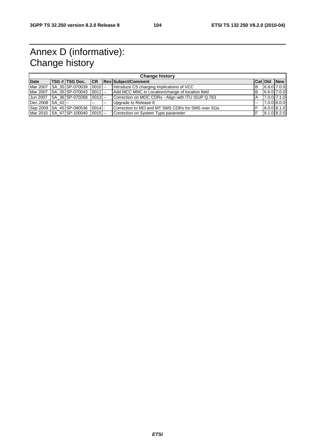# Annex D (informative): Change history

| <b>Change history</b> |  |                                        |               |        |                                                    |                          |  |                    |
|-----------------------|--|----------------------------------------|---------------|--------|----------------------------------------------------|--------------------------|--|--------------------|
| <b>Date</b>           |  | TSG # TSG Doc.                         |               |        | <b>CR Rev Subject/Comment</b>                      |                          |  | <b>CatiOld New</b> |
|                       |  | Mar 2007   SA_35 SP-070039   0010  --  |               |        | Introduce CS charging implications of VCC          | B                        |  | $6.6.0$ 7.0.0      |
|                       |  | Mar 2007 SA 35 SP-070043 0011 --       |               |        | Add MCC MNC in Location/change of location field   | B                        |  | $6.6.0$ 7.0.0      |
|                       |  | Jun 2007   SA 36 SP-070268   0013   -- |               |        | Correction on MOC CDRs - Align with ITU ISUP Q.763 | A                        |  | $7.00$ $7.10$      |
| Dec 2008 SA 42 --     |  |                                        | $\sim$ $\sim$ | $\sim$ | Upgrade to Release 8                               | $\overline{\phantom{a}}$ |  | 7.0.0 8.0.0        |
|                       |  | Sep 2009 SA_45 SP-090536 0014 -        |               |        | Correction to MO and MT SMS CDRs for SMS over SGs  |                          |  | 8.0.0 8.1.0        |
|                       |  | Mar 2010 SA 47 SP-100040 0015 --       |               |        | Correction on System Type parameter                |                          |  | 8.1.0 8.2.0        |